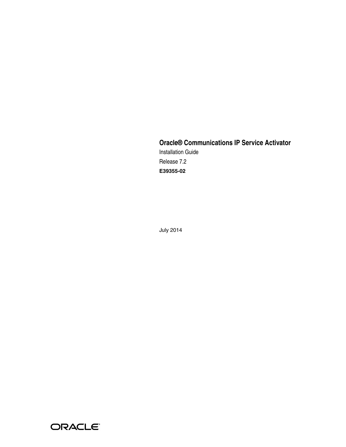# **Oracle® Communications IP Service Activator** Installation Guide Release 7.2 **E39355-02**

July 2014

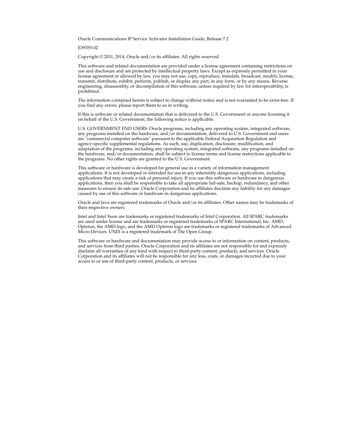Oracle Communications IP Service Activator Installation Guide, Release 7.2

E39355-02

Copyright © 2011, 2014, Oracle and/or its affiliates. All rights reserved.

This software and related documentation are provided under a license agreement containing restrictions on use and disclosure and are protected by intellectual property laws. Except as expressly permitted in your license agreement or allowed by law, you may not use, copy, reproduce, translate, broadcast, modify, license, transmit, distribute, exhibit, perform, publish, or display any part, in any form, or by any means. Reverse engineering, disassembly, or decompilation of this software, unless required by law for interoperability, is prohibited.

The information contained herein is subject to change without notice and is not warranted to be error-free. If you find any errors, please report them to us in writing.

If this is software or related documentation that is delivered to the U.S. Government or anyone licensing it on behalf of the U.S. Government, the following notice is applicable:

U.S. GOVERNMENT END USERS: Oracle programs, including any operating system, integrated software, any programs installed on the hardware, and/or documentation, delivered to U.S. Government end users are "commercial computer software" pursuant to the applicable Federal Acquisition Regulation and agency-specific supplemental regulations. As such, use, duplication, disclosure, modification, and adaptation of the programs, including any operating system, integrated software, any programs installed on the hardware, and/or documentation, shall be subject to license terms and license restrictions applicable to the programs. No other rights are granted to the U.S. Government.

This software or hardware is developed for general use in a variety of information management applications. It is not developed or intended for use in any inherently dangerous applications, including applications that may create a risk of personal injury. If you use this software or hardware in dangerous applications, then you shall be responsible to take all appropriate fail-safe, backup, redundancy, and other measures to ensure its safe use. Oracle Corporation and its affiliates disclaim any liability for any damages caused by use of this software or hardware in dangerous applications.

Oracle and Java are registered trademarks of Oracle and/or its affiliates. Other names may be trademarks of their respective owners.

Intel and Intel Xeon are trademarks or registered trademarks of Intel Corporation. All SPARC trademarks are used under license and are trademarks or registered trademarks of SPARC International, Inc. AMD, Opteron, the AMD logo, and the AMD Opteron logo are trademarks or registered trademarks of Advanced Micro Devices. UNIX is a registered trademark of The Open Group.

This software or hardware and documentation may provide access to or information on content, products, and services from third parties. Oracle Corporation and its affiliates are not responsible for and expressly disclaim all warranties of any kind with respect to third-party content, products, and services. Oracle Corporation and its affiliates will not be responsible for any loss, costs, or damages incurred due to your access to or use of third-party content, products, or services.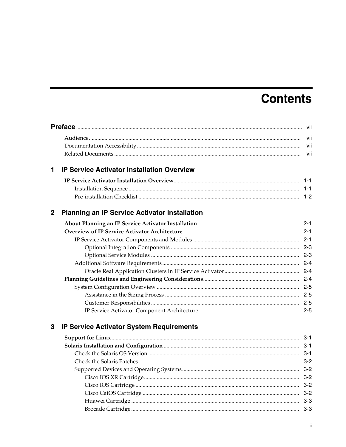# **Contents**

| 1           | <b>IP Service Activator Installation Overview</b>    |         |
|-------------|------------------------------------------------------|---------|
|             |                                                      |         |
|             |                                                      |         |
|             |                                                      |         |
| $\mathbf 2$ | <b>Planning an IP Service Activator Installation</b> |         |
|             |                                                      |         |
|             |                                                      |         |
|             |                                                      |         |
|             |                                                      |         |
|             |                                                      |         |
|             |                                                      |         |
|             |                                                      |         |
|             |                                                      |         |
|             |                                                      |         |
|             |                                                      |         |
|             |                                                      |         |
|             |                                                      |         |
| 3           | <b>IP Service Activator System Requirements</b>      |         |
|             |                                                      |         |
|             |                                                      |         |
|             |                                                      |         |
|             |                                                      |         |
|             |                                                      |         |
|             |                                                      | $3 - 2$ |
|             |                                                      | $3 - 2$ |
|             |                                                      | $3 - 2$ |
|             |                                                      | $3 - 3$ |
|             |                                                      | $3 - 3$ |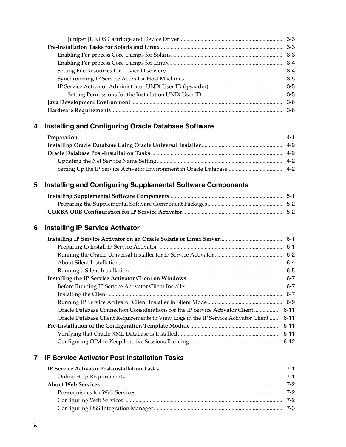# **[4 Installing and Configuring Oracle Database Software](#page-24-0)**

# **[5 Installing and Configuring Supplemental Software Components](#page-28-0)**

# **[6 Installing IP Service Activator](#page-32-0)**

| Oracle Database Connection Considerations for the IP Service Activator Client  6-11 |          |
|-------------------------------------------------------------------------------------|----------|
| Oracle Database Client Requirements to View Logs in the IP Service Activator Client | 6-11     |
|                                                                                     |          |
|                                                                                     |          |
|                                                                                     | $6 - 12$ |
|                                                                                     |          |

## **[7 IP Service Activator Post-installation Tasks](#page-44-0)**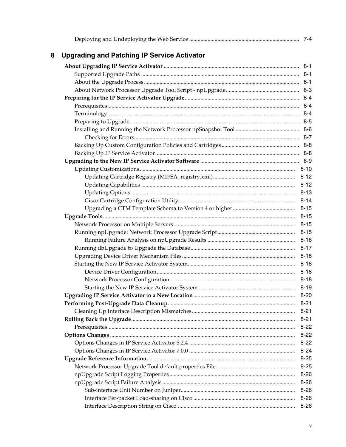| <b>Upgrading and Patching IP Service Activator</b> |          |
|----------------------------------------------------|----------|
|                                                    |          |
|                                                    |          |
|                                                    |          |
|                                                    |          |
|                                                    |          |
|                                                    |          |
|                                                    |          |
|                                                    |          |
|                                                    |          |
|                                                    |          |
|                                                    |          |
|                                                    |          |
|                                                    |          |
|                                                    |          |
|                                                    | $8 - 12$ |
|                                                    | $8 - 12$ |
|                                                    | $8 - 13$ |
|                                                    | $8 - 14$ |
|                                                    | $8 - 15$ |
|                                                    | $8 - 15$ |
|                                                    | $8 - 15$ |
|                                                    | $8 - 15$ |
|                                                    | $8 - 16$ |
|                                                    | $8 - 17$ |
|                                                    | $8 - 18$ |
|                                                    | $8 - 18$ |
|                                                    | $8 - 18$ |
|                                                    | $8 - 18$ |
|                                                    | $8 - 19$ |
|                                                    | $8 - 20$ |
|                                                    | $8 - 21$ |
|                                                    | $8 - 21$ |
|                                                    | $8 - 21$ |
|                                                    | $8 - 22$ |
|                                                    | $8 - 22$ |
|                                                    | $8 - 22$ |
|                                                    | $8 - 24$ |
|                                                    | $8 - 25$ |
|                                                    | $8 - 25$ |
|                                                    | $8 - 26$ |
|                                                    | $8 - 26$ |
|                                                    | $8 - 26$ |
|                                                    | $8 - 26$ |
|                                                    | $8 - 26$ |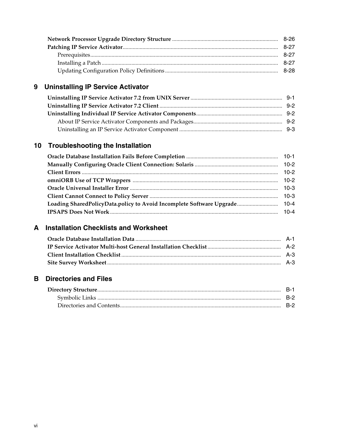# 9 Uninstalling IP Service Activator

# 10 Troubleshooting the Installation

# **A** Installation Checklists and Worksheet

## **B** Directories and Files

| B-1. |
|------|
|      |
| B-2  |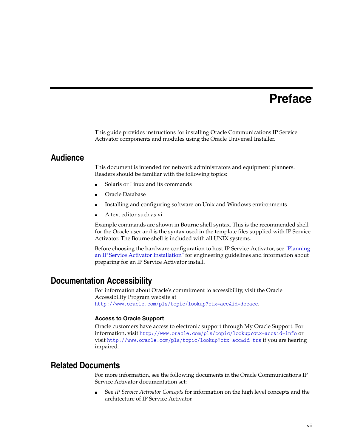# **Preface**

<span id="page-6-0"></span>This guide provides instructions for installing Oracle Communications IP Service Activator components and modules using the Oracle Universal Installer.

## <span id="page-6-1"></span>**Audience**

This document is intended for network administrators and equipment planners. Readers should be familiar with the following topics:

- Solaris or Linux and its commands
- Oracle Database
- Installing and configuring software on Unix and Windows environments
- A text editor such as vi

Example commands are shown in Bourne shell syntax. This is the recommended shell for the Oracle user and is the syntax used in the template files supplied with IP Service Activator. The Bourne shell is included with all UNIX systems.

Before choosing the hardware configuration to host IP Service Activator, see ["Planning](#page-10-4)  [an IP Service Activator Installation"](#page-10-4) for engineering guidelines and information about preparing for an IP Service Activator install.

## <span id="page-6-2"></span>**Documentation Accessibility**

For information about Oracle's commitment to accessibility, visit the Oracle Accessibility Program website at http://www.oracle.com/pls/topic/lookup?ctx=acc&id=docacc.

#### **Access to Oracle Support**

Oracle customers have access to electronic support through My Oracle Support. For information, visit http://www.oracle.com/pls/topic/lookup?ctx=acc&id=info or visit http://www.oracle.com/pls/topic/lookup?ctx=acc&id=trs if you are hearing impaired.

# <span id="page-6-3"></span>**Related Documents**

For more information, see the following documents in the Oracle Communications IP Service Activator documentation set:

See *IP Service Activator Concepts* for information on the high level concepts and the architecture of IP Service Activator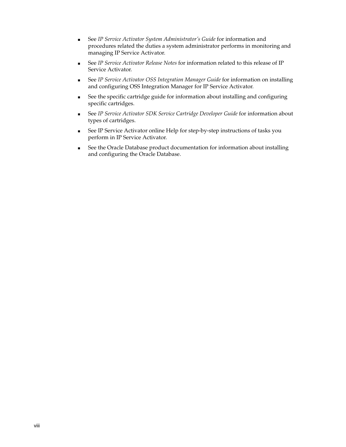- See *IP Service Activator System Administrator's Guide* for information and procedures related the duties a system administrator performs in monitoring and managing IP Service Activator.
- See *IP Service Activator Release Notes* for information related to this release of IP Service Activator.
- See *IP Service Activator OSS Integration Manager Guide* for information on installing and configuring OSS Integration Manager for IP Service Activator.
- See the specific cartridge guide for information about installing and configuring specific cartridges.
- See *IP Service Activator SDK Service Cartridge Developer Guide* for information about types of cartridges.
- See IP Service Activator online Help for step-by-step instructions of tasks you perform in IP Service Activator.
- See the Oracle Database product documentation for information about installing and configuring the Oracle Database.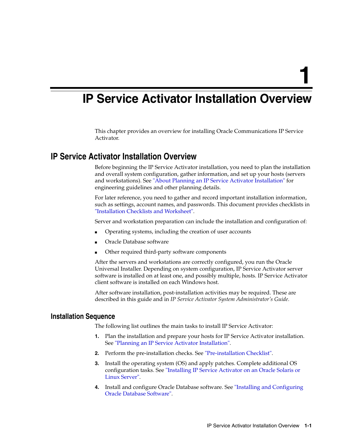**1**

# <span id="page-8-0"></span>**IP Service Activator Installation Overview**

This chapter provides an overview for installing Oracle Communications IP Service Activator.

## <span id="page-8-1"></span>**IP Service Activator Installation Overview**

Before beginning the IP Service Activator installation, you need to plan the installation and overall system configuration, gather information, and set up your hosts (servers and workstations). See ["About Planning an IP Service Activator Installation"](#page-10-5) for engineering guidelines and other planning details.

For later reference, you need to gather and record important installation information, such as settings, account names, and passwords. This document provides checklists in ["Installation Checklists and Worksheet".](#page-88-2)

Server and workstation preparation can include the installation and configuration of:

- Operating systems, including the creation of user accounts
- Oracle Database software
- Other required third-party software components

After the servers and workstations are correctly configured, you run the Oracle Universal Installer. Depending on system configuration, IP Service Activator server software is installed on at least one, and possibly multiple, hosts. IP Service Activator client software is installed on each Windows host.

After software installation, post-installation activities may be required. These are described in this guide and in *IP Service Activator System Administrator's Guide.*

## <span id="page-8-2"></span>**Installation Sequence**

The following list outlines the main tasks to install IP Service Activator:

- **1.** Plan the installation and prepare your hosts for IP Service Activator installation. See ["Planning an IP Service Activator Installation".](#page-10-4)
- **2.** Perform the pre-installation checks. See ["Pre-installation Checklist".](#page-9-0)
- **3.** Install the operating system (OS) and apply patches. Complete additional OS configuration tasks. See ["Installing IP Service Activator on an Oracle Solaris or](#page-32-3)  [Linux Server".](#page-32-3)
- **4.** Install and configure Oracle Database software. See ["Installing and Configuring](#page-24-2)  [Oracle Database Software"](#page-24-2).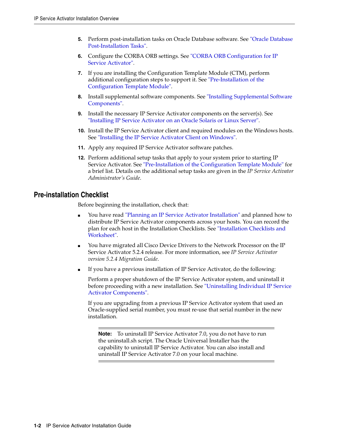- **5.** Perform post-installation tasks on Oracle Database software. See ["Oracle Database](#page-25-4)  [Post-Installation Tasks".](#page-25-4)
- **6.** Configure the CORBA ORB settings. See ["CORBA ORB Configuration for IP](#page-29-2)  [Service Activator".](#page-29-2)
- **7.** If you are installing the Configuration Template Module (CTM), perform additional configuration steps to support it. See ["Pre-Installation of the](#page-42-4)  [Configuration Template Module".](#page-42-4)
- **8.** Install supplemental software components. See ["Installing Supplemental Software](#page-28-2)  [Components"](#page-28-2).
- **9.** Install the necessary IP Service Activator components on the server(s). See ["Installing IP Service Activator on an Oracle Solaris or Linux Server".](#page-32-3)
- **10.** Install the IP Service Activator client and required modules on the Windows hosts. See ["Installing the IP Service Activator Client on Windows"](#page-38-3).
- **11.** Apply any required IP Service Activator software patches.
- **12.** Perform additional setup tasks that apply to your system prior to starting IP Service Activator. See ["Pre-Installation of the Configuration Template Module"](#page-42-4) for a brief list. Details on the additional setup tasks are given in the *IP Service Activator Administrator's Guide*.

## <span id="page-9-0"></span>**Pre-installation Checklist**

Before beginning the installation, check that:

- You have read ["Planning an IP Service Activator Installation"](#page-10-4) and planned how to distribute IP Service Activator components across your hosts. You can record the plan for each host in the Installation Checklists. See ["Installation Checklists and](#page-88-2)  [Worksheet".](#page-88-2)
- You have migrated all Cisco Device Drivers to the Network Processor on the IP Service Activator 5.2.4 release. For more information, see *IP Service Activator version 5.2.4 Migration Guide*.
- If you have a previous installation of IP Service Activator, do the following:

Perform a proper shutdown of the IP Service Activator system, and uninstall it before proceeding with a new installation. See ["Uninstalling Individual IP Service](#page-81-3)  [Activator Components".](#page-81-3)

If you are upgrading from a previous IP Service Activator system that used an Oracle-supplied serial number, you must re-use that serial number in the new installation.

**Note:** To uninstall IP Service Activator 7.0, you do not have to run the uninstall.sh script. The Oracle Universal Installer has the capability to uninstall IP Service Activator. You can also install and uninstall IP Service Activator 7.0 on your local machine.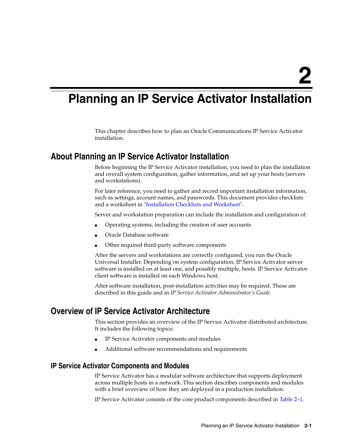# <span id="page-10-4"></span><span id="page-10-0"></span>**Planning an IP Service Activator Installation**

This chapter describes how to plan an Oracle Communications IP Service Activator installation.

## <span id="page-10-5"></span><span id="page-10-1"></span>**About Planning an IP Service Activator Installation**

Before beginning the IP Service Activator installation, you need to plan the installation and overall system configuration, gather information, and set up your hosts (servers and workstations).

For later reference, you need to gather and record important installation information, such as settings, account names, and passwords. This document provides checklists and a worksheet in ["Installation Checklists and Worksheet".](#page-88-2)

Server and workstation preparation can include the installation and configuration of:

- Operating systems, including the creation of user accounts
- Oracle Database software
- Other required third-party software components

After the servers and workstations are correctly configured, you run the Oracle Universal Installer. Depending on system configuration, IP Service Activator server software is installed on at least one, and possibly multiple, hosts. IP Service Activator client software is installed on each Windows host.

After software installation, post-installation activities may be required. These are described in this guide and in *IP Service Activator Administrator's Guide*.

# <span id="page-10-2"></span>**Overview of IP Service Activator Architecture**

This section provides an overview of the IP Service Activator distributed architecture. It includes the following topics:

- IP Service Activator components and modules
- Additional software recommendations and requirements

### <span id="page-10-3"></span>**IP Service Activator Components and Modules**

IP Service Activator has a modular software architecture that supports deployment across multiple hosts in a network. This section describes components and modules with a brief overview of how they are deployed in a production installation.

IP Service Activator consists of the core product components described in [Table 2–1.](#page-11-0)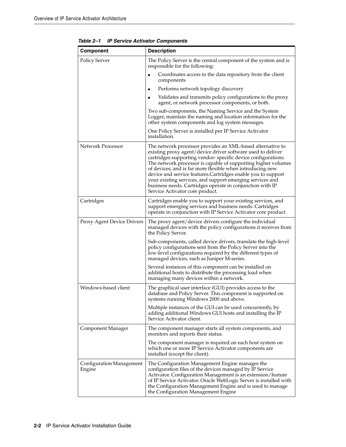| <b>Component</b>                   | <b>Description</b>                                                                                                                                                                                                                                                                                                                                                                                                                                                                                                                                    |
|------------------------------------|-------------------------------------------------------------------------------------------------------------------------------------------------------------------------------------------------------------------------------------------------------------------------------------------------------------------------------------------------------------------------------------------------------------------------------------------------------------------------------------------------------------------------------------------------------|
| <b>Policy Server</b>               | The Policy Server is the central component of the system and is<br>responsible for the following:                                                                                                                                                                                                                                                                                                                                                                                                                                                     |
|                                    | Coordinates access to the data repository from the client<br>components                                                                                                                                                                                                                                                                                                                                                                                                                                                                               |
|                                    | Performs network topology discovery                                                                                                                                                                                                                                                                                                                                                                                                                                                                                                                   |
|                                    | Validates and transmits policy configurations to the proxy<br>agent, or network processor components, or both.                                                                                                                                                                                                                                                                                                                                                                                                                                        |
|                                    | Two sub-components, the Naming Service and the System<br>Logger, maintain the naming and location information for the<br>other system components and log system messages.                                                                                                                                                                                                                                                                                                                                                                             |
|                                    | One Policy Server is installed per IP Service Activator<br>installation.                                                                                                                                                                                                                                                                                                                                                                                                                                                                              |
| <b>Network Processor</b>           | The network processor provides an XML-based alternative to<br>existing proxy agent/device driver software used to deliver<br>cartridges supporting vendor-specific device configurations.<br>The network processor is capable of supporting higher volumes<br>of devices, and is far more flexible when introducing new<br>device and service features. Cartridges enable you to support<br>your existing services, and support emerging services and<br>business needs. Cartridges operate in conjunction with IP<br>Service Activator core product. |
| Cartridges                         | Cartridges enable you to support your existing services, and<br>support emerging services and business needs. Cartridges<br>operate in conjunction with IP Service Activator core product.                                                                                                                                                                                                                                                                                                                                                            |
| <b>Proxy Agent Device Drivers</b>  | The proxy agent/device drivers configure the individual<br>managed devices with the policy configurations it receives from<br>the Policy Server.                                                                                                                                                                                                                                                                                                                                                                                                      |
|                                    | Sub-components, called device drivers, translate the high-level<br>policy configurations sent from the Policy Server into the<br>low-level configurations required by the different types of<br>managed devices, such as Juniper M-series.                                                                                                                                                                                                                                                                                                            |
|                                    | Several instances of this component can be installed on<br>additional hosts to distribute the processing load when<br>managing many devices within a network.                                                                                                                                                                                                                                                                                                                                                                                         |
| Windows-based client               | The graphical user interface (GUI) provides access to the<br>database and Policy Server. This component is supported on<br>systems running Windows 2000 and above.                                                                                                                                                                                                                                                                                                                                                                                    |
|                                    | Multiple instances of the GUI can be used concurrently, by<br>adding additional Windows GUI hosts and installing the IP<br>Service Activator client.                                                                                                                                                                                                                                                                                                                                                                                                  |
| Component Manager                  | The component manager starts all system components, and<br>monitors and reports their status.                                                                                                                                                                                                                                                                                                                                                                                                                                                         |
|                                    | The component manager is required on each host system on<br>which one or more IP Service Activator components are<br>installed (except the client).                                                                                                                                                                                                                                                                                                                                                                                                   |
| Configuration Management<br>Engine | The Configuration Management Engine manages the<br>configuration files of the devices managed by IP Service<br>Activator. Configuration Management is an extension/feature<br>of IP Service Activator. Oracle WebLogic Server is installed with<br>the Configuration Management Engine and is used to manage<br>the Configuration Management Engine                                                                                                                                                                                                   |

<span id="page-11-0"></span>*Table 2–1 IP Service Activator Components*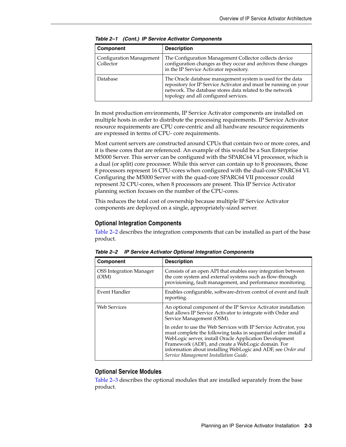| Component                             | <b>Description</b>                                                                                                                                                                                                                 |
|---------------------------------------|------------------------------------------------------------------------------------------------------------------------------------------------------------------------------------------------------------------------------------|
| Configuration Management<br>Collector | The Configuration Management Collector collects device<br>configuration changes as they occur and archives these changes<br>in the IP Service Activator repository.                                                                |
| Database                              | The Oracle database management system is used for the data<br>repository for IP Service Activator and must be running on your<br>network. The database stores data related to the network<br>topology and all configured services. |

*Table 2–1 (Cont.) IP Service Activator Components* 

In most production environments, IP Service Activator components are installed on multiple hosts in order to distribute the processing requirements. IP Service Activator resource requirements are CPU core-centric and all hardware resource requirements are expressed in terms of CPU- core requirements.

Most current servers are constructed around CPUs that contain two or more cores, and it is these cores that are referenced. An example of this would be a Sun Enterprise M5000 Server. This server can be configured with the SPARC64 VI processor, which is a dual (or split) core processor. While this server can contain up to 8 processors, those 8 processors represent 16 CPU-cores when configured with the dual-core SPARC64 VI. Configuring the M5000 Server with the quad-core SPARC64 VII processor could represent 32 CPU-cores, when 8 processors are present. This IP Service Activator planning section focuses on the number of the CPU-cores.

This reduces the total cost of ownership because multiple IP Service Activator components are deployed on a single, appropriately-sized server.

#### <span id="page-12-0"></span>**Optional Integration Components**

[Table 2–2](#page-12-2) describes the integration components that can be installed as part of the base product.

| <b>Component</b>                        | <b>Description</b>                                                                                                                                                                                                                                                                                                                                             |
|-----------------------------------------|----------------------------------------------------------------------------------------------------------------------------------------------------------------------------------------------------------------------------------------------------------------------------------------------------------------------------------------------------------------|
| <b>OSS</b> Integration Manager<br>(OIM) | Consists of an open API that enables easy integration between<br>the core system and external systems such as flow-through<br>provisioning, fault management, and performance monitoring.                                                                                                                                                                      |
| Event Handler                           | Enables configurable, software-driven control of event and fault<br>reporting.                                                                                                                                                                                                                                                                                 |
| <b>Web Services</b>                     | An optional component of the IP Service Activator installation<br>that allows IP Service Activator to integrate with Order and<br>Service Management (OSM).                                                                                                                                                                                                    |
|                                         | In order to use the Web Services with IP Service Activator, you<br>must complete the following tasks in sequential order: install a<br>WebLogic server, install Oracle Application Development<br>Framework (ADF), and create a WebLogic domain. For<br>information about installing WebLogic and ADF, see Order and<br>Service Management Installation Guide. |

<span id="page-12-2"></span>*Table 2–2 IP Service Activator Optional Integration Components*

#### <span id="page-12-1"></span>**Optional Service Modules**

[Table 2–3](#page-13-3) describes the optional modules that are installed separately from the base product.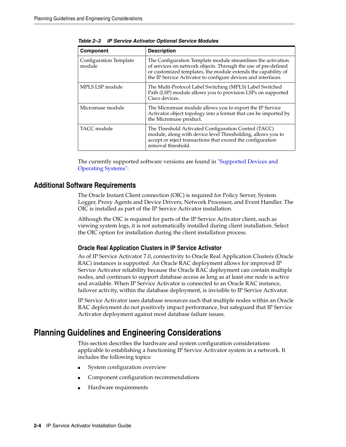| <b>Component</b>                 | <b>Description</b>                                                                                                                                                                                                                                               |
|----------------------------------|------------------------------------------------------------------------------------------------------------------------------------------------------------------------------------------------------------------------------------------------------------------|
| Configuration Template<br>module | The Configuration Template module streamlines the activation<br>of services on network objects. Through the use of pre-defined<br>or customized templates, the module extends the capability of<br>the IP Service Activator to configure devices and interfaces. |
| MPLS LSP module                  | The Multi-Protocol Label Switching (MPLS) Label Switched<br>Path (LSP) module allows you to provision LSPs on supported<br>Cisco devices.                                                                                                                        |
| Micromuse module                 | The Micromuse module allows you to export the IP Service<br>Activator object topology into a format that can be imported by<br>the Micromuse product.                                                                                                            |
| TACC module                      | The Threshold Activated Configuration Control (TACC)<br>module, along with device level Thresholding, allows you to<br>accept or reject transactions that exceed the configuration<br>removal threshold.                                                         |

<span id="page-13-3"></span>*Table 2–3 IP Service Activator Optional Service Modules* 

The currently supported software versions are found in ["Supported Devices and](#page-17-5)  [Operating Systems"](#page-17-5).

### <span id="page-13-0"></span>**Additional Software Requirements**

The Oracle Instant Client connection (OIC) is required for Policy Server, System Logger, Proxy Agents and Device Drivers, Network Processor, and Event Handler. The OIC is installed as part of the IP Service Activator installation.

Although the OIC is required for parts of the IP Service Activator client, such as viewing system logs, it is not automatically installed during client installation. Select the OIC option for installation during the client installation process.

#### <span id="page-13-1"></span>**Oracle Real Application Clusters in IP Service Activator**

As of IP Service Activator 7.0, connectivity to Oracle Real Application Clusters (Oracle RAC) instances is supported. An Oracle RAC deployment allows for improved IP Service Activator reliability because the Oracle RAC deployment can contain multiple nodes, and continues to support database access as long as at least one node is active and available. When IP Service Activator is connected to an Oracle RAC instance, failover activity, within the database deployment, is invisible to IP Service Activator.

IP Service Activator uses database resources such that multiple nodes within an Oracle RAC deployment do not positively impact performance, but safeguard that IP Service Activator deployment against most database failure issues.

# <span id="page-13-2"></span>**Planning Guidelines and Engineering Considerations**

This section describes the hardware and system configuration considerations applicable to establishing a functioning IP Service Activator system in a network. It includes the following topics:

- System configuration overview
- Component configuration recommendations
- Hardware requirements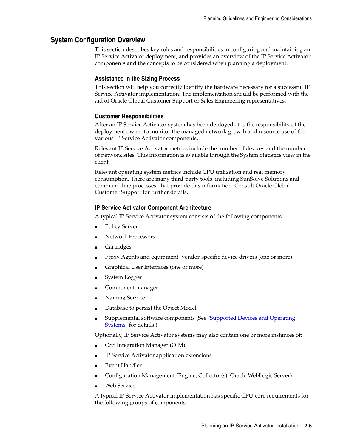## <span id="page-14-1"></span><span id="page-14-0"></span>**System Configuration Overview**

This section describes key roles and responsibilities in configuring and maintaining an IP Service Activator deployment, and provides an overview of the IP Service Activator components and the concepts to be considered when planning a deployment.

### **Assistance in the Sizing Process**

This section will help you correctly identify the hardware necessary for a successful IP Service Activator implementation. The implementation should be performed with the aid of Oracle Global Customer Support or Sales Engineering representatives.

### <span id="page-14-2"></span>**Customer Responsibilities**

After an IP Service Activator system has been deployed, it is the responsibility of the deployment owner to monitor the managed network growth and resource use of the various IP Service Activator components.

Relevant IP Service Activator metrics include the number of devices and the number of network sites. This information is available through the System Statistics view in the client.

Relevant operating system metrics include CPU utilization and real memory consumption. There are many third-party tools, including SunSolve Solutions and command-line processes, that provide this information. Consult Oracle Global Customer Support for further details.

### <span id="page-14-3"></span>**IP Service Activator Component Architecture**

A typical IP Service Activator system consists of the following components:

- Policy Server
- Network Processors
- **Cartridges**
- Proxy Agents and equipment- vendor-specific device drivers (one or more)
- Graphical User Interfaces (one or more)
- System Logger
- Component manager
- Naming Service
- Database to persist the Object Model
- Supplemental software components (See "Supported Devices and Operating [Systems"](#page-17-5) for details.)

Optionally, IP Service Activator systems may also contain one or more instances of:

- OSS Integration Manager (OIM)
- IP Service Activator application extensions
- Event Handler
- Configuration Management (Engine, Collector(s), Oracle WebLogic Server)
- Web Service

A typical IP Service Activator implementation has specific CPU-core requirements for the following groups of components: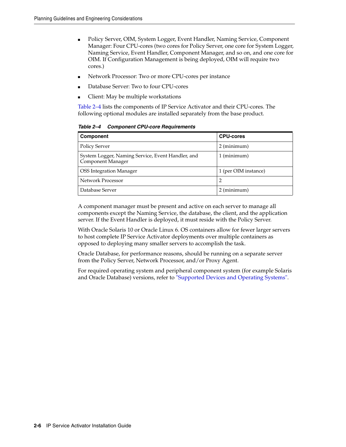- Policy Server, OIM, System Logger, Event Handler, Naming Service, Component Manager: Four CPU-cores (two cores for Policy Server, one core for System Logger, Naming Service, Event Handler, Component Manager, and so on, and one core for OIM. If Configuration Management is being deployed, OIM will require two cores.)
- Network Processor: Two or more CPU-cores per instance
- Database Server: Two to four CPU-cores
- Client: May be multiple workstations

[Table 2–4](#page-15-0) lists the components of IP Service Activator and their CPU-cores. The following optional modules are installed separately from the base product.

<span id="page-15-0"></span>*Table 2–4 Component CPU-core Requirements*

| Component                                                              | <b>CPU-cores</b>     |
|------------------------------------------------------------------------|----------------------|
| <b>Policy Server</b>                                                   | 2 (minimum)          |
| System Logger, Naming Service, Event Handler, and<br>Component Manager | $1$ (minimum)        |
| <b>OSS</b> Integration Manager                                         | 1 (per OIM instance) |
| Network Processor                                                      | $\overline{2}$       |
| Database Server                                                        | 2 (minimum)          |

A component manager must be present and active on each server to manage all components except the Naming Service, the database, the client, and the application server. If the Event Handler is deployed, it must reside with the Policy Server.

With Oracle Solaris 10 or Oracle Linux 6. OS containers allow for fewer larger servers to host complete IP Service Activator deployments over multiple containers as opposed to deploying many smaller servers to accomplish the task.

Oracle Database, for performance reasons, should be running on a separate server from the Policy Server, Network Processor, and/or Proxy Agent.

For required operating system and peripheral component system (for example Solaris and Oracle Database) versions, refer to ["Supported Devices and Operating Systems".](#page-17-5)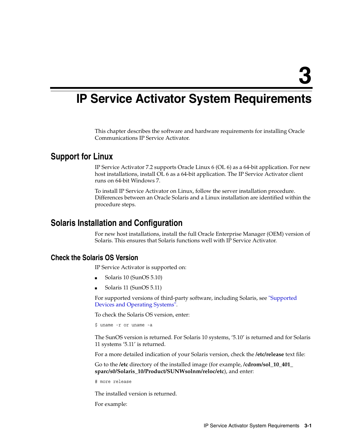# <span id="page-16-4"></span><span id="page-16-0"></span>**IP Service Activator System Requirements**

This chapter describes the software and hardware requirements for installing Oracle Communications IP Service Activator.

## <span id="page-16-1"></span>**Support for Linux**

IP Service Activator 7.2 supports Oracle Linux 6 (OL 6) as a 64-bit application. For new host installations, install OL 6 as a 64-bit application. The IP Service Activator client runs on 64-bit Windows 7.

To install IP Service Activator on Linux, follow the server installation procedure. Differences between an Oracle Solaris and a Linux installation are identified within the procedure steps.

# <span id="page-16-2"></span>**Solaris Installation and Configuration**

For new host installations, install the full Oracle Enterprise Manager (OEM) version of Solaris. This ensures that Solaris functions well with IP Service Activator.

## <span id="page-16-3"></span>**Check the Solaris OS Version**

IP Service Activator is supported on:

- Solaris 10 (SunOS 5.10)
- Solaris 11 (SunOS 5.11)

For supported versions of third-party software, including Solaris, see ["Supported](#page-17-1)  [Devices and Operating Systems".](#page-17-1)

To check the Solaris OS version, enter:

```
$ uname -r or uname -a
```
The SunOS version is returned. For Solaris 10 systems, '5.10' is returned and for Solaris 11 systems '5.11' is returned.

For a more detailed indication of your Solaris version, check the **/etc/release** text file:

Go to the **/etc** directory of the installed image (for example, **/cdrom/sol\_10\_401\_ sparc/s0/Solaris\_10/Product/SUNWsolnm/reloc/etc**), and enter:

# more release

The installed version is returned.

For example: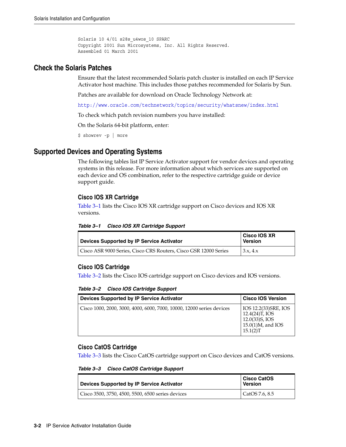```
Solaris 10 4/01 s28s_u4wos_10 SPARC
Copyright 2001 Sun Microsystems, Inc. All Rights Reserved.
Assembled 01 March 2001
```
## <span id="page-17-0"></span>**Check the Solaris Patches**

Ensure that the latest recommended Solaris patch cluster is installed on each IP Service Activator host machine. This includes those patches recommended for Solaris by Sun.

Patches are available for download on Oracle Technology Network at:

http://www.oracle.com/technetwork/topics/security/whatsnew/index.html

To check which patch revision numbers you have installed:

On the Solaris 64-bit platform, enter:

\$ showrev -p | more

## <span id="page-17-5"></span><span id="page-17-1"></span>**Supported Devices and Operating Systems**

The following tables list IP Service Activator support for vendor devices and operating systems in this release. For more information about which services are supported on each device and OS combination, refer to the respective cartridge guide or device support guide.

### <span id="page-17-2"></span>**Cisco IOS XR Cartridge**

[Table 3–1](#page-17-6) lists the Cisco IOS XR cartridge support on Cisco devices and IOS XR versions.

<span id="page-17-6"></span>*Table 3–1 Cisco IOS XR Cartridge Support*

| Devices Supported by IP Service Activator                        | <b>Cisco IOS XR</b><br><b>Version</b> |
|------------------------------------------------------------------|---------------------------------------|
| Cisco ASR 9000 Series, Cisco CRS Routers, Cisco GSR 12000 Series | 3.x.4.x                               |

## <span id="page-17-3"></span>**Cisco IOS Cartridge**

[Table 3–2](#page-17-7) lists the Cisco IOS cartridge support on Cisco devices and IOS versions.

<span id="page-17-7"></span>*Table 3–2 Cisco IOS Cartridge Support*

| Devices Supported by IP Service Activator                             | <b>Cisco IOS Version</b>                                                                        |
|-----------------------------------------------------------------------|-------------------------------------------------------------------------------------------------|
| Cisco 1000, 2000, 3000, 4000, 6000, 7000, 10000, 12000 series devices | IOS 12.2(33)SRE, IOS<br>12.4(24)T, IOS<br>12.0(33)S, IOS<br>$15.0(1)M$ , and IOS<br>$15.1(2)$ T |

### <span id="page-17-4"></span>**Cisco CatOS Cartridge**

[Table 3–3](#page-17-8) lists the Cisco CatOS cartridge support on Cisco devices and CatOS versions.

<span id="page-17-8"></span>*Table 3–3 Cisco CatOS Cartridge Support*

| Devices Supported by IP Service Activator         | <b>Cisco CatOS</b><br><b>Version</b> |
|---------------------------------------------------|--------------------------------------|
| Cisco 3500, 3750, 4500, 5500, 6500 series devices | CatOS 7.6, 8.5                       |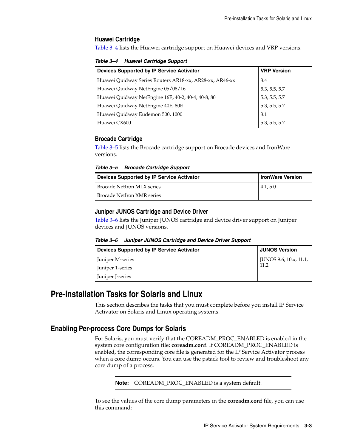#### <span id="page-18-0"></span>**Huawei Cartridge**

[Table 3–4](#page-18-5) lists the Huawei cartridge support on Huawei devices and VRP versions.

*Table 3–4 Huawei Cartridge Support*

<span id="page-18-5"></span>

| <b>Devices Supported by IP Service Activator</b>        | <b>VRP Version</b>                              |
|---------------------------------------------------------|-------------------------------------------------|
| Huawei Quidway Series Routers AR18-xx, AR28-xx, AR46-xx | 3.4                                             |
| Huawei Quidway NetEngine 05/08/16                       |                                                 |
| Huawei Quidway NetEngine 16E, 40-2, 40-4, 40-8, 80      | 5.3, 5.5, 5.7<br>5.3, 5.5, 5.7<br>5.3, 5.5, 5.7 |
| Huawei Quidway NetEngine 40E, 80E                       |                                                 |
| Huawei Quidway Eudemon 500, 1000                        | 3.1                                             |
| Huawei CX600                                            | 5.3, 5.5, 5.7                                   |

#### <span id="page-18-1"></span>**Brocade Cartridge**

[Table 3–5](#page-18-6) lists the Brocade cartridge support on Brocade devices and IronWare versions.

*Table 3–5 Brocade Cartridge Support*

<span id="page-18-6"></span>

| Devices Supported by IP Service Activator | <b>IronWare Version</b> |
|-------------------------------------------|-------------------------|
| Brocade NetIron MLX series                | 4.1, 5.0                |
| Brocade NetIron XMR series                |                         |

#### <span id="page-18-2"></span>**Juniper JUNOS Cartridge and Device Driver**

[Table 3–6](#page-18-7) lists the Juniper JUNOS cartridge and device driver support on Juniper devices and JUNOS versions.

| Table 3–6 | Juniper JUNOS Cartridge and Device Driver Support |  |  |  |
|-----------|---------------------------------------------------|--|--|--|
|-----------|---------------------------------------------------|--|--|--|

<span id="page-18-7"></span>

| Devices Supported by IP Service Activator | <b>JUNOS Version</b>   |  |
|-------------------------------------------|------------------------|--|
| Juniper M-series                          | JUNOS 9.6, 10.x, 11.1, |  |
| Juniper T-series                          | 11.2                   |  |
| Juniper J-series                          |                        |  |

## <span id="page-18-3"></span>**Pre-installation Tasks for Solaris and Linux**

This section describes the tasks that you must complete before you install IP Service Activator on Solaris and Linux operating systems.

### <span id="page-18-4"></span>**Enabling Per-process Core Dumps for Solaris**

For Solaris, you must verify that the COREADM\_PROC\_ENABLED is enabled in the system core configuration file: **coreadm.conf**. If COREADM\_PROC\_ENABLED is enabled, the corresponding core file is generated for the IP Service Activator process when a core dump occurs. You can use the pstack tool to review and troubleshoot any core dump of a process.

**Note:** COREADM\_PROC\_ENABLED is a system default.

To see the values of the core dump parameters in the **coreadm.conf** file, you can use this command: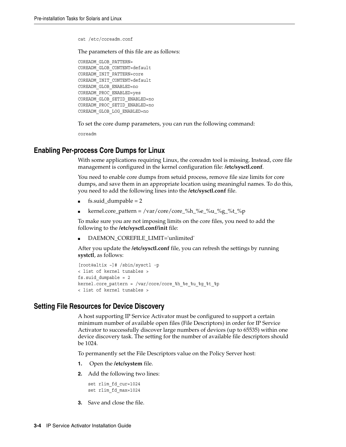cat /etc/coreadm.conf

The parameters of this file are as follows:

```
COREADM_GLOB_PATTERN=
COREADM_GLOB_CONTENT=default
COREADM_INIT_PATTERN=core
COREADM_INIT_CONTENT=default
COREADM_GLOB_ENABLED=no
COREADM_PROC_ENABLED=yes
COREADM_GLOB_SETID_ENABLED=no
COREADM_PROC_SETID_ENABLED=no
COREADM_GLOB_LOG_ENABLED=no
```
To set the core dump parameters, you can run the following command:

coreadm

### <span id="page-19-0"></span>**Enabling Per-process Core Dumps for Linux**

With some applications requiring Linux, the coreadm tool is missing. Instead, core file management is configured in the kernel configuration file: **/etc/sysctl.conf**.

You need to enable core dumps from setuid process, remove file size limits for core dumps, and save them in an appropriate location using meaningful names. To do this, you need to add the following lines into the **/etc/sysctl.conf** file.

- $fs. \text{suid\_dumpable} = 2$
- $\ker$ nel.core\_pattern = /var/core/core\_%h\_%e\_%u\_%g\_%t\_%p

To make sure you are not imposing limits on the core files, you need to add the following to the **/etc/sysctl.conf/init** file:

DAEMON\_COREFILE\_LIMIT='unlimited'

After you update the **/etc/sysctl.conf** file, you can refresh the settings by running **systctl**, as follows:

```
[root@altix ~]# /sbin/sysctl -p
< list of kernel tunables >
fs.suid dumpable = 2kernel.core pattern = /var/core/core %h %e %u %g %t %p
< list of kernel tunables >
```
#### <span id="page-19-1"></span>**Setting File Resources for Device Discovery**

A host supporting IP Service Activator must be configured to support a certain minimum number of available open files (File Descriptors) in order for IP Service Activator to successfully discover large numbers of devices (up to 65535) within one device discovery task. The setting for the number of available file descriptors should be 1024.

To permanently set the File Descriptors value on the Policy Server host:

- **1.** Open the **/etc/system** file.
- **2.** Add the following two lines:

```
set rlim_fd_cur=1024
set rlim_fd_max=1024
```
**3.** Save and close the file.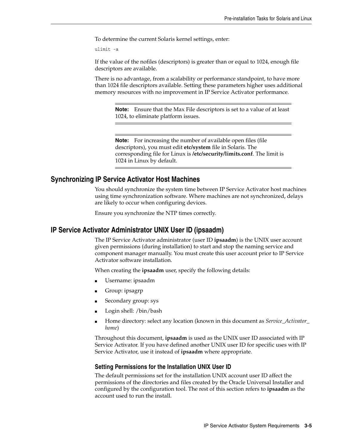To determine the current Solaris kernel settings, enter:

ulimit -a

If the value of the nofiles (descriptors) is greater than or equal to 1024, enough file descriptors are available.

There is no advantage, from a scalability or performance standpoint, to have more than 1024 file descriptors available. Setting these parameters higher uses additional memory resources with no improvement in IP Service Activator performance.

**Note:** Ensure that the Max File descriptors is set to a value of at least 1024, to eliminate platform issues.

**Note:** For increasing the number of available open files (file descriptors), you must edit **etc/system** file in Solaris. The corresponding file for Linux is **/etc/security/limits.conf**. The limit is 1024 in Linux by default.

## <span id="page-20-0"></span>**Synchronizing IP Service Activator Host Machines**

You should synchronize the system time between IP Service Activator host machines using time synchronization software. Where machines are not synchronized, delays are likely to occur when configuring devices.

Ensure you synchronize the NTP times correctly.

### <span id="page-20-3"></span><span id="page-20-1"></span>**IP Service Activator Administrator UNIX User ID (ipsaadm)**

The IP Service Activator administrator (user ID **ipsaadm**) is the UNIX user account given permissions (during installation) to start and stop the naming service and component manager manually. You must create this user account prior to IP Service Activator software installation.

When creating the **ipsaadm** user, specify the following details:

- Username: ipsaadm
- Group: ipsagrp
- Secondary group: sys
- Login shell: /bin/bash
- Home directory: select any location (known in this document as *Service\_Activator\_ home*)

Throughout this document, **ipsaadm** is used as the UNIX user ID associated with IP Service Activator. If you have defined another UNIX user ID for specific uses with IP Service Activator, use it instead of **ipsaadm** where appropriate.

#### <span id="page-20-2"></span>**Setting Permissions for the Installation UNIX User ID**

The default permissions set for the installation UNIX account user ID affect the permissions of the directories and files created by the Oracle Universal Installer and configured by the configuration tool. The rest of this section refers to **ipsaadm** as the account used to run the install.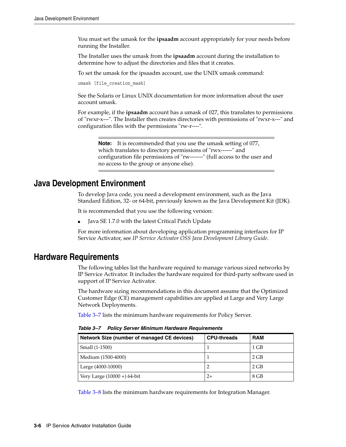You must set the umask for the **ipsaadm** account appropriately for your needs before running the Installer.

The Installer uses the umask from the **ipsaadm** account during the installation to determine how to adjust the directories and files that it creates.

To set the umask for the ipsaadm account, use the UNIX umask command:

umask [file creation mask]

See the Solaris or Linux UNIX documentation for more information about the user account umask.

For example, if the **ipsaadm** account has a umask of 027, this translates to permissions of "rwxr-x---". The Installer then creates directories with permissions of "rwxr-x---" and configuration files with the permissions "rw-r----".

**Note:** It is recommended that you use the umask setting of 077, which translates to directory permissions of "rwx------" and configuration file permissions of "rw-------" (full access to the user and no access to the group or anyone else).

# <span id="page-21-0"></span>**Java Development Environment**

To develop Java code, you need a development environment, such as the Java Standard Edition, 32- or 64-bit, previously known as the Java Development Kit (JDK).

It is recommended that you use the following version:

Java SE 1.7.0 with the latest Critical Patch Update

For more information about developing application programming interfaces for IP Service Activator, see *IP Service Activator OSS Java Development Library Guide*.

## <span id="page-21-1"></span>**Hardware Requirements**

The following tables list the hardware required to manage various sized networks by IP Service Activator. It includes the hardware required for third-party software used in support of IP Service Activator.

The hardware sizing recommendations in this document assume that the Optimized Customer Edge (CE) management capabilities are applied at Large and Very Large Network Deployments.

[Table 3–7](#page-21-2) lists the minimum hardware requirements for Policy Server.

| Network Size (number of managed CE devices) | <b>CPU-threads</b> | <b>RAM</b> |
|---------------------------------------------|--------------------|------------|
| Small (1-1500)                              |                    | $1$ GB     |
| Medium (1500-4000)                          |                    | 2 GB       |
| Large (4000-10000)                          |                    | 2 GB       |
| Very Large $(10000 + 64$ -bit               | $2+$               | 8 GB       |

<span id="page-21-2"></span>*Table 3–7 Policy Server Minimum Hardware Requirements*

[Table 3–8](#page-22-0) lists the minimum hardware requirements for Integration Manager.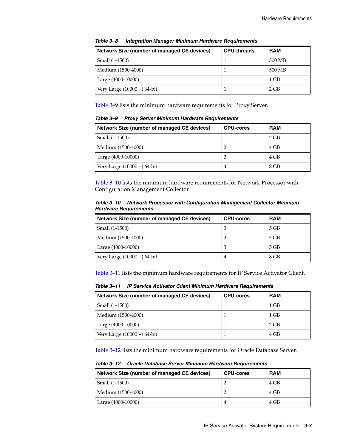<span id="page-22-0"></span>

| Network Size (number of managed CE devices) | <b>CPU-threads</b> | <b>RAM</b> |
|---------------------------------------------|--------------------|------------|
| Small (1-1500)                              |                    | 500 MB     |
| Medium (1500-4000)                          |                    | 500 MB     |
| Large (4000-10000)                          |                    | $1$ GB     |
| Very Large $(10000 + 64$ -bit               |                    | $2$ GB     |

*Table 3–8 Integration Manager Minimum Hardware Requirements*

[Table 3–9](#page-22-1) lists the minimum hardware requirements for Proxy Server.

<span id="page-22-1"></span>*Table 3–9 Proxy Server Minimum Hardware Requirements*

| Network Size (number of managed CE devices) | <b>CPU-cores</b> | <b>RAM</b> |
|---------------------------------------------|------------------|------------|
| Small (1-1500)                              |                  | 2 GB       |
| Medium (1500-4000)                          |                  | 4 GB       |
| Large (4000-10000)                          |                  | 4 GB       |
| Very Large $(10000 + 64$ -bit               | 4                | 8 GB       |

[Table 3–10](#page-22-2) lists the minimum hardware requirements for Network Processor with Configuration Management Collector.

<span id="page-22-2"></span>*Table 3–10 Network Processor with Configuration Management Collector Minimum Hardware Requirements*

| Network Size (number of managed CE devices) | <b>CPU-cores</b> | <b>RAM</b> |
|---------------------------------------------|------------------|------------|
| Small (1-1500)                              |                  | $5$ GB     |
| Medium (1500-4000)                          |                  | $5$ GB     |
| Large (4000-10000)                          |                  | $5$ GB     |
| Very Large $(10000 + 64$ -bit               |                  | 8 GB       |

[Table 3–11](#page-22-3) lists the minimum hardware requirements for IP Service Activator Client.

<span id="page-22-3"></span>*Table 3–11 IP Service Activator Client Minimum Hardware Requirements*

| Network Size (number of managed CE devices) | <b>CPU-cores</b> | <b>RAM</b> |
|---------------------------------------------|------------------|------------|
| Small (1-1500)                              |                  | $1$ GB     |
| Medium (1500-4000)                          |                  | $1$ GB     |
| Large (4000-10000)                          |                  | 2 GB       |
| Very Large $(10000 + 64$ -bit               |                  | 4 GB       |

[Table 3–12](#page-22-4) lists the minimum hardware requirements for Oracle Database Server.

<span id="page-22-4"></span>*Table 3–12 Oracle Database Server Minimum Hardware Requirements*

| Network Size (number of managed CE devices) | <b>CPU-cores</b> | <b>RAM</b> |
|---------------------------------------------|------------------|------------|
| Small (1-1500)                              |                  | 4 GB       |
| Medium (1500-4000)                          |                  | 4 GB       |
| Large (4000-10000)                          |                  | 4 GB       |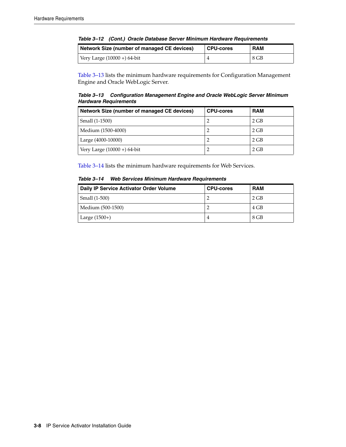|  |  |  | Table 3-12 (Cont.) Oracle Database Server Minimum Hardware Requirements |  |
|--|--|--|-------------------------------------------------------------------------|--|
|--|--|--|-------------------------------------------------------------------------|--|

| Network Size (number of managed CE devices) | <b>CPU-cores</b> | <b>RAM</b> |
|---------------------------------------------|------------------|------------|
| Very Large $(10000 + 64$ -bit               |                  | $8$ GB     |

[Table 3–13](#page-23-0) lists the minimum hardware requirements for Configuration Management Engine and Oracle WebLogic Server.

<span id="page-23-0"></span>*Table 3–13 Configuration Management Engine and Oracle WebLogic Server Minimum Hardware Requirements*

| Network Size (number of managed CE devices) | <b>CPU-cores</b> | <b>RAM</b> |
|---------------------------------------------|------------------|------------|
| Small (1-1500)                              |                  | 2 GB       |
| Medium (1500-4000)                          |                  | 2 GB       |
| Large (4000-10000)                          |                  | 2 GB       |
| Very Large $(10000 + 64$ -bit               |                  | 2 GB       |

[Table 3–14](#page-23-1) lists the minimum hardware requirements for Web Services.

<span id="page-23-1"></span>

|  |  | Table 3-14 Web Services Minimum Hardware Requirements |
|--|--|-------------------------------------------------------|
|--|--|-------------------------------------------------------|

| Daily IP Service Activator Order Volume | <b>CPU-cores</b> | <b>RAM</b> |
|-----------------------------------------|------------------|------------|
| Small (1-500)                           |                  | 2 GB       |
| Medium (500-1500)                       |                  | 4 GB       |
| Large $(1500+)$                         | 4                | 8 GB       |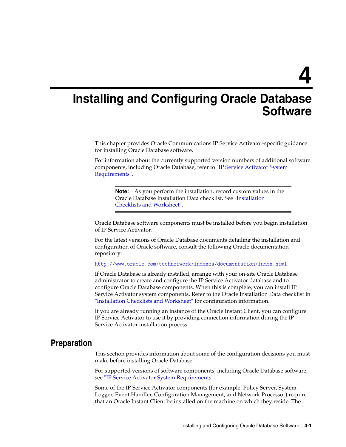# <span id="page-24-2"></span><span id="page-24-0"></span>**Installing and Configuring Oracle Database Software**

This chapter provides Oracle Communications IP Service Activator-specific guidance for installing Oracle Database software.

For information about the currently supported version numbers of additional software components, including Oracle Database, refer to ["IP Service Activator System](#page-16-4)  [Requirements"](#page-16-4).

**Note:** As you perform the installation, record custom values in the Oracle Database Installation Data checklist. See ["Installation](#page-88-2)  [Checklists and Worksheet".](#page-88-2)

Oracle Database software components must be installed before you begin installation of IP Service Activator.

For the latest versions of Oracle Database documents detailing the installation and configuration of Oracle software, consult the following Oracle documentation repository:

http://www.oracle.com/technetwork/indexes/documentation/index.html

If Oracle Database is already installed, arrange with your on-site Oracle Database administrator to create and configure the IP Service Activator database and to configure Oracle Database components. When this is complete, you can install IP Service Activator system components. Refer to the Oracle Installation Data checklist in ["Installation Checklists and Worksheet"](#page-88-2) for configuration information.

If you are already running an instance of the Oracle Instant Client, you can configure IP Service Activator to use it by providing connection information during the IP Service Activator installation process.

## <span id="page-24-1"></span>**Preparation**

This section provides information about some of the configuration decisions you must make before installing Oracle Database.

For supported versions of software components, including Oracle Database software, see ["IP Service Activator System Requirements".](#page-16-4)

Some of the IP Service Activator components (for example, Policy Server, System Logger, Event Handler, Configuration Management, and Network Processor) require that an Oracle Instant Client be installed on the machine on which they reside. The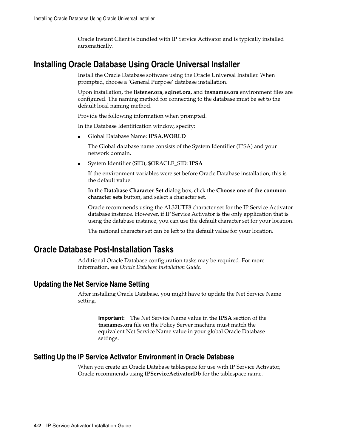Oracle Instant Client is bundled with IP Service Activator and is typically installed automatically.

# <span id="page-25-0"></span>**Installing Oracle Database Using Oracle Universal Installer**

Install the Oracle Database software using the Oracle Universal Installer. When prompted, choose a 'General Purpose' database installation.

Upon installation, the **listener.ora**, **sqlnet.ora**, and **tnsnames.ora** environment files are configured. The naming method for connecting to the database must be set to the default local naming method.

Provide the following information when prompted.

In the Database Identification window, specify:

■ Global Database Name: **IPSA.WORLD**

The Global database name consists of the System Identifier (IPSA) and your network domain.

■ System Identifier (SID), \$ORACLE\_SID: **IPSA**

If the environment variables were set before Oracle Database installation, this is the default value.

In the **Database Character Set** dialog box, click the **Choose one of the common character sets** button, and select a character set.

Oracle recommends using the AL32UTF8 character set for the IP Service Activator database instance. However, if IP Service Activator is the only application that is using the database instance, you can use the default character set for your location.

The national character set can be left to the default value for your location.

# <span id="page-25-4"></span><span id="page-25-1"></span>**Oracle Database Post-Installation Tasks**

Additional Oracle Database configuration tasks may be required. For more information, see *Oracle Database Installation Guide*.

## <span id="page-25-2"></span>**Updating the Net Service Name Setting**

After installing Oracle Database, you might have to update the Net Service Name setting.

**Important:** The Net Service Name value in the **IPSA** section of the **tnsnames.ora** file on the Policy Server machine must match the equivalent Net Service Name value in your global Oracle Database settings.

## <span id="page-25-3"></span>**Setting Up the IP Service Activator Environment in Oracle Database**

When you create an Oracle Database tablespace for use with IP Service Activator, Oracle recommends using **IPServiceActivatorDb** for the tablespace name.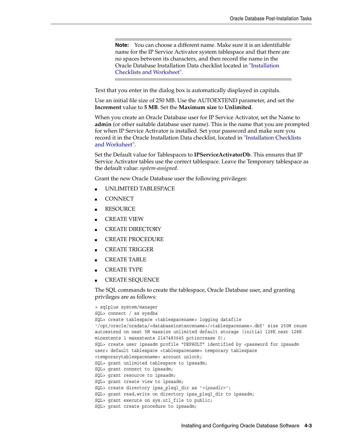**Note:** You can choose a different name. Make sure it is an identifiable name for the IP Service Activator system tablespace and that there are no spaces between its characters, and then record the name in the Oracle Database Installation Data checklist located in ["Installation](#page-88-2)  [Checklists and Worksheet".](#page-88-2)

Text that you enter in the dialog box is automatically displayed in capitals.

Use an initial file size of 250 MB. Use the AUTOEXTEND parameter, and set the **Increment** value to **5 MB**. Set the **Maximum size** to **Unlimited**.

When you create an Oracle Database user for IP Service Activator, set the Name to **admin** (or other suitable database user name). This is the name that you are prompted for when IP Service Activator is installed. Set your password and make sure you record it in the Oracle Installation Data checklist, located in ["Installation Checklists](#page-88-2)  [and Worksheet"](#page-88-2).

Set the Default value for Tablespaces to **IPServiceActivatorDb**. This ensures that IP Service Activator tables use the correct tablespace. Leave the Temporary tablespace as the default value: *system-assigned*.

Grant the new Oracle Database user the following privileges:

- UNLIMITED TABLESPACE
- **CONNECT**
- **RESOURCE**
- **CREATE VIEW**
- CREATE DIRECTORY
- CREATE PROCEDURE
- CREATE TRIGGER
- CREATE TABLE
- CREATE TYPE
- CREATE SEQUENCE

The SQL commands to create the tablespace, Oracle Database user, and granting privileges are as follows:

```
> sqlplus system/manager
SQL> connect / as sysdba
SQL> create tablespace <tablespacename> logging datafile 
'/opt/oracle/oradata/<databaseinstancename>/<tablespacename>.dbf' size 250M reuse 
autoextend on next 5M maxsize unlimited default storage (initial 128K next 128K 
minextents 1 maxextents 2147483645 pctincrease 0);
SQL> create user ipsaadm profile "DEFAULT" identified by <password for ipsaadm 
user> default tablespace <tablespacename> temporary tablespace 
<temporarytablespacename> account unlock;
SQL> grant unlimited tablespace to ipsaadm; 
SQL> grant connect to ipsaadm; 
SQL> grant resource to ipsaadm;
SQL> grant create view to ipsaadm;
SQL> create directory ipsa_plsql_dir as '<ipsadir>';
SQL> grant read,write on directory ipsa_plsql_dir to ipsaadm;
SQL> grant execute on sys.utl_file to public;
SQL> grant create procedure to ipsaadm;
```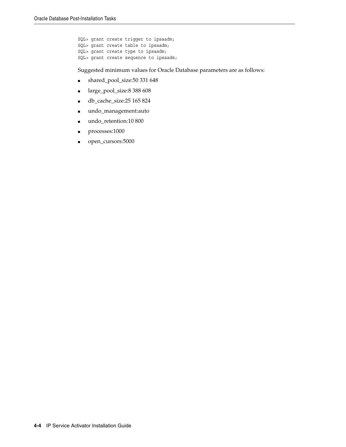SQL> grant create trigger to ipsaadm; SQL> grant create table to ipsaadm; SQL> grant create type to ipsaadm; SQL> grant create sequence to ipsaadm;

Suggested minimum values for Oracle Database parameters are as follows:

- shared\_pool\_size:50 331 648
- large\_pool\_size:8 388 608
- db\_cache\_size:25 165 824
- undo\_management:auto
- undo\_retention:10 800
- processes:1000
- open\_cursors:5000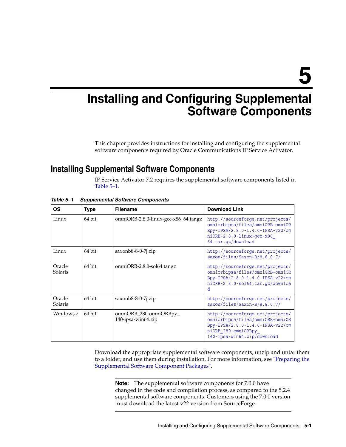# <span id="page-28-0"></span>**Installing and Configuring Supplemental Software Components**

This chapter provides instructions for installing and configuring the supplemental software components required by Oracle Communications IP Service Activator.

# <span id="page-28-2"></span><span id="page-28-1"></span>**Installing Supplemental Software Components**

IP Service Activator 7.2 requires the supplemental software components listed in [Table 5–1.](#page-28-3)

| ΟS                | <b>Type</b> | <b>Filename</b>                              | <b>Download Link</b>                                                                                                                                              |
|-------------------|-------------|----------------------------------------------|-------------------------------------------------------------------------------------------------------------------------------------------------------------------|
| Linux             | 64 bit      | omniORB-2.8.0-linux-gcc-x86_64.tar.gz        | http://sourceforge.net/projects/<br>omniorbipsa/files/omniORB-omniOR<br>Bpy-IPSA/2.8.0-1.4.0-IPSA-v22/om<br>$ni$ ORB-2.8.0-linux-qcc-x86<br>64.tar.qz/download    |
| Linux             | 64 bit      | saxonb8-8-0-7j.zip                           | http://sourceforge.net/projects/<br>saxon/files/Saxon-B/8.8.0.7/                                                                                                  |
| Oracle<br>Solaris | 64 bit      | omniORB-2.8.0-sol64.tar.gz                   | http://sourceforge.net/projects/<br>omniorbipsa/files/omniORB-omniOR<br>Bpy-IPSA/2.8.0-1.4.0-IPSA-v22/om<br>niORB-2.8.0-sol64.tar.qz/downloa<br>d.                |
| Oracle<br>Solaris | 64 bit      | $saxonb8-8-0-7i,zip$                         | http://sourceforge.net/projects/<br>saxon/files/Saxon-B/8.8.0.7/                                                                                                  |
| Windows 7         | 64 bit      | omniORB_280-omniORBpy_<br>140-ipsa-win64.zip | http://sourceforge.net/projects/<br>omniorbipsa/files/omniORB-omniOR<br>Bpy-IPSA/2.8.0-1.4.0-IPSA-v22/om<br>niORB 280-omniORBpy<br>$140$ -ipsa-win64.zip/download |

<span id="page-28-3"></span>*Table 5–1 Supplemental Software Components*

Download the appropriate supplemental software components, unzip and untar them to a folder, and use them during installation. For more information, see ["Preparing the](#page-29-0)  [Supplemental Software Component Packages"](#page-29-0).

**Note:** The supplemental software components for 7.0.0 have changed in the code and compilation process, as compared to the 5.2.4 supplemental software components. Customers using the 7.0.0 version must download the latest v22 version from SourceForge.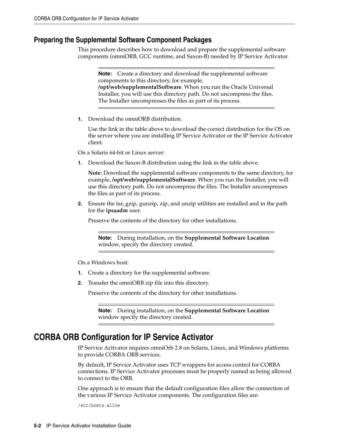### <span id="page-29-0"></span>**Preparing the Supplemental Software Component Packages**

This procedure describes how to download and prepare the supplemental software components (omniORB, GCC runtime, and Saxon-B) needed by IP Service Activator.

**Note:** Create a directory and download the supplemental software components to this directory, for example, **/opt/web/supplementalSoftware**. When you run the Oracle Universal Installer, you will use this directory path. Do not uncompress the files. The Installer uncompresses the files as part of its process.

**1.** Download the omniORB distribution.

Use the link in the table above to download the correct distribution for the OS on the server where you are installing IP Service Activator or the IP Service Activator client.

On a Solaris 64-bit or Linux server:

**1.** Download the Saxon-B distribution using the link in the table above.

**Note**: Download the supplemental software components to the same directory, for example, **/opt/web/supplementalSoftware**. When you run the Installer, you will use this directory path. Do not uncompress the files. The Installer uncompresses the files as part of its process.

**2.** Ensure the tar, gzip, gunzip, zip, and unzip utilities are installed and in the path for the **ipsaadm** user.

Preserve the contents of the directory for other installations.

**Note:** During installation, on the **Supplemental Software Location** window, specify the directory created.

On a Windows host:

- **1.** Create a directory for the supplemental software.
- **2.** Transfer the omniORB zip file into this directory.

Preserve the contents of the directory for other installations.

**Note:** During installation, on the **Supplemental Software Location** window specify the directory created.

## <span id="page-29-2"></span><span id="page-29-1"></span>**CORBA ORB Configuration for IP Service Activator**

IP Service Activator requires omniOrb 2.8 on Solaris, Linux, and Windows platforms to provide CORBA ORB services.

By default, IP Service Activator uses TCP wrappers for access control for CORBA connections. IP Service Activator processes must be properly named as being allowed to connect to the ORB.

One approach is to ensure that the default configuration files allow the connection of the various IP Service Activator components. The configuration files are:

/etc/hosts.allow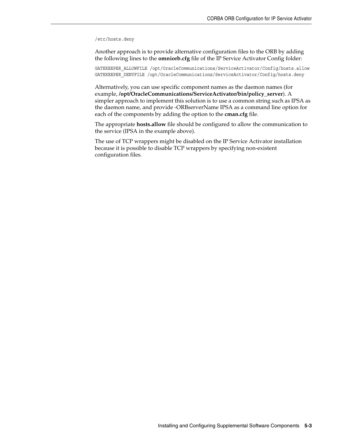#### /etc/hosts.deny

Another approach is to provide alternative configuration files to the ORB by adding the following lines to the **omniorb.cfg** file of the IP Service Activator Config folder:

GATEKEEPER\_ALLOWFILE /opt/OracleCommunications/ServiceActivator/Config/hosts.allow GATEKEEPER\_DENYFILE /opt/OracleCommunications/ServiceActivator/Config/hosts.deny

Alternatively, you can use specific component names as the daemon names (for example, **/opt/OracleCommunications/ServiceActivator/bin/policy\_server**). A simpler approach to implement this solution is to use a common string such as IPSA as the daemon name, and provide -ORBserverName IPSA as a command line option for each of the components by adding the option to the **cman.cfg** file.

The appropriate **hosts.allow** file should be configured to allow the communication to the service (IPSA in the example above).

The use of TCP wrappers might be disabled on the IP Service Activator installation because it is possible to disable TCP wrappers by specifying non-existent configuration files.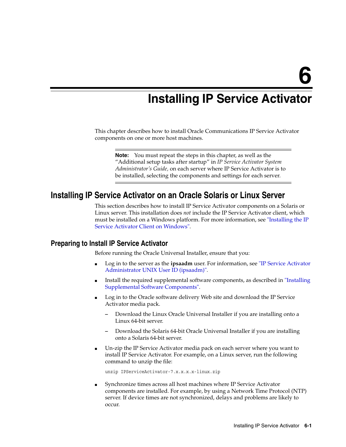# **Installing IP Service Activator**

<span id="page-32-0"></span>This chapter describes how to install Oracle Communications IP Service Activator components on one or more host machines.

**Note:** You must repeat the steps in this chapter, as well as the "Additional setup tasks after startup" in *IP Service Activator System Administrator's Guide,* on each server where IP Service Activator is to be installed, selecting the components and settings for each server.

# <span id="page-32-3"></span><span id="page-32-1"></span>**Installing IP Service Activator on an Oracle Solaris or Linux Server**

This section describes how to install IP Service Activator components on a Solaris or Linux server. This installation does *not* include the IP Service Activator client, which must be installed on a Windows platform. For more information, see ["Installing the IP](#page-38-0)  [Service Activator Client on Windows".](#page-38-0)

## <span id="page-32-2"></span>**Preparing to Install IP Service Activator**

Before running the Oracle Universal Installer, ensure that you:

- Log in to the server as the **ipsaadm** user. For information, see ["IP Service Activator](#page-20-3)  [Administrator UNIX User ID \(ipsaadm\)".](#page-20-3)
- Install the required supplemental software components, as described in "Installing" [Supplemental Software Components"](#page-28-2).
- Log in to the Oracle software delivery Web site and download the IP Service Activator media pack.
	- **–** Download the Linux Oracle Universal Installer if you are installing onto a Linux 64-bit server.
	- **–** Download the Solaris 64-bit Oracle Universal Installer if you are installing onto a Solaris 64-bit server.
- Un-zip the IP Service Activator media pack on each server where you want to install IP Service Activator. For example, on a Linux server, run the following command to unzip the file:

unzip IPServiceActivator-7.x.x.x.x-linux.zip

■ Synchronize times across all host machines where IP Service Activator components are installed. For example, by using a Network Time Protocol (NTP) server. If device times are not synchronized, delays and problems are likely to occur.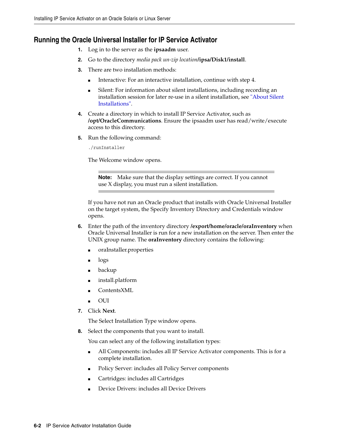## <span id="page-33-0"></span>**Running the Oracle Universal Installer for IP Service Activator**

- **1.** Log in to the server as the **ipsaadm** user.
- **2.** Go to the directory *media pack un-zip location***/ipsa/Disk1/install**.
- **3.** There are two installation methods:
	- Interactive: For an interactive installation, continue with step [4](#page-33-1).
	- Silent: For information about silent installations, including recording an installation session for later re-use in a silent installation, see ["About Silent](#page-35-0)  [Installations".](#page-35-0)
- <span id="page-33-1"></span>**4.** Create a directory in which to install IP Service Activator, such as **/opt/OracleCommunications**. Ensure the ipsaadm user has read/write/execute access to this directory.
- **5.** Run the following command:

./runInstaller

The Welcome window opens.

**Note:** Make sure that the display settings are correct. If you cannot use X display, you must run a silent installation.

If you have not run an Oracle product that installs with Oracle Universal Installer on the target system, the Specify Inventory Directory and Credentials window opens.

- **6.** Enter the path of the inventory directory **/export/home/oracle/oraInventory** when Oracle Universal Installer is run for a new installation on the server. Then enter the UNIX group name. The **oraInventory** directory contains the following:
	- oraInstaller.properties
	- logs
	- backup
	- install.platform
	- ContentsXML
	- OUI
- **7.** Click **Next**.

The Select Installation Type window opens.

**8.** Select the components that you want to install.

You can select any of the following installation types:

- All Components: includes all IP Service Activator components. This is for a complete installation.
- Policy Server: includes all Policy Server components
- Cartridges: includes all Cartridges
- Device Drivers: includes all Device Drivers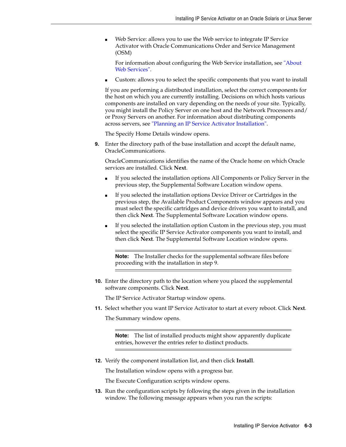Web Service: allows you to use the Web service to integrate IP Service Activator with Oracle Communications Order and Service Management (OSM)

For information about configuring the Web Service installation, see ["About](#page-45-3)  [Web Services".](#page-45-3)

Custom: allows you to select the specific components that you want to install

If you are performing a distributed installation, select the correct components for the host on which you are currently installing. Decisions on which hosts various components are installed on vary depending on the needs of your site. Typically, you might install the Policy Server on one host and the Network Processors and/ or Proxy Servers on another. For information about distributing components across servers, see ["Planning an IP Service Activator Installation".](#page-10-4)

The Specify Home Details window opens.

<span id="page-34-0"></span>**9.** Enter the directory path of the base installation and accept the default name, OracleCommunications.

OracleCommunications identifies the name of the Oracle home on which Oracle services are installed. Click **Next**.

- If you selected the installation options All Components or Policy Server in the previous step, the Supplemental Software Location window opens.
- If you selected the installation options Device Driver or Cartridges in the previous step, the Available Product Components window appears and you must select the specific cartridges and device drivers you want to install, and then click **Next**. The Supplemental Software Location window opens.
- If you selected the installation option Custom in the previous step, you must select the specific IP Service Activator components you want to install, and then click **Next**. The Supplemental Software Location window opens.

**Note:** The Installer checks for the supplemental software files before proceeding with the installation in step [9](#page-34-0).

**10.** Enter the directory path to the location where you placed the supplemental software components. Click **Next**.

The IP Service Activator Startup window opens.

**11.** Select whether you want IP Service Activator to start at every reboot. Click **Next**.

The Summary window opens.

**Note:** The list of installed products might show apparently duplicate entries, however the entries refer to distinct products.

**12.** Verify the component installation list, and then click **Install**.

The Installation window opens with a progress bar.

The Execute Configuration scripts window opens.

**13.** Run the configuration scripts by following the steps given in the installation window. The following message appears when you run the scripts: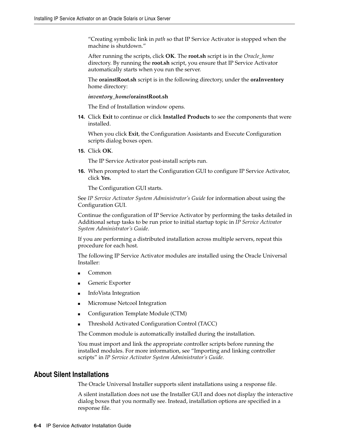"Creating symbolic link in *path* so that IP Service Activator is stopped when the machine is shutdown."

After running the scripts, click **OK**. The **root.sh** script is in the *Oracle\_home* directory. By running the **root.sh** script, you ensure that IP Service Activator automatically starts when you run the server.

The **orainstRoot.sh** script is in the following directory, under the **oraInventory** home directory:

*inventory\_home/***orainstRoot.sh**

The End of Installation window opens.

**14.** Click **Exit** to continue or click **Installed Products** to see the components that were installed.

When you click **Exit**, the Configuration Assistants and Execute Configuration scripts dialog boxes open.

**15.** Click **OK**.

The IP Service Activator post-install scripts run.

**16.** When prompted to start the Configuration GUI to configure IP Service Activator, click **Yes.**

The Configuration GUI starts.

See *IP Service Activator System Administrator's Guide* for information about using the Configuration GUI.

Continue the configuration of IP Service Activator by performing the tasks detailed in Additional setup tasks to be run prior to initial startup topic in *IP Service Activator System Administrator's Guide*.

If you are performing a distributed installation across multiple servers, repeat this procedure for each host.

The following IP Service Activator modules are installed using the Oracle Universal Installer:

- Common
- Generic Exporter
- InfoVista Integration
- Micromuse Netcool Integration
- Configuration Template Module (CTM)
- Threshold Activated Configuration Control (TACC)

The Common module is automatically installed during the installation.

You must import and link the appropriate controller scripts before running the installed modules. For more information, see "Importing and linking controller scripts" in *IP Service Activator System Administrator's Guide*.

## <span id="page-35-0"></span>**About Silent Installations**

The Oracle Universal Installer supports silent installations using a response file.

A silent installation does not use the Installer GUI and does not display the interactive dialog boxes that you normally see. Instead, installation options are specified in a response file.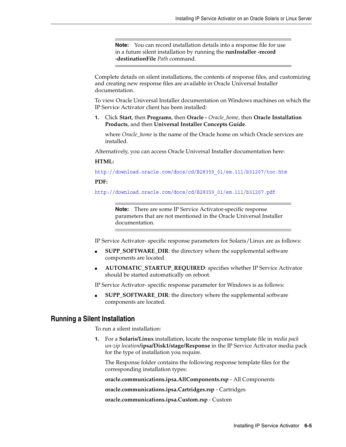**Note:** You can record installation details into a response file for use in a future silent installation by running the **runInstaller -record -destinationFile** *Path* command.

Complete details on silent installations, the contents of response files, and customizing and creating new response files are available in Oracle Universal Installer documentation.

To view Oracle Universal Installer documentation on Windows machines on which the IP Service Activator client has been installed:

**1.** Click **Start**, then **Programs**, then **Oracle -** *Oracle\_home*, then **Oracle Installation Products**, and then **Universal Installer Concepts Guide**.

where *Oracle home* is the name of the Oracle home on which Oracle services are installed.

Alternatively, you can access Oracle Universal Installer documentation here:

#### **HTML:**

http://download.oracle.com/docs/cd/B28359\_01/em.111/b31207/toc.htm

#### **PDF:**

http://download.oracle.com/docs/cd/B28359\_01/em.111/b31207.pdf

**Note:** There are some IP Service Activator-specific response parameters that are not mentioned in the Oracle Universal Installer documentation.

IP Service Activator- specific response parameters for Solaris/Linux are as follows:

- **SUPP\_SOFTWARE\_DIR:** the directory where the supplemental software components are located.
- **AUTOMATIC\_STARTUP\_REQUIRED**: specifies whether IP Service Activator should be started automatically on reboot.

IP Service Activator- specific response parameter for Windows is as follows:

**SUPP\_SOFTWARE\_DIR:** the directory where the supplemental software components are located.

#### <span id="page-36-0"></span>**Running a Silent Installation**

To run a silent installation:

**1.** For a **Solaris/Linux** installation, locate the response template file in *media pack un-zip location***/ipsa/Disk1/stage/Response** in the IP Service Activator media pack for the type of installation you require.

The Response folder contains the following response template files for the corresponding installation types:

**oracle.communications.ipsa.AllComponents.rsp** - All Components

**oracle.communications.ipsa.Cartridges.rsp** - Cartridges

**oracle.communications.ipsa.Custom.rsp** - Custom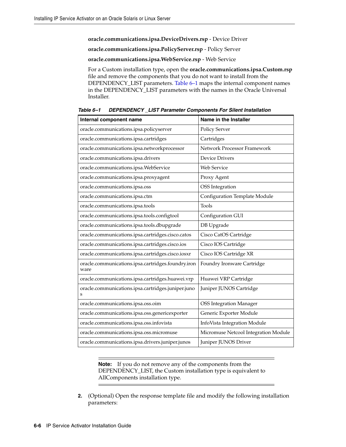**oracle.communications.ipsa.DeviceDrivers.rsp** - Device Driver

**oracle.communications.ipsa.PolicyServer.rsp** - Policy Server

**oracle.communications.ipsa.WebService.rsp** - Web Service

For a Custom installation type, open the **oracle.communications.ipsa.Custom.rsp** file and remove the components that you do not want to install from the DEPENDENCY\_LIST parameters. [Table 6–1](#page-37-0) maps the internal component names in the DEPENDENCY\_LIST parameters with the names in the Oracle Universal Installer.

| Internal component name                                    | Name in the Installer                |
|------------------------------------------------------------|--------------------------------------|
| oracle.communications.ipsa.policyserver                    | Policy Server                        |
| oracle.communications.ipsa.cartridges                      | Cartridges                           |
| oracle.communications.ipsa.networkprocessor                | Network Processor Framework          |
| oracle.communications.ipsa.drivers                         | <b>Device Drivers</b>                |
| oracle.communications.ipsa.WebService                      | Web Service                          |
| oracle.communications.ipsa.proxyagent                      | Proxy Agent                          |
| oracle.communications.ipsa.oss                             | <b>OSS</b> Integration               |
| oracle.communications.ipsa.ctm                             | Configuration Template Module        |
| oracle.communications.ipsa.tools                           | Tools                                |
| oracle.communications.ipsa.tools.configtool                | Configuration GUI                    |
| oracle.communications.ipsa.tools.dbupgrade                 | DB Upgrade                           |
| oracle.communications.ipsa.cartridges.cisco.catos          | Cisco CatOS Cartridge                |
| oracle.communications.ipsa.cartridges.cisco.ios            | Cisco IOS Cartridge                  |
| oracle.communications.ipsa.cartridges.cisco.iosxr          | Cisco IOS Cartridge XR               |
| oracle.communications.ipsa.cartridges.foundry.iron<br>ware | Foundry Ironware Cartridge           |
| oracle.communications.ipsa.cartridges.huawei.vrp           | Huawei VRP Cartridge                 |
| oracle.communications.ipsa.cartridges.juniper.juno<br>s    | Juniper JUNOS Cartridge              |
| oracle.communications.ipsa.oss.oim                         | <b>OSS Integration Manager</b>       |
| oracle.communications.ipsa.oss.genericexporter             | Generic Exporter Module              |
| oracle.communications.ipsa.oss.infovista                   | InfoVista Integration Module         |
| oracle.communications.ipsa.oss.micromuse                   | Micromuse Netcool Integration Module |
| oracle.communications.ipsa.drivers.juniper.junos           | Juniper JUNOS Driver                 |

<span id="page-37-0"></span>*Table 6–1 DEPENDENCY \_LIST Parameter Components For Silent Installation*

**Note:** If you do not remove any of the components from the DEPENDENCY\_LIST, the Custom installation type is equivalent to AllComponents installation type.

**2.** (Optional) Open the response template file and modify the following installation parameters: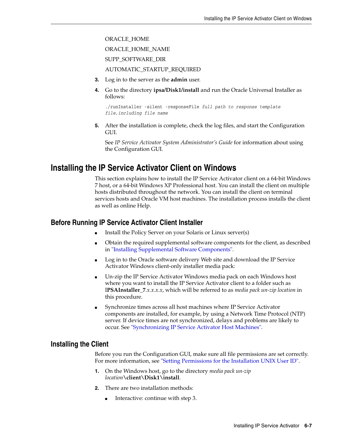ORACLE\_HOME ORACLE\_HOME\_NAME SUPP\_SOFTWARE\_DIR AUTOMATIC\_STARTUP\_REQUIRED

- **3.** Log in to the server as the **admin** user.
- **4.** Go to the directory **ipsa/Disk1/install** and run the Oracle Universal Installer as follows:

```
./runInstaller -silent -responseFile full path to response template 
file,including file name
```
**5.** After the installation is complete, check the log files, and start the Configuration GUI.

See *IP Service Activator System Administrator's Guide* for information about using the Configuration GUI.

# **Installing the IP Service Activator Client on Windows**

This section explains how to install the IP Service Activator client on a 64-bit Windows 7 host, or a 64-bit Windows XP Professional host. You can install the client on multiple hosts distributed throughout the network. You can install the client on terminal services hosts and Oracle VM host machines. The installation process installs the client as well as online Help.

## **Before Running IP Service Activator Client Installer**

- Install the Policy Server on your Solaris or Linux server(s)
- Obtain the required supplemental software components for the client, as described in ["Installing Supplemental Software Components"](#page-28-0).
- Log in to the Oracle software delivery Web site and download the IP Service Activator Windows client-only installer media pack:
- Un-zip the IP Service Activator Windows media pack on each Windows host where you want to install the IP Service Activator client to a folder such as I**PSAInstaller\_7***.x.x.x.x*, which will be referred to as *media pack un-zip location* in this procedure.
- Synchronize times across all host machines where IP Service Activator components are installed, for example, by using a Network Time Protocol (NTP) server. If device times are not synchronized, delays and problems are likely to occur. See ["Synchronizing IP Service Activator Host Machines"](#page-20-0).

### **Installing the Client**

Before you run the Configuration GUI, make sure all file permissions are set correctly. For more information, see ["Setting Permissions for the Installation UNIX User ID"](#page-20-1).

- **1.** On the Windows host, go to the directory *media pack un-zip location***\client\Disk1\install**.
- **2.** There are two installation methods:
	- Interactive: continue with step [3.](#page-39-0)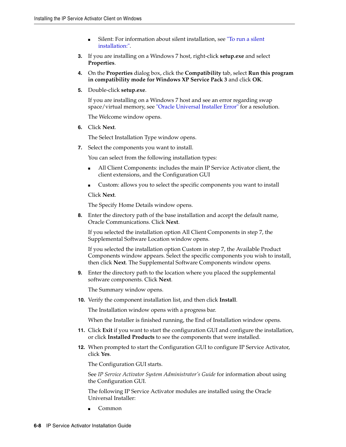- Silent: For information about silent installation, see "To run a silent [installation:".](#page-36-0)
- <span id="page-39-0"></span>**3.** If you are installing on a Windows 7 host, right-click **setup.exe** and select **Properties**.
- **4.** On the **Properties** dialog box, click the **Compatibility** tab, select **Run this program in compatibility mode for Windows XP Service Pack 3** and click **OK**.
- **5.** Double-click **setup.exe**.

If you are installing on a Windows 7 host and see an error regarding swap space/virtual memory, see ["Oracle Universal Installer Error"](#page-86-0) for a resolution.

The Welcome window opens.

**6.** Click **Next**.

The Select Installation Type window opens.

<span id="page-39-1"></span>**7.** Select the components you want to install.

You can select from the following installation types:

- All Client Components: includes the main IP Service Activator client, the client extensions, and the Configuration GUI
- Custom: allows you to select the specific components you want to install

Click **Next**.

The Specify Home Details window opens.

**8.** Enter the directory path of the base installation and accept the default name, Oracle Communications. Click **Next**.

If you selected the installation option All Client Components in step [7,](#page-39-1) the Supplemental Software Location window opens.

If you selected the installation option Custom in step [7,](#page-39-1) the Available Product Components window appears. Select the specific components you wish to install, then click **Next**. The Supplemental Software Components window opens.

**9.** Enter the directory path to the location where you placed the supplemental software components. Click **Next**.

The Summary window opens.

**10.** Verify the component installation list, and then click **Install**.

The Installation window opens with a progress bar.

When the Installer is finished running, the End of Installation window opens.

- **11.** Click **Exit** if you want to start the configuration GUI and configure the installation, or click **Installed Products** to see the components that were installed.
- **12.** When prompted to start the Configuration GUI to configure IP Service Activator, click **Yes**.

The Configuration GUI starts.

See *IP Service Activator System Administrator's Guide* for information about using the Configuration GUI.

The following IP Service Activator modules are installed using the Oracle Universal Installer:

■ Common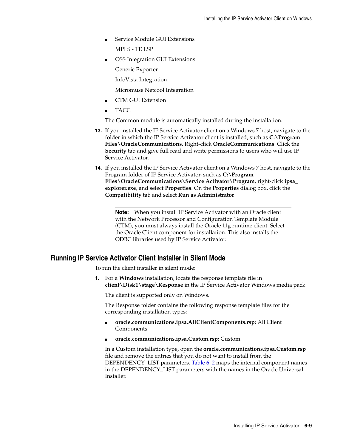Service Module GUI Extensions

MPLS - TE LSP

OSS Integration GUI Extensions

Generic Exporter

InfoVista Integration

Micromuse Netcool Integration

- CTM GUI Extension
- TACC

The Common module is automatically installed during the installation.

- **13.** If you installed the IP Service Activator client on a Windows 7 host, navigate to the folder in which the IP Service Activator client is installed, such as **C:\Program Files\OracleCommunications**. Right-click **OracleCommunications**. Click the **Security** tab and give full read and write permissions to users who will use IP Service Activator.
- **14.** If you installed the IP Service Activator client on a Windows 7 host, navigate to the Program folder of IP Service Activator, such as **C:\Program Files\OracleCommunications\Service Activator\Program**, right-click **ipsa\_ explorer.exe**, and select **Properties**. On the **Properties** dialog box, click the **Compatibility** tab and select **Run as Administrator**

**Note:** When you install IP Service Activator with an Oracle client with the Network Processor and Configuration Template Module (CTM), you must always install the Oracle 11g runtime client. Select the Oracle Client component for installation. This also installs the ODBC libraries used by IP Service Activator.

### **Running IP Service Activator Client Installer in Silent Mode**

To run the client installer in silent mode:

**1.** For a **Windows** installation, locate the response template file in **client\Disk1\stage\Response** in the IP Service Activator Windows media pack.

The client is supported only on Windows.

The Response folder contains the following response template files for the corresponding installation types:

- **oracle.communications.ipsa.AllClientComponents.rsp:** All Client Components
- **oracle.communications.ipsa.Custom.rsp:** Custom

In a Custom installation type, open the **oracle.communications.ipsa.Custom.rsp** file and remove the entries that you do not want to install from the DEPENDENCY\_LIST parameters. [Table 6–2](#page-41-0) maps the internal component names in the DEPENDENCY\_LIST parameters with the names in the Oracle Universal Installer.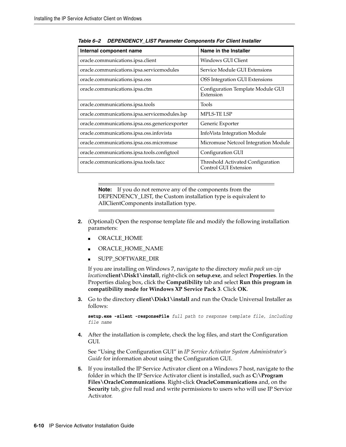| Internal component name                        | Name in the Installer                                      |
|------------------------------------------------|------------------------------------------------------------|
| oracle.communications.ipsa.client              | Windows GUI Client                                         |
| oracle.communications.ipsa.servicemodules      | Service Module GUI Extensions                              |
| oracle.communications.ipsa.oss                 | OSS Integration GUI Extensions                             |
| oracle.communications.ipsa.ctm                 | Configuration Template Module GUI<br>Extension             |
| oracle.communications.ipsa.tools               | Tools                                                      |
| oracle.communications.ipsa.servicemodules.lsp  | MPLS-TE LSP                                                |
| oracle.communications.ipsa.oss.genericexporter | Generic Exporter                                           |
| oracle.communications.ipsa.oss.infovista       | InfoVista Integration Module                               |
| oracle.communications.ipsa.oss.micromuse       | Micromuse Netcool Integration Module                       |
| oracle.communications.ipsa.tools.configtool    | Configuration GUI                                          |
| oracle.communications.ipsa.tools.tacc          | Threshold Activated Configuration<br>Control GUI Extension |

<span id="page-41-0"></span>*Table 6–2 DEPENDENCY\_LIST Parameter Components For Client Installer* 

**Note:** If you do not remove any of the components from the DEPENDENCY\_LIST, the Custom installation type is equivalent to AllClientComponents installation type.

- **2.** (Optional) Open the response template file and modify the following installation parameters:
	- ORACLE\_HOME
	- ORACLE\_HOME\_NAME
	- SUPP\_SOFTWARE\_DIR

If you are installing on Windows 7, navigate to the directory *media pack un-zip location***client\Disk1\install**, right-click on **setup.exe**, and select **Properties**. In the Properties dialog box, click the **Compatibility** tab and select **Run this program in compatibility mode for Windows XP Service Pack 3**. Click **OK**.

**3.** Go to the directory **client\Disk1\install** and run the Oracle Universal Installer as follows:

**setup.exe -silent -responseFile** *full path to response template file, including file name*

**4.** After the installation is complete, check the log files, and start the Configuration GUI.

See "Using the Configuration GUI" in *IP Service Activator System Administrator's Guide* for information about using the Configuration GUI.

**5.** If you installed the IP Service Activator client on a Windows 7 host, navigate to the folder in which the IP Service Activator client is installed, such as **C:\Program Files\OracleCommunications**. Right-click **OracleCommunications** and, on the **Security** tab, give full read and write permissions to users who will use IP Service Activator.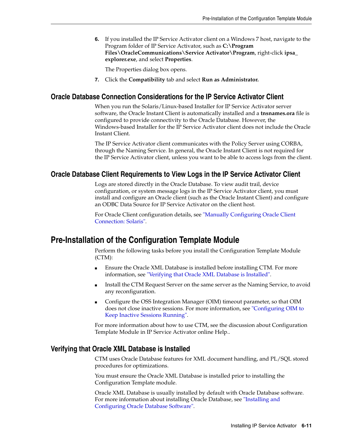**6.** If you installed the IP Service Activator client on a Windows 7 host, navigate to the Program folder of IP Service Activator, such as **C:\Program Files\OracleCommunications\Service Activator\Program**, right-click **ipsa\_ explorer.exe**, and select **Properties**.

The Properties dialog box opens.

**7.** Click the **Compatibility** tab and select **Run as Administrator.**

## **Oracle Database Connection Considerations for the IP Service Activator Client**

When you run the Solaris/Linux-based Installer for IP Service Activator server software, the Oracle Instant Client is automatically installed and a **tnsnames.ora** file is configured to provide connectivity to the Oracle Database. However, the Windows-based Installer for the IP Service Activator client does not include the Oracle Instant Client.

The IP Service Activator client communicates with the Policy Server using CORBA, through the Naming Service. In general, the Oracle Instant Client is not required for the IP Service Activator client, unless you want to be able to access logs from the client.

## **Oracle Database Client Requirements to View Logs in the IP Service Activator Client**

Logs are stored directly in the Oracle Database. To view audit trail, device configuration, or system message logs in the IP Service Activator client, you must install and configure an Oracle client (such as the Oracle Instant Client) and configure an ODBC Data Source for IP Service Activator on the client host.

For Oracle Client configuration details, see ["Manually Configuring Oracle Client](#page-85-0)  [Connection: Solaris"](#page-85-0).

# **Pre-Installation of the Configuration Template Module**

Perform the following tasks before you install the Configuration Template Module (CTM):

- Ensure the Oracle XML Database is installed before installing CTM. For more information, see ["Verifying that Oracle XML Database is Installed".](#page-42-0)
- Install the CTM Request Server on the same server as the Naming Service, to avoid any reconfiguration.
- Configure the OSS Integration Manager (OIM) timeout parameter, so that OIM does not close inactive sessions. For more information, see ["Configuring OIM to](#page-43-0)  [Keep Inactive Sessions Running".](#page-43-0)

For more information about how to use CTM, see the discussion about Configuration Template Module in IP Service Activator online Help..

### <span id="page-42-0"></span>**Verifying that Oracle XML Database is Installed**

CTM uses Oracle Database features for XML document handling, and PL/SQL stored procedures for optimizations.

You must ensure the Oracle XML Database is installed prior to installing the Configuration Template module.

Oracle XML Database is usually installed by default with Oracle Database software. For more information about installing Oracle Database, see ["Installing and](#page-24-0)  [Configuring Oracle Database Software"](#page-24-0).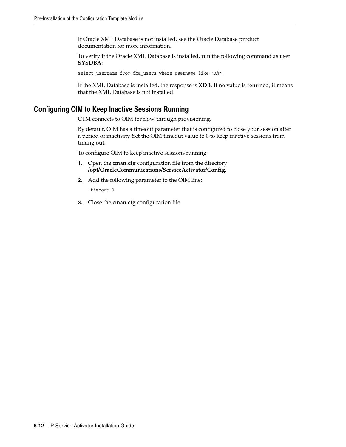If Oracle XML Database is not installed, see the Oracle Database product documentation for more information.

To verify if the Oracle XML Database is installed, run the following command as user **SYSDBA**:

select username from dba users where username like 'X%';

If the XML Database is installed, the response is **XDB**. If no value is returned, it means that the XML Database is not installed.

## <span id="page-43-0"></span>**Configuring OIM to Keep Inactive Sessions Running**

CTM connects to OIM for flow-through provisioning.

By default, OIM has a timeout parameter that is configured to close your session after a period of inactivity. Set the OIM timeout value to 0 to keep inactive sessions from timing out.

To configure OIM to keep inactive sessions running:

- **1.** Open the **cman.cfg** configuration file from the directory **/opt/OracleCommunications/ServiceActivator/Config**.
- **2.** Add the following parameter to the OIM line:

-timeout 0

**3.** Close the **cman.cfg** configuration file.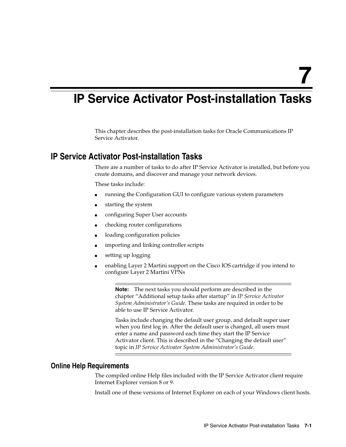# **IP Service Activator Post-installation Tasks**

This chapter describes the post-installation tasks for Oracle Communications IP Service Activator.

# **IP Service Activator Post-installation Tasks**

There are a number of tasks to do after IP Service Activator is installed, but before you create domains, and discover and manage your network devices.

These tasks include:

- running the Configuration GUI to configure various system parameters
- starting the system
- configuring Super User accounts
- checking router configurations
- loading configuration policies
- importing and linking controller scripts
- setting up logging
- enabling Layer 2 Martini support on the Cisco IOS cartridge if you intend to configure Layer 2 Martini VPNs

**Note:** The next tasks you should perform are described in the chapter "Additional setup tasks after startup" in *IP Service Activator System Administrator's Guide*. These tasks are required in order to be able to use IP Service Activator.

Tasks include changing the default user group, and default super user when you first log in. After the default user is changed, all users must enter a name and password each time they start the IP Service Activator client. This is described in the "Changing the default user" topic in *IP Service Activator System Administrator's Guide*.

## **Online Help Requirements**

The compiled online Help files included with the IP Service Activator client require Internet Explorer version 8 or 9.

Install one of these versions of Internet Explorer on each of your Windows client hosts.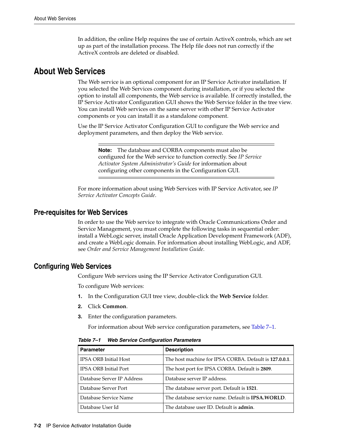In addition, the online Help requires the use of certain ActiveX controls, which are set up as part of the installation process. The Help file does not run correctly if the ActiveX controls are deleted or disabled.

# **About Web Services**

The Web service is an optional component for an IP Service Activator installation. If you selected the Web Services component during installation, or if you selected the option to install all components, the Web service is available. If correctly installed, the IP Service Activator Configuration GUI shows the Web Service folder in the tree view. You can install Web services on the same server with other IP Service Activator components or you can install it as a standalone component.

Use the IP Service Activator Configuration GUI to configure the Web service and deployment parameters, and then deploy the Web service.

**Note:** The database and CORBA components must also be configured for the Web service to function correctly. See *IP Service Activator System Administrator's Guide* for information about configuring other components in the Configuration GUI.

For more information about using Web Services with IP Service Activator, see *IP Service Activator Concepts Guide*.

## **Pre-requisites for Web Services**

In order to use the Web service to integrate with Oracle Communications Order and Service Management, you must complete the following tasks in sequential order: install a WebLogic server, install Oracle Application Development Framework (ADF), and create a WebLogic domain. For information about installing WebLogic, and ADF, see *Order and Service Management Installation Guide*.

## <span id="page-45-1"></span>**Configuring Web Services**

Configure Web services using the IP Service Activator Configuration GUI.

To configure Web services:

- **1.** In the Configuration GUI tree view, double-click the **Web Service** folder.
- **2.** Click **Common**.
- **3.** Enter the configuration parameters.

For information about Web service configuration parameters, see [Table 7–1](#page-45-0).

| <b>Description</b>                                         |
|------------------------------------------------------------|
| The host machine for IPSA CORBA. Default is 127.0.0.1.     |
| The host port for IPSA CORBA. Default is 2809.             |
| Database server IP address.                                |
| The database server port. Default is 1521.                 |
| The database service name. Default is <b>IPSA, WORLD</b> . |
| The database user ID. Default is admin.                    |
|                                                            |

<span id="page-45-0"></span>*Table 7–1 Web Service Configuration Parameters*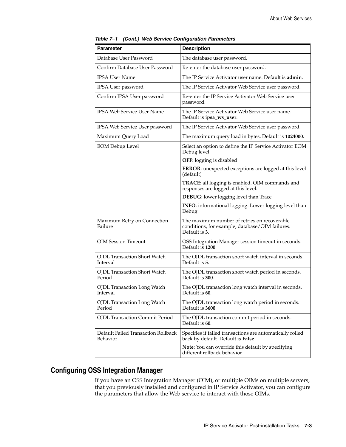| <b>Parameter</b>                                | <b>Description</b>                                                                                               |  |
|-------------------------------------------------|------------------------------------------------------------------------------------------------------------------|--|
| Database User Password                          | The database user password.                                                                                      |  |
| Confirm Database User Password                  | Re-enter the database user password.                                                                             |  |
| <b>IPSA User Name</b>                           | The IP Service Activator user name. Default is <b>admin</b> .                                                    |  |
| IPSA User password                              | The IP Service Activator Web Service user password.                                                              |  |
| Confirm IPSA User password                      | Re-enter the IP Service Activator Web Service user<br>password.                                                  |  |
| <b>IPSA Web Service User Name</b>               | The IP Service Activator Web Service user name.<br>Default is ipsa_ws_user.                                      |  |
| IPSA Web Service User password                  | The IP Service Activator Web Service user password.                                                              |  |
| Maximum Query Load                              | The maximum query load in bytes. Default is 1024000.                                                             |  |
| <b>EOM Debug Level</b>                          | Select an option to define the IP Service Activator EOM<br>Debug level.                                          |  |
|                                                 | <b>OFF:</b> logging is disabled                                                                                  |  |
|                                                 | ERROR: unexpected exceptions are logged at this level<br>(default)                                               |  |
|                                                 | TRACE: all logging is enabled. OIM commands and<br>responses are logged at this level.                           |  |
|                                                 | DEBUG: lower logging level than Trace                                                                            |  |
|                                                 | INFO: informational logging. Lower logging level than<br>Debug.                                                  |  |
| Maximum Retry on Connection<br>Failure          | The maximum number of retries on recoverable<br>conditions, for example, database/OIM failures.<br>Default is 3. |  |
| <b>OIM Session Timeout</b>                      | OSS Integration Manager session timeout in seconds.<br>Default is 1200.                                          |  |
| <b>OJDL Transaction Short Watch</b><br>Interval | The OJDL transaction short watch interval in seconds.<br>Default is 5.                                           |  |
| <b>OJDL Transaction Short Watch</b><br>Period   | The OJDL transaction short watch period in seconds.<br>Default is 300.                                           |  |
| <b>OJDL Transaction Long Watch</b><br>Interval  | The OJDL transaction long watch interval in seconds.<br>Default is 60.                                           |  |
| <b>OJDL Transaction Long Watch</b><br>Period    | The OJDL transaction long watch period in seconds.<br>Default is 3600.                                           |  |
| <b>OJDL</b> Transaction Commit Period           | The OJDL transaction commit period in seconds.<br>Default is 60.                                                 |  |
| Default Failed Transaction Rollback<br>Behavior | Specifies if failed transactions are automatically rolled<br>back by default. Default is False.                  |  |
|                                                 | Note: You can override this default by specifying<br>different rollback behavior.                                |  |

*Table 7–1 (Cont.) Web Service Configuration Parameters*

# <span id="page-46-0"></span>**Configuring OSS Integration Manager**

If you have an OSS Integration Manager (OIM), or multiple OIMs on multiple servers, that you previously installed and configured in IP Service Activator, you can configure the parameters that allow the Web service to interact with those OIMs.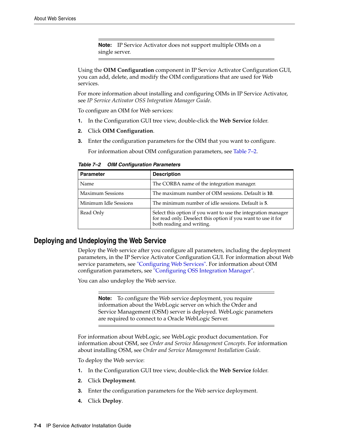**Note:** IP Service Activator does not support multiple OIMs on a single server.

Using the **OIM Configuration** component in IP Service Activator Configuration GUI, you can add, delete, and modify the OIM configurations that are used for Web services.

For more information about installing and configuring OIMs in IP Service Activator, see *IP Service Activator OSS Integration Manager Guide*.

To configure an OIM for Web services:

- **1.** In the Configuration GUI tree view, double-click the **Web Service** folder.
- **2.** Click **OIM Configuration**.
- **3.** Enter the configuration parameters for the OIM that you want to configure.

For information about OIM configuration parameters, see [Table 7–2](#page-47-0).

<span id="page-47-0"></span>*Table 7–2 OIM Configuration Parameters*

| <b>Parameter</b>        | <b>Description</b>                                                                                                                                          |  |
|-------------------------|-------------------------------------------------------------------------------------------------------------------------------------------------------------|--|
| Name                    | The CORBA name of the integration manager.                                                                                                                  |  |
| <b>Maximum Sessions</b> | The maximum number of OIM sessions. Default is 10.                                                                                                          |  |
| Minimum Idle Sessions   | The minimum number of idle sessions. Default is 5.                                                                                                          |  |
| Read Only               | Select this option if you want to use the integration manager<br>for read only. Deselect this option if you want to use it for<br>both reading and writing. |  |

### **Deploying and Undeploying the Web Service**

Deploy the Web service after you configure all parameters, including the deployment parameters, in the IP Service Activator Configuration GUI. For information about Web service parameters, see ["Configuring Web Services".](#page-45-1) For information about OIM configuration parameters, see ["Configuring OSS Integration Manager".](#page-46-0)

You can also undeploy the Web service.

**Note:** To configure the Web service deployment, you require information about the WebLogic server on which the Order and Service Management (OSM) server is deployed. WebLogic parameters are required to connect to a Oracle WebLogic Server.

For information about WebLogic, see WebLogic product documentation. For information about OSM, see *Order and Service Management Concepts*. For information about installing OSM, see *Order and Service Management Installation Guide*.

To deploy the Web service:

- **1.** In the Configuration GUI tree view, double-click the **Web Service** folder.
- **2.** Click **Deployment**.
- **3.** Enter the configuration parameters for the Web service deployment.
- **4.** Click **Deploy**.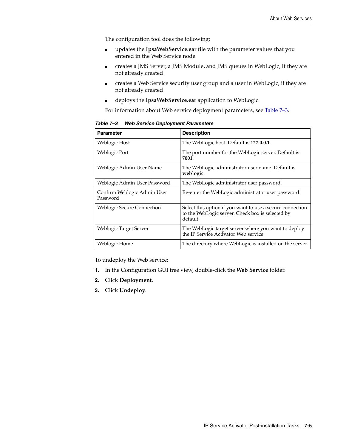The configuration tool does the following:

- updates the **IpsaWebService.ear** file with the parameter values that you entered in the Web Service node
- creates a JMS Server, a JMS Module, and JMS queues in WebLogic, if they are not already created
- creates a Web Service security user group and a user in WebLogic, if they are not already created
- deploys the **IpsaWebService.ear** application to WebLogic

For information about Web service deployment parameters, see [Table 7–3.](#page-48-0)

<span id="page-48-0"></span>

| <b>Parameter</b>                        | <b>Description</b>                                                                                                        |  |
|-----------------------------------------|---------------------------------------------------------------------------------------------------------------------------|--|
| Weblogic Host                           | The WebLogic host. Default is 127.0.0.1.                                                                                  |  |
| Weblogic Port                           | The port number for the WebLogic server. Default is<br>7001.                                                              |  |
| Weblogic Admin User Name                | The WebLogic administrator user name. Default is<br>weblogic.                                                             |  |
| Weblogic Admin User Password            | The WebLogic administrator user password.                                                                                 |  |
| Confirm Weblogic Admin User<br>Password | Re-enter the WebLogic administrator user password.                                                                        |  |
| <b>Weblogic Secure Connection</b>       | Select this option if you want to use a secure connection<br>to the WebLogic server. Check box is selected by<br>default. |  |
| Weblogic Target Server                  | The WebLogic target server where you want to deploy<br>the IP Service Activator Web service.                              |  |
| Weblogic Home                           | The directory where WebLogic is installed on the server.                                                                  |  |

*Table 7–3 Web Service Deployment Parameters*

To undeploy the Web service:

- **1.** In the Configuration GUI tree view, double-click the **Web Service** folder.
- **2.** Click **Deployment**.
- **3.** Click **Undeploy**.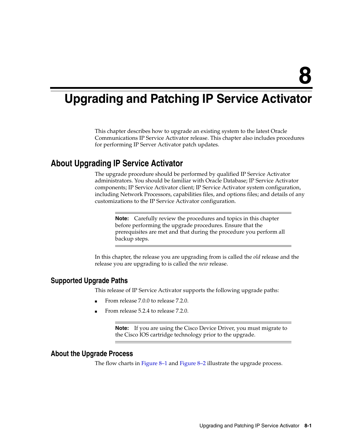# **Upgrading and Patching IP Service Activator**

This chapter describes how to upgrade an existing system to the latest Oracle Communications IP Service Activator release. This chapter also includes procedures for performing IP Server Activator patch updates.

# **About Upgrading IP Service Activator**

The upgrade procedure should be performed by qualified IP Service Activator administrators. You should be familiar with Oracle Database; IP Service Activator components; IP Service Activator client; IP Service Activator system configuration, including Network Processors, capabilities files, and options files; and details of any customizations to the IP Service Activator configuration.

**Note:** Carefully review the procedures and topics in this chapter before performing the upgrade procedures. Ensure that the prerequisites are met and that during the procedure you perform all backup steps.

In this chapter, the release you are upgrading from is called the *old* release and the release you are upgrading to is called the *new* release.

## **Supported Upgrade Paths**

This release of IP Service Activator supports the following upgrade paths:

- From release 7.0.0 to release 7.2.0.
- From release 5.2.4 to release 7.2.0.

**Note:** If you are using the Cisco Device Driver, you must migrate to the Cisco IOS cartridge technology prior to the upgrade.

## **About the Upgrade Process**

The flow charts in [Figure 8–1](#page-51-0) and [Figure 8–2](#page-52-0) illustrate the upgrade process.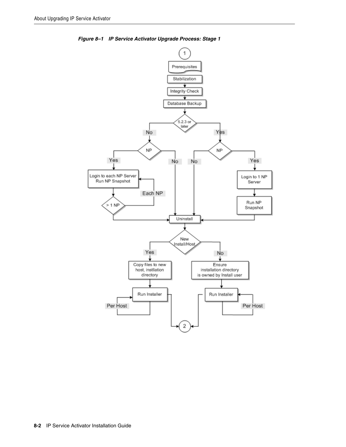

<span id="page-51-0"></span>*Figure 8–1 IP Service Activator Upgrade Process: Stage 1*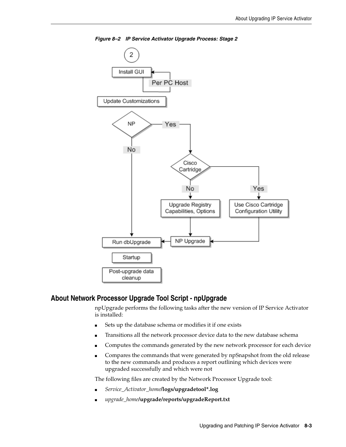<span id="page-52-0"></span>

*Figure 8–2 IP Service Activator Upgrade Process: Stage 2*

### **About Network Processor Upgrade Tool Script - npUpgrade**

npUpgrade performs the following tasks after the new version of IP Service Activator is installed:

- Sets up the database schema or modifies it if one exists
- Transitions all the network processor device data to the new database schema
- Computes the commands generated by the new network processor for each device
- Compares the commands that were generated by npSnapshot from the old release to the new commands and produces a report outlining which devices were upgraded successfully and which were not

The following files are created by the Network Processor Upgrade tool:

- *Service\_Activator\_home***/logs/upgradetool\*.log**
- *upgrade\_home***/upgrade/reports/upgradeReport.txt**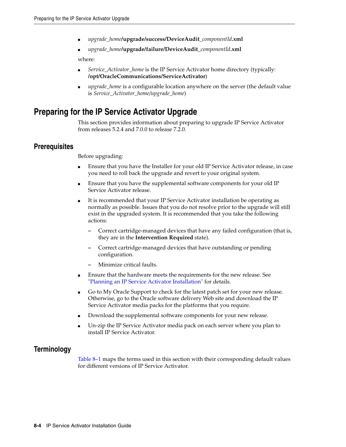- *upgrade\_home***/upgrade/success/DeviceAudit\_***componentId***.xml**
- *upgrade\_home***/upgrade/failure/DeviceAudit\_***componentId***.xml**

where:

- *Service\_Activator\_home* is the IP Service Activator home directory (typically: **/opt/OracleCommunications/ServiceActivator**)
- *upgrade\_home* is a configurable location anywhere on the server (the default value is *Service\_Activator\_home/upgrade\_home*)

# **Preparing for the IP Service Activator Upgrade**

This section provides information about preparing to upgrade IP Service Activator from releases 5.2.4 and 7.0.0 to release 7.2.0.

## **Prerequisites**

Before upgrading:

- Ensure that you have the Installer for your old IP Service Activator release, in case you need to roll back the upgrade and revert to your original system.
- Ensure that you have the supplemental software components for your old IP Service Activator release.
- It is recommended that your IP Service Activator installation be operating as normally as possible. Issues that you do not resolve prior to the upgrade will still exist in the upgraded system. It is recommended that you take the following actions:
	- **–** Correct cartridge-managed devices that have any failed configuration (that is, they are in the **Intervention Required** state).
	- **–** Correct cartridge-managed devices that have outstanding or pending configuration.
	- **–** Minimize critical faults.
- Ensure that the hardware meets the requirements for the new release. See ["Planning an IP Service Activator Installation"](#page-10-0) for details.
- Go to My Oracle Support to check for the latest patch set for your new release. Otherwise, go to the Oracle software delivery Web site and download the IP Service Activator media packs for the platforms that you require.
- Download the supplemental software components for your new release.
- Un-zip the IP Service Activator media pack on each server where you plan to install IP Service Activator.

## **Terminology**

[Table 8–1](#page-54-0) maps the terms used in this section with their corresponding default values for different versions of IP Service Activator.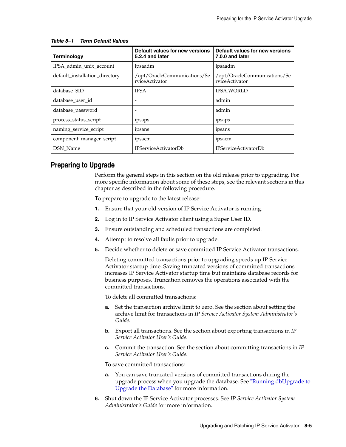| <b>Terminology</b>             | Default values for new versions<br>5.2.4 and later | Default values for new versions<br>7.0.0 and later |  |
|--------------------------------|----------------------------------------------------|----------------------------------------------------|--|
| IPSA admin unix account        | ipsaadm                                            | ipsaadm                                            |  |
| default installation directory | /opt/OracleCommunications/Se<br>rviceActivator     | /opt/OracleCommunications/Se<br>rviceActivator     |  |
| database_SID                   | <b>IPSA</b>                                        | <b>IPSA.WORLD</b>                                  |  |
| database user id               |                                                    | admin                                              |  |
| database_password              | -                                                  | admin                                              |  |
| process_status_script          | ipsaps                                             | ipsaps                                             |  |
| naming_service_script          | ipsans                                             | ipsans                                             |  |
| component_manager_script       | ipsacm                                             | 1psacm                                             |  |
| DSN Name                       | <b>IPServiceActivatorDb</b>                        | <b>IPServiceActivatorDb</b>                        |  |

#### <span id="page-54-0"></span>*Table 8–1 Term Default Values*

## **Preparing to Upgrade**

Perform the general steps in this section on the old release prior to upgrading. For more specific information about some of these steps, see the relevant sections in this chapter as described in the following procedure.

To prepare to upgrade to the latest release:

- **1.** Ensure that your old version of IP Service Activator is running.
- **2.** Log in to IP Service Activator client using a Super User ID.
- **3.** Ensure outstanding and scheduled transactions are completed.
- **4.** Attempt to resolve all faults prior to upgrade.
- **5.** Decide whether to delete or save committed IP Service Activator transactions.

Deleting committed transactions prior to upgrading speeds up IP Service Activator startup time. Saving truncated versions of committed transactions increases IP Service Activator startup time but maintains database records for business purposes. Truncation removes the operations associated with the committed transactions.

To delete all committed transactions:

- **a.** Set the transaction archive limit to zero. See the section about setting the archive limit for transactions in *IP Service Activator System Administrator's Guide*.
- **b.** Export all transactions. See the section about exporting transactions in *IP Service Activator User's Guide*.
- **c.** Commit the transaction. See the section about committing transactions in *IP Service Activator User's Guide*.

To save committed transactions:

- **a.** You can save truncated versions of committed transactions during the upgrade process when you upgrade the database. See ["Running dbUpgrade to](#page-66-0)  [Upgrade the Database"](#page-66-0) for more information.
- **6.** Shut down the IP Service Activator processes. See *IP Service Activator System Administrator's Guide* for more information.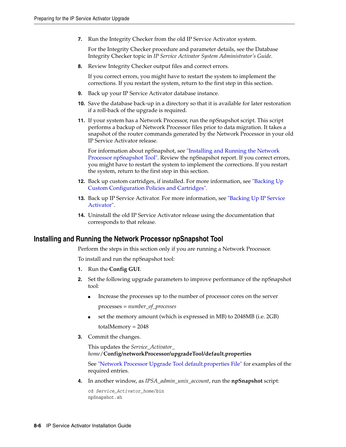**7.** Run the Integrity Checker from the old IP Service Activator system.

For the Integrity Checker procedure and parameter details, see the Database Integrity Checker topic in *IP Service Activator System Administrator's Guide*.

**8.** Review Integrity Checker output files and correct errors.

If you correct errors, you might have to restart the system to implement the corrections. If you restart the system, return to the first step in this section.

- **9.** Back up your IP Service Activator database instance.
- **10.** Save the database back-up in a directory so that it is available for later restoration if a roll-back of the upgrade is required.
- **11.** If your system has a Network Processor, run the npSnapshot script. This script performs a backup of Network Processor files prior to data migration. It takes a snapshot of the router commands generated by the Network Processor in your old IP Service Activator release.

For information about npSnapshot, see ["Installing and Running the Network](#page-55-0)  [Processor npSnapshot Tool".](#page-55-0) Review the npSnapshot report. If you correct errors, you might have to restart the system to implement the corrections. If you restart the system, return to the first step in this section.

- **12.** Back up custom cartridges, if installed. For more information, see ["Backing Up](#page-57-0)  [Custom Configuration Policies and Cartridges".](#page-57-0)
- **13.** Back up IP Service Activator. For more information, see ["Backing Up IP Service](#page-57-1)  [Activator"](#page-57-1).
- **14.** Uninstall the old IP Service Activator release using the documentation that corresponds to that release.

#### <span id="page-55-0"></span>**Installing and Running the Network Processor npSnapshot Tool**

Perform the steps in this section only if you are running a Network Processor.

To install and run the npSnapshot tool:

- **1.** Run the **Config GUI**.
- **2.** Set the following upgrade parameters to improve performance of the npSnapshot tool:
	- Increase the processes up to the number of processor cores on the server processes = *number\_of\_processes*
	- set the memory amount (which is expressed in MB) to 2048MB (i.e. 2GB) totalMemory = 2048
- **3.** Commit the changes.

This updates the *Service\_Activator\_ home*/**Config/networkProcessor/upgradeTool/default.properties**

See ["Network Processor Upgrade Tool default.properties File"](#page-74-0) for examples of the required entries.

**4.** In another window, as *IPSA\_admin\_unix\_account*, run the **npSnapshot** script:

cd *Service\_Activator\_home*/bin npSnapshot.sh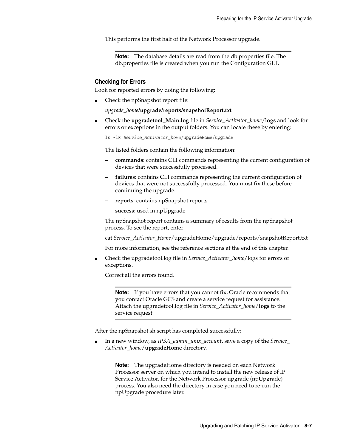This performs the first half of the Network Processor upgrade.

**Note:** The database details are read from the db.properties file. The db.properties file is created when you run the Configuration GUI.

#### **Checking for Errors**

Look for reported errors by doing the following:

Check the npSnapshot report file:

*upgrade\_home***/upgrade/reports/snapshotReport.txt**

■ Check the **upgradetool\_Main.log** file in *Service\_Activator\_home*/**logs** and look for errors or exceptions in the output folders. You can locate these by entering:

ls -lR *Service\_Activator\_home*/upgradeHome/upgrade

The listed folders contain the following information:

- **commands**: contains CLI commands representing the current configuration of devices that were successfully processed.
- **failures**: contains CLI commands representing the current configuration of devices that were not successfully processed. You must fix these before continuing the upgrade.
- **reports**: contains npSnapshot reports
- **success**: used in npUpgrade

The npSnapshot report contains a summary of results from the npSnapshot process. To see the report, enter:

cat *Service\_Activator\_Home*/upgradeHome/upgrade/reports/snapshotReport.txt

For more information, see the reference sections at the end of this chapter.

■ Check the upgradetool.log file in *Service\_Activator\_home*/logs for errors or exceptions.

Correct all the errors found.

**Note:** If you have errors that you cannot fix, Oracle recommends that you contact Oracle GCS and create a service request for assistance. Attach the upgradetool.log file in *Service\_Activator\_home*/**logs** to the service request.

After the npSnapshot.sh script has completed successfully:

■ In a new window, as *IPSA\_admin\_unix\_account*, save a copy of the *Service\_ Activator\_home*/**upgradeHome** directory.

> **Note:** The upgradeHome directory is needed on each Network Processor server on which you intend to install the new release of IP Service Activator, for the Network Processor upgrade (npUpgrade) process. You also need the directory in case you need to re-run the npUpgrade procedure later.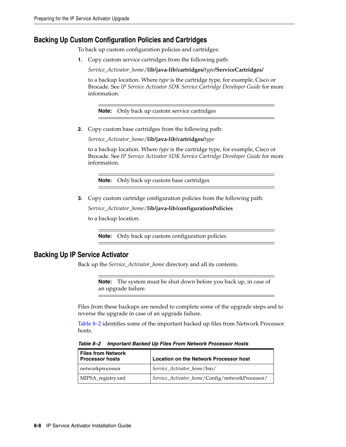## <span id="page-57-0"></span>**Backing Up Custom Configuration Policies and Cartridges**

To back up custom configuration policies and cartridges:

**1.** Copy custom service cartridges from the following path:

*Service\_Activator\_home*/**lib/java-lib/cartridges/***type***/ServiceCartridges/**

to a backup location. Where *type* is the cartridge type, for example, Cisco or Brocade. See *IP Service Activator SDK Service Cartridge Developer Guide* for more information.

**Note:** Only back up custom service cartridges

**2.** Copy custom base cartridges from the following path:

*Service\_Activator\_home*/**lib/java-lib/cartridges/***type*

to a backup location. Where *type* is the cartridge type, for example, Cisco or Brocade. See *IP Service Activator SDK Service Cartridge Developer Guide* for more information.

**Note:** Only back up custom base cartridges

**3.** Copy custom cartridge configuration policies from the following path:

*Service\_Activator\_home*/**lib/java-lib/configurationPolicies**

to a backup location.

**Note:** Only back up custom configuration policies

#### <span id="page-57-1"></span>**Backing Up IP Service Activator**

Back up the *Service\_Activator\_home* directory and all its contents.

**Note:** The system must be shut down before you back up, in case of an upgrade failure.

Files from these backups are needed to complete some of the upgrade steps and to reverse the upgrade in case of an upgrade failure.

[Table 8–2](#page-57-2) identifies some of the important backed up files from Network Processor hosts.

| Table 8-2 Important Backed Up Files From Network Processor Hosts |  |  |
|------------------------------------------------------------------|--|--|
|                                                                  |  |  |
|                                                                  |  |  |

<span id="page-57-2"></span>

| <b>Files from Network</b><br><b>Processor hosts</b> | Location on the Network Processor host          |  |
|-----------------------------------------------------|-------------------------------------------------|--|
| networkprocessor                                    | Service Activator home/bin/                     |  |
| MIPSA_registry.xml                                  | Service_Activator_home/Config/networkProcessor/ |  |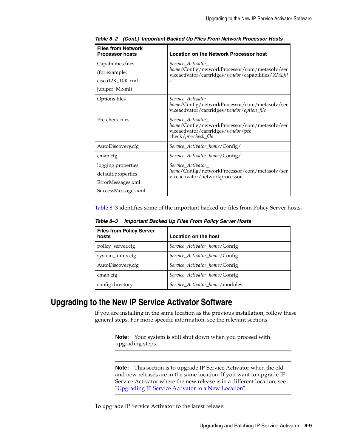| <b>Files from Network</b><br><b>Processor hosts</b> | <b>Location on the Network Processor host</b>                                                                                      |  |
|-----------------------------------------------------|------------------------------------------------------------------------------------------------------------------------------------|--|
| Capabilities files                                  | Service_Activator_                                                                                                                 |  |
| (for example:                                       | home/Config/networkProcessor/com/metasolv/ser<br>viceactivator/cartridges/vendor/capabilities/XMLfil                               |  |
| cisco12K_10K.xml                                    | $\mathcal{C}_{0}$                                                                                                                  |  |
| juniper_M.xml)                                      |                                                                                                                                    |  |
| Options files                                       | Service Activator<br>home/Config/networkProcessor/com/metasolv/ser<br>viceactivator/cartridges/vendor/option_file                  |  |
| Pre-check files                                     | Service Activator<br>home/Config/networkProcessor/com/metasolv/ser<br>viceactivator/cartridges/vendor/pre_<br>check/pre-check_file |  |
| AutoDiscovery.cfg                                   | Service_Activator_home/Config/                                                                                                     |  |
| cman.cfg                                            | Service_Activator_home/Config/                                                                                                     |  |
| logging.properties                                  | Service Activator<br>home/Config/networkProcessor/com/metasolv/ser<br>viceactivator/networkprocessor                               |  |
| default.properties                                  |                                                                                                                                    |  |
| ErrorMessages.xml                                   |                                                                                                                                    |  |
| SuccessMessages.xml                                 |                                                                                                                                    |  |

*Table 8–2 (Cont.) Important Backed Up Files From Network Processor Hosts*

[Table 8–3](#page-58-0) identifies some of the important backed up files from Policy Server hosts.

<span id="page-58-0"></span>*Table 8–3 Important Backed Up Files From Policy Server Hosts*

| <b>Files from Policy Server</b><br>hosts | <b>Location on the host</b>    |
|------------------------------------------|--------------------------------|
| policy_server.cfg                        | Service_Activator_home/Config  |
| system_limits.cfg                        | Service Activator home/Config  |
| AutoDiscovery.cfg                        | Service_Activator_home/Config  |
| cman.cfg                                 | Service_Activator_home/Config  |
| config directory                         | Service Activator home/modules |

# **Upgrading to the New IP Service Activator Software**

If you are installing in the same location as the previous installation, follow these general steps. For more specific information, see the relevant sections.

**Note:** Your system is still shut down when you proceed with upgrading steps.

**Note:** This section is to upgrade IP Service Activator when the old and new releases are in the same location. If you want to upgrade IP Service Activator where the new release is in a different location, see ["Upgrading IP Service Activator to a New Location"](#page-69-0).

To upgrade IP Service Activator to the latest release: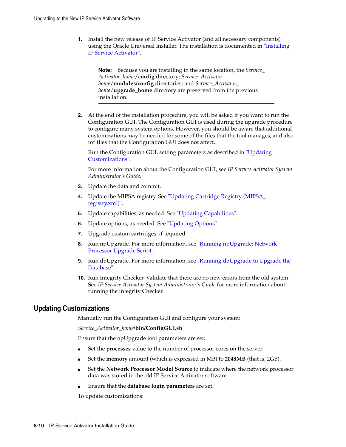**1.** Install the new release of IP Service Activator (and all necessary components) using the Oracle Universal Installer. The installation is documented in ["Installing](#page-32-0)  [IP Service Activator".](#page-32-0)

**Note:** Because you are installing in the same location, the *Service\_ Activator\_home*/**config** directory; *Service\_Activator\_ home*/**modules/config** directories; and *Service\_Activator\_ home*/**upgrade\_home** directory are preserved from the previous installation.

**2.** At the end of the installation procedure, you will be asked if you want to run the Configuration GUI. The Configuration GUI is used during the upgrade procedure to configure many system options. However, you should be aware that additional customizations may be needed for some of the files that the tool manages, and also for files that the Configuration GUI does not affect.

Run the Configuration GUI, setting parameters as described in ["Updating](#page-59-0)  [Customizations"](#page-59-0).

For more information about the Configuration GUI, see *IP Service Activator System Administrator's Guide*.

- **3.** Update the data and commit.
- **4.** Update the MIPSA registry. See ["Updating Cartridge Registry \(MIPSA\\_](#page-61-0) [registry.xml\)"](#page-61-0).
- **5.** Update capabilities, as needed. See ["Updating Capabilities".](#page-61-1)
- **6.** Update options, as needed. See ["Updating Options".](#page-62-0)
- **7.** Upgrade custom cartridges, if required.
- **8.** Run npUpgrade. For more information, see ["Running npUpgrade: Network](#page-64-0)  [Processor Upgrade Script"](#page-64-0).
- **9.** Run dbUpgrade. For more information, see ["Running dbUpgrade to Upgrade the](#page-66-0)  [Database"](#page-66-0).
- **10.** Run Integrity Checker. Validate that there are no new errors from the old system. See *IP Service Activator System Administrator's Guide* for more information about running the Integrity Checker.

### <span id="page-59-0"></span>**Updating Customizations**

Manually run the Configuration GUI and configure your system:

*Service\_Activator\_home***/bin/ConfigGUI.sh**

Ensure that the npUpgrade tool parameters are set:

- Set the **processes** value to the number of processor cores on the server.
- Set the **memory** amount (which is expressed in MB) to **2048MB** (that is, 2GB).
- Set the Network Processor Model Source to indicate where the network processor data was stored in the old IP Service Activator software.
- Ensure that the **database login parameters** are set.

To update customizations: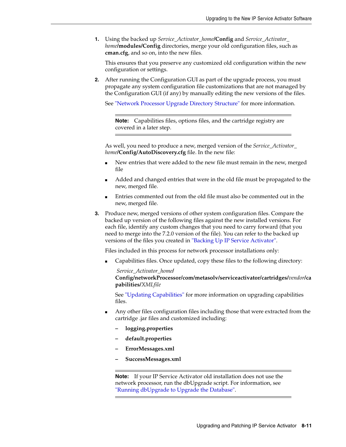**1.** Using the backed up *Service\_Activator\_home***/Config** and *Service\_Activator\_ home***/modules/Config** directories, merge your old configuration files, such as **cman.cfg**, and so on, into the new files.

This ensures that you preserve any customized old configuration within the new configuration or settings.

**2.** After running the Configuration GUI as part of the upgrade process, you must propagate any system configuration file customizations that are not managed by the Configuration GUI (if any) by manually editing the new versions of the files.

See ["Network Processor Upgrade Directory Structure"](#page-75-0) for more information.

**Note:** Capabilities files, options files, and the cartridge registry are covered in a later step.

As well, you need to produce a new, merged version of the *Service\_Activator\_ home***/Config/AutoDiscovery.cfg** file. In the new file:

- New entries that were added to the new file must remain in the new, merged file
- Added and changed entries that were in the old file must be propagated to the new, merged file.
- Entries commented out from the old file must also be commented out in the new, merged file.
- **3.** Produce new, merged versions of other system configuration files. Compare the backed up version of the following files against the new installed versions. For each file, identify any custom changes that you need to carry forward (that you need to merge into the 7.2.0 version of the file). You can refer to the backed up versions of the files you created in ["Backing Up IP Service Activator".](#page-57-1)

Files included in this process for network processor installations only:

Capabilities files. Once updated, copy these files to the following directory:

*Service\_Activator\_home***/ Config/networkProcessor/com/metasolv/serviceactivator/cartridges/***vendor***/ca pabilities/***XMLfile*

See ["Updating Capabilities"](#page-61-1) for more information on upgrading capabilities files.

- Any other files configuration files including those that were extracted from the cartridge .jar files and customized including:
	- **logging.properties**
	- **default.properties**
	- **ErrorMessages.xml**
	- **SuccessMessages.xml**

**Note:** If your IP Service Activator old installation does not use the network processor, run the dbUpgrade script. For information, see ["Running dbUpgrade to Upgrade the Database".](#page-66-0)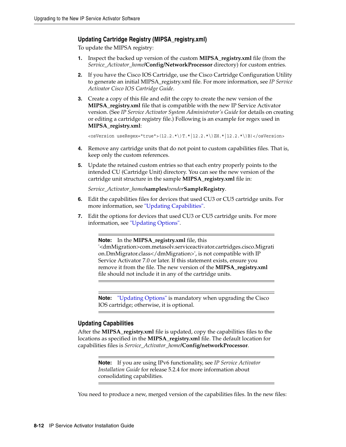#### <span id="page-61-0"></span>**Updating Cartridge Registry (MIPSA\_registry.xml)**

To update the MIPSA registry:

- **1.** Inspect the backed up version of the custom **MIPSA\_registry.xml** file (from the *Service\_Activator\_home***/Config/NetworkProcessor** directory) for custom entries.
- **2.** If you have the Cisco IOS Cartridge, use the Cisco Cartridge Configuration Utility to generate an initial MIPSA\_registry.xml file. For more information, see *IP Service Activator Cisco IOS Cartridge Guide*.
- **3.** Create a copy of this file and edit the copy to create the new version of the **MIPSA\_registry.xml** file that is compatible with the new IP Service Activator version. (See *IP Service Activator System Administrator's Guide* for details on creating or editing a cartridge registry file.) Following is an example for regex used in **MIPSA\_registry.xml**:

<osVersion useRegex="true">(12.2.\*\)T.\*|12.2.\*\)ZH.\*|12.2.\*\)B)</osVersion>

- **4.** Remove any cartridge units that do not point to custom capabilities files. That is, keep only the custom references.
- **5.** Update the retained custom entries so that each entry properly points to the intended CU (Cartridge Unit) directory. You can see the new version of the cartridge unit structure in the sample **MIPSA\_registry.xml** file in:

*Service\_Activator\_home***/samples/***vendor***SampleRegistry**.

- **6.** Edit the capabilities files for devices that used CU3 or CU5 cartridge units. For more information, see ["Updating Capabilities"](#page-61-1).
- **7.** Edit the options for devices that used CU3 or CU5 cartridge units. For more information, see ["Updating Options".](#page-62-0)

#### **Note:** In the **MIPSA\_registry.xml** file, this

'<dmMigration>com.metasolv.serviceactivator.cartridges.cisco.Migrati on.DmMigrator.class</dmMigration>', is not compatible with IP Service Activator 7.0 or later. If this statement exists, ensure you remove it from the file. The new version of the **MIPSA\_registry.xml** file should not include it in any of the cartridge units.

**Note:** ["Updating Options"](#page-62-0) is mandatory when upgrading the Cisco IOS cartridge; otherwise, it is optional.

#### <span id="page-61-1"></span>**Updating Capabilities**

After the **MIPSA\_registry.xml** file is updated, copy the capabilities files to the locations as specified in the **MIPSA\_registry.xml** file. The default location for capabilities files is *Service\_Activator\_home***/Config/networkProcessor**.

> **Note:** If you are using IPv6 functionality, see *IP Service Activator Installation Guide* for release 5.2.4 for more information about consolidating capabilities.

You need to produce a new, merged version of the capabilities files. In the new files: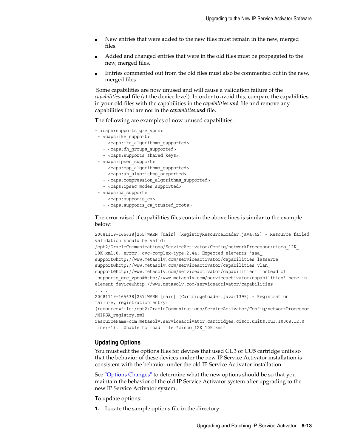- New entries that were added to the new files must remain in the new, merged files.
- Added and changed entries that were in the old files must be propagated to the new, merged files.
- Entries commented out from the old files must also be commented out in the new, merged files.

 Some capabilities are now unused and will cause a validation failure of the *capabilities***.xsd** file (at the device level). In order to avoid this, compare the capabilities in your old files with the capabilities in the *capabilities***.vsd** file and remove any capabilities that are not in the *capabilities***.xsd** file.

The following are examples of now unused capabilities:

- <caps: supports gre vpns>
- <caps:ike\_support>
	- <caps:ike\_algorithms\_supported>
	- <caps:dh\_groups\_supported>
	- <caps:supports\_shared\_keys>
- <caps:ipsec\_support>
	- <caps:esp\_algorithms\_supported>
	- <caps:ah\_algorithms\_supported>
	- <caps:compression\_algorithms\_supported>
- <caps:ipsec modes supported>
- <caps:ca\_support>
	- <caps:supports\_ca>
	- <caps:supports\_ca\_trusted\_roots>

The error raised if capabilities files contain the above lines is similar to the example below:

20081119-165638|255|WARN|[main] (RegistryResourceLoader.java:42) - Resource failed validation should be valid:

```
/opt2/OracleCommunications/ServiceActivator/Config/networkProcessor/cisco_12K_
10K.xml:0: error: cvc-complex-type.2.4a: Expected elements 'saa_
support@http://www.metasolv.com/serviceactivator/capabilities lasserre_
support@http://www.metasolv.com/serviceactivator/capabilities vlan_
support@http://www.metasolv.com/serviceactivator/capabilities' instead of 
'supports_gre_vpns@http://www.metasolv.com/serviceactivator/capabilities' here in 
element device@http://www.metasolv.com/serviceactivator/capabilities
```
. . .

```
20081119-165638|257|WARN|[main] (CartridgeLoader.java:1395) - Registration 
failure, registration entry: 
(resource=file:/opt2/OracleCommunications/ServiceActivator/Config/networkProcessor
```
/MIPSA\_registry.xml

```
resourceName=com.metasolv.serviceactivator.cartridges.cisco.units.cu1.10008.12.0 
line:-1). Unable to load file "cisco_12K_10K.xml"
```
#### <span id="page-62-0"></span>**Updating Options**

You must edit the options files for devices that used CU3 or CU5 cartridge units so that the behavior of these devices under the new IP Service Activator installation is consistent with the behavior under the old IP Service Activator installation.

See ["Options Changes"](#page-71-0) to determine what the new options should be so that you maintain the behavior of the old IP Service Activator system after upgrading to the new IP Service Activator system.

To update options:

**1.** Locate the sample options file in the directory: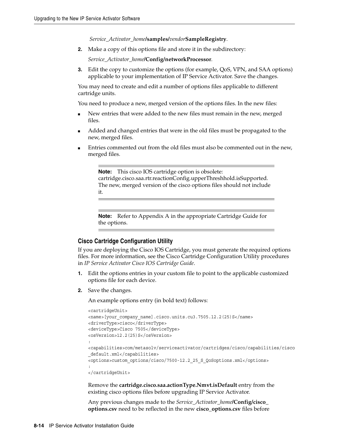*Service\_Activator\_home***/samples/***vendor***SampleRegistry**.

**2.** Make a copy of this options file and store it in the subdirectory:

*Service\_Activator\_home***/Config/networkProcessor**.

**3.** Edit the copy to customize the options (for example, QoS, VPN, and SAA options) applicable to your implementation of IP Service Activator. Save the changes.

You may need to create and edit a number of options files applicable to different cartridge units.

You need to produce a new, merged version of the options files. In the new files:

- New entries that were added to the new files must remain in the new, merged files.
- Added and changed entries that were in the old files must be propagated to the new, merged files.
- Entries commented out from the old files must also be commented out in the new, merged files.

**Note:** This cisco IOS cartridge option is obsolete: cartridge.cisco.saa.rtr.reactionConfig.upperThreshhold.isSupported. The new, merged version of the cisco options files should not include it.

**Note:** Refer to Appendix A in the appropriate Cartridge Guide for the options.

#### **Cisco Cartridge Configuration Utility**

If you are deploying the Cisco IOS Cartridge, you must generate the required options files. For more information, see the Cisco Cartridge Configuration Utility procedures in *IP Service Activator Cisco IOS Cartridge Guide*.

- **1.** Edit the options entries in your custom file to point to the applicable customized options file for each device.
- **2.** Save the changes.

An example options entry (in bold text) follows:

```
<cartridgeUnit>
<name>[your_company_name].cisco.units.cu3.7505.12.2(25)S</name> 
<driverType>cisco</driverType> 
<deviceType>Cisco 7505</deviceType> 
<osVersion>12.2(25)S</osVersion> 
:
<capabilities>com/metasolv/serviceactivator/cartridges/cisco/capabilities/cisco
_default.xml</capabilities> 
<options>custom_options/cisco/7500-12.2_25_S_QoSoptions.xml</options>
:
</cartridgeUnit>
```
Remove the **cartridge.cisco.saa.actionType.Nmvt.isDefault** entry from the existing cisco options files before upgrading IP Service Activator.

Any previous changes made to the *Service\_Activator\_home***/Config/cisco\_ options.csv** need to be reflected in the new **cisco\_options.csv** files before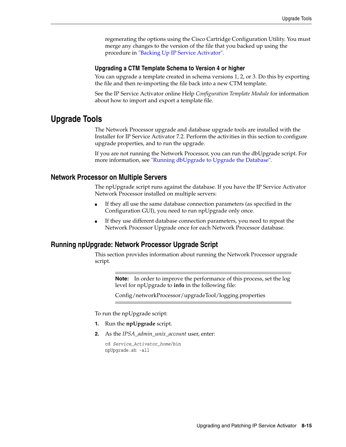regenerating the options using the Cisco Cartridge Configuration Utility. You must merge any changes to the version of the file that you backed up using the procedure in ["Backing Up IP Service Activator"](#page-57-1).

#### **Upgrading a CTM Template Schema to Version 4 or higher**

You can upgrade a template created in schema versions 1, 2, or 3. Do this by exporting the file and then re-importing the file back into a new CTM template.

See the IP Service Activator online Help *Configuration Template Module* for information about how to import and export a template file.

## **Upgrade Tools**

The Network Processor upgrade and database upgrade tools are installed with the Installer for IP Service Activator 7.2. Perform the activities in this section to configure upgrade properties, and to run the upgrade.

If you are not running the Network Processor, you can run the dbUpgrade script. For more information, see ["Running dbUpgrade to Upgrade the Database".](#page-66-0)

#### **Network Processor on Multiple Servers**

The npUpgrade script runs against the database. If you have the IP Service Activator Network Processor installed on multiple servers:

- If they all use the same database connection parameters (as specified in the Configuration GUI), you need to run npUpgrade only once.
- If they use different database connection parameters, you need to repeat the Network Processor Upgrade once for each Network Processor database.

#### <span id="page-64-0"></span>**Running npUpgrade: Network Processor Upgrade Script**

This section provides information about running the Network Processor upgrade script.

> **Note:** In order to improve the performance of this process, set the log level for npUpgrade to **info** in the following file:

Config/networkProcessor/upgradeTool/logging.properties

To run the npUpgrade script:

- **1.** Run the **npUpgrade** script.
- **2.** As the *IPSA\_admin\_unix\_account* user, enter:

cd *Service\_Activator\_home*/bin npUpgrade.sh -all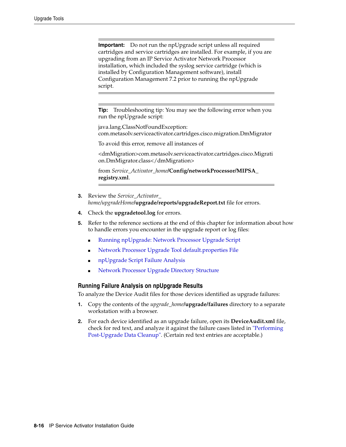**Important:** Do not run the npUpgrade script unless all required cartridges and service cartridges are installed. For example, if you are upgrading from an IP Service Activator Network Processor installation, which included the syslog service cartridge (which is installed by Configuration Management software), install Configuration Management 7.2 prior to running the npUpgrade script.

**Tip:** Troubleshooting tip: You may see the following error when you run the npUpgrade script:

java.lang.ClassNotFoundException: com.metasolv.serviceactivator.cartridges.cisco.migration.DmMigrator

To avoid this error, remove all instances of

<dmMigration>com.metasolv.serviceactivator.cartridges.cisco.Migrati on.DmMigrator.class</dmMigration>

from *Service\_Activator\_home***/Config/networkProcessor/MIPSA\_ registry.xml**.

- **3.** Review the *Service\_Activator\_ home/upgradeHome***/upgrade/reports/upgradeReport.txt** file for errors.
- **4.** Check the **upgradetool.log** for errors.
- **5.** Refer to the reference sections at the end of this chapter for information about how to handle errors you encounter in the upgrade report or log files:
	- [Running npUpgrade: Network Processor Upgrade Script](#page-64-0)
	- [Network Processor Upgrade Tool default.properties File](#page-74-0)
	- [npUpgrade Script Failure Analysis](#page-75-1)
	- [Network Processor Upgrade Directory Structure](#page-75-0)

#### <span id="page-65-0"></span>**Running Failure Analysis on npUpgrade Results**

To analyze the Device Audit files for those devices identified as upgrade failures:

- **1.** Copy the contents of the *upgrade\_home***/upgrade/failures** directory to a separate workstation with a browser.
- **2.** For each device identified as an upgrade failure, open its **DeviceAudit.xml** file, check for red text, and analyze it against the failure cases listed in ["Performing](#page-70-0)  [Post-Upgrade Data Cleanup".](#page-70-0) (Certain red text entries are acceptable.)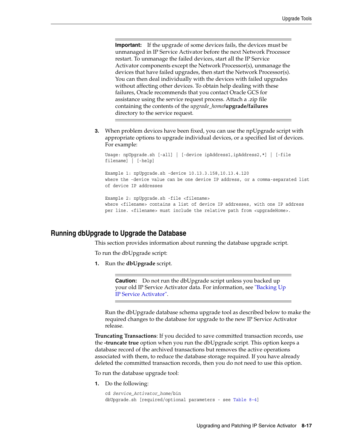**Important:** If the upgrade of some devices fails, the devices must be unmanaged in IP Service Activator before the next Network Processor restart. To unmanage the failed devices, start all the IP Service Activator components except the Network Processor(s), unmanage the devices that have failed upgrades, then start the Network Processor(s). You can then deal individually with the devices with failed upgrades without affecting other devices. To obtain help dealing with these failures, Oracle recommends that you contact Oracle GCS for assistance using the service request process. Attach a .zip file containing the contents of the *upgrade\_home***/upgrade/failures** directory to the service request.

**3.** When problem devices have been fixed, you can use the npUpgrade script with appropriate options to upgrade individual devices, or a specified list of devices. For example:

```
Usage: npUpgrade.sh [-all] | [-device ipAddress1,ipAddress2,*] | [-file 
filename] | [-help]
```
Example 1: npUpgrade.sh -device 10.13.3.158,10.13.4.120 where the -device value can be one device IP address, or a comma-separated list of device IP addresses

```
Example 2: npUpgrade.sh -file <filename>
where <filename> contains a list of device IP addresses, with one IP address
per line. <filename> must include the relative path from <upgradeHome>.
```
### <span id="page-66-0"></span>**Running dbUpgrade to Upgrade the Database**

This section provides information about running the database upgrade script.

To run the dbUpgrade script:

**1.** Run the **dbUpgrade** script.

**Caution:** Do not run the dbUpgrade script unless you backed up your old IP Service Activator data. For information, see ["Backing Up](#page-57-1)  [IP Service Activator".](#page-57-1)

Run the dbUpgrade database schema upgrade tool as described below to make the required changes to the database for upgrade to the new IP Service Activator release.

**Truncating Transactions**: If you decided to save committed transaction records, use the **-truncate true** option when you run the dbUpgrade script. This option keeps a database record of the archived transactions but removes the active operations associated with them, to reduce the database storage required. If you have already deleted the committed transaction records, then you do not need to use this option.

To run the database upgrade tool:

**1.** Do the following:

```
cd Service_Activator_home/bin
dbUpgrade.sh [required/optional parameters - see Table 8–4]
```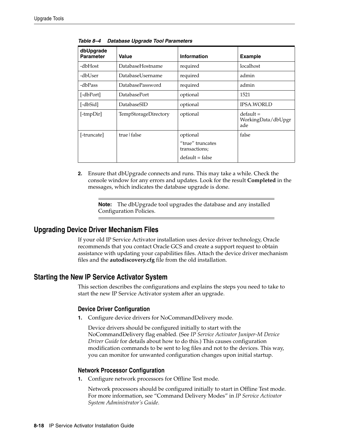| dbUpgrade<br><b>Parameter</b> | <b>Value</b>         | <b>Information</b>                | <b>Example</b>                           |
|-------------------------------|----------------------|-----------------------------------|------------------------------------------|
| -dbHost                       | DatabaseHostname     | required                          | localhost                                |
| -dbUser                       | DatabaseUsername     | required                          | admin                                    |
| -dbPass                       | DatabasePassword     | required                          | admin                                    |
| [-dbPort]                     | <b>DatabasePort</b>  | optional                          | 1521                                     |
| [-dbSid]                      | DatabaseSID          | optional                          | <b>IPSA.WORLD</b>                        |
| [-tmpDir]                     | TempStorageDirectory | optional                          | $default =$<br>WorkingData/dbUpgr<br>ade |
| [-truncate]                   | true   false         | optional                          | false                                    |
|                               |                      | "true" truncates<br>transactions; |                                          |
|                               |                      | $default = false$                 |                                          |

<span id="page-67-0"></span>*Table 8–4 Database Upgrade Tool Parameters*

**2.** Ensure that dbUpgrade connects and runs. This may take a while. Check the console window for any errors and updates. Look for the result **Completed** in the messages, which indicates the database upgrade is done.

**Note:** The dbUpgrade tool upgrades the database and any installed Configuration Policies.

## **Upgrading Device Driver Mechanism Files**

If your old IP Service Activator installation uses device driver technology, Oracle recommends that you contact Oracle GCS and create a support request to obtain assistance with updating your capabilities files. Attach the device driver mechanism files and the **autodiscovery.cfg** file from the old installation.

## <span id="page-67-1"></span>**Starting the New IP Service Activator System**

This section describes the configurations and explains the steps you need to take to start the new IP Service Activator system after an upgrade.

#### **Device Driver Configuration**

**1.** Configure device drivers for NoCommandDelivery mode.

Device drivers should be configured initially to start with the NoCommandDelivery flag enabled. (See *IP Service Activator Juniper-M Device Driver Guide* for details about how to do this.) This causes configuration modification commands to be sent to log files and not to the devices. This way, you can monitor for unwanted configuration changes upon initial startup.

#### **Network Processor Configuration**

**1.** Configure network processors for Offline Test mode.

Network processors should be configured initially to start in Offline Test mode. For more information, see "Command Delivery Modes" in *IP Service Activator System Administrator's Guide*.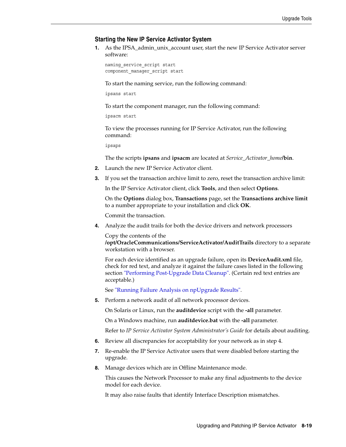#### **Starting the New IP Service Activator System**

**1.** As the IPSA\_admin\_unix\_account user, start the new IP Service Activator server software:

naming\_service\_script start component manager script start

To start the naming service, run the following command:

ipsans start

To start the component manager, run the following command:

ipsacm start

To view the processes running for IP Service Activator, run the following command:

ipsaps

The the scripts **ipsans** and **ipsacm** are located at *Service\_Activator\_home***/bin**.

- **2.** Launch the new IP Service Activator client.
- **3.** If you set the transaction archive limit to zero, reset the transaction archive limit:

In the IP Service Activator client, click **Tools**, and then select **Options**.

On the **Options** dialog box, **Transactions** page, set the **Transactions archive limit** to a number appropriate to your installation and click **OK**.

Commit the transaction.

<span id="page-68-0"></span>**4.** Analyze the audit trails for both the device drivers and network processors

Copy the contents of the

**/opt/OracleCommunications/ServiceActivator/AuditTrails** directory to a separate workstation with a browser.

For each device identified as an upgrade failure, open its **DeviceAudit.xml** file, check for red text, and analyze it against the failure cases listed in the following section ["Performing Post-Upgrade Data Cleanup"](#page-70-0). (Certain red text entries are acceptable.)

See ["Running Failure Analysis on npUpgrade Results".](#page-65-0)

**5.** Perform a network audit of all network processor devices.

On Solaris or Linux, run the **auditdevice** script with the **-all** parameter.

On a Windows machine, run **auditdevice.bat** with the **-all** parameter.

Refer to *IP Service Activator System Administrator's Guide* for details about auditing.

- **6.** Review all discrepancies for acceptability for your network as in step [4.](#page-68-0)
- **7.** Re-enable the IP Service Activator users that were disabled before starting the upgrade.
- **8.** Manage devices which are in Offline Maintenance mode.

This causes the Network Processor to make any final adjustments to the device model for each device.

It may also raise faults that identify Interface Description mismatches.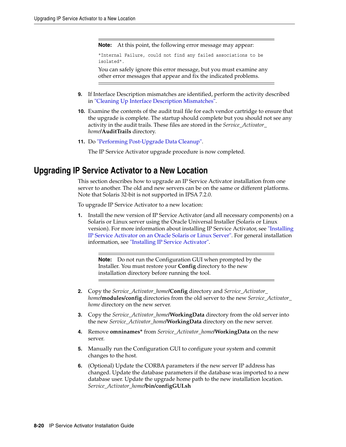**Note:** At this point, the following error message may appear:

"Internal Failure, could not find any failed associations to be isolated".

You can safely ignore this error message, but you must examine any other error messages that appear and fix the indicated problems.

- **9.** If Interface Description mismatches are identified, perform the activity described in ["Cleaning Up Interface Description Mismatches"](#page-70-1).
- **10.** Examine the contents of the audit trail file for each vendor cartridge to ensure that the upgrade is complete. The startup should complete but you should not see any activity in the audit trails. These files are stored in the *Service\_Activator\_ home***/AuditTrails** directory.
- **11.** Do ["Performing Post-Upgrade Data Cleanup"](#page-70-0).

The IP Service Activator upgrade procedure is now completed.

# <span id="page-69-0"></span>**Upgrading IP Service Activator to a New Location**

This section describes how to upgrade an IP Service Activator installation from one server to another. The old and new servers can be on the same or different platforms. Note that Solaris 32-bit is not supported in IPSA 7.2.0.

To upgrade IP Service Activator to a new location:

**1.** Install the new version of IP Service Activator (and all necessary components) on a Solaris or Linux server using the Oracle Universal Installer (Solaris or Linux version). For more information about installing IP Service Activator, see ["Installing](#page-32-1)  [IP Service Activator on an Oracle Solaris or Linux Server".](#page-32-1) For general installation information, see ["Installing IP Service Activator".](#page-32-0)

**Note:** Do not run the Configuration GUI when prompted by the Installer. You must restore your **Config** directory to the new installation directory before running the tool.

- **2.** Copy the *Service\_Activator\_home***/Config** directory and *Service\_Activator\_ home***/modules/config** directories from the old server to the new *Service\_Activator\_ home* directory on the new server.
- **3.** Copy the *Service\_Activator\_home***/WorkingData** directory from the old server into the new *Service\_Activator\_home***/WorkingData** directory on the new server.
- **4.** Remove **omninames\*** from *Service\_Activator\_home***/WorkingData** on the new server.
- **5.** Manually run the Configuration GUI to configure your system and commit changes to the host.
- **6.** (Optional) Update the CORBA parameters if the new server IP address has changed. Update the database parameters if the database was imported to a new database user. Update the upgrade home path to the new installation location. *Service\_Activator\_home***/bin/configGUI.sh**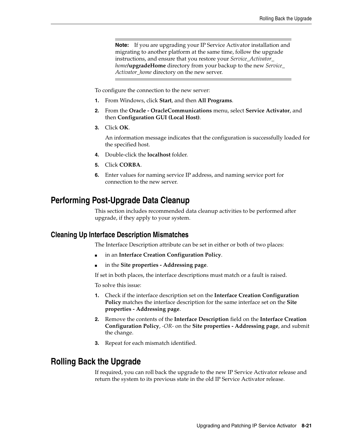**Note:** If you are upgrading your IP Service Activator installation and migrating to another platform at the same time, follow the upgrade instructions, and ensure that you restore your *Service\_Activator\_ home***/upgradeHome** directory from your backup to the new *Service\_ Activator\_home* directory on the new server.

To configure the connection to the new server:

- **1.** From Windows, click **Start**, and then **All Programs**.
- **2.** From the **Oracle OracleCommunications** menu, select **Service Activator**, and then **Configuration GUI (Local Host)**.
- **3.** Click **OK**.

An information message indicates that the configuration is successfully loaded for the specified host.

- **4.** Double-click the **localhost** folder.
- **5.** Click **CORBA**.
- **6.** Enter values for naming service IP address, and naming service port for connection to the new server.

# <span id="page-70-0"></span>**Performing Post-Upgrade Data Cleanup**

This section includes recommended data cleanup activities to be performed after upgrade, if they apply to your system.

### <span id="page-70-1"></span>**Cleaning Up Interface Description Mismatches**

The Interface Description attribute can be set in either or both of two places:

- in an Interface Creation Configuration Policy.
- in the **Site properties Addressing page**.

If set in both places, the interface descriptions must match or a fault is raised.

To solve this issue:

- **1.** Check if the interface description set on the **Interface Creation Configuration Policy** matches the interface description for the same interface set on the **Site properties - Addressing page**.
- **2.** Remove the contents of the **Interface Description** field on the **Interface Creation Configuration Policy**, *-OR-* on the **Site properties - Addressing page**, and submit the change.
- **3.** Repeat for each mismatch identified.

# **Rolling Back the Upgrade**

If required, you can roll back the upgrade to the new IP Service Activator release and return the system to its previous state in the old IP Service Activator release.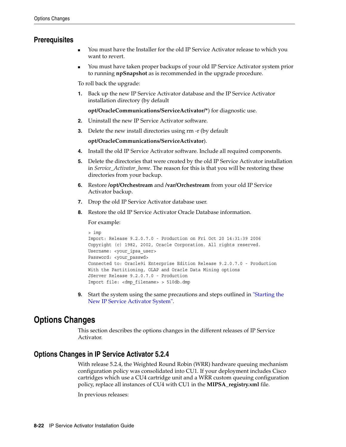## **Prerequisites**

- You must have the Installer for the old IP Service Activator release to which you want to revert.
- You must have taken proper backups of your old IP Service Activator system prior to running **npSnapshot** as is recommended in the upgrade procedure.

To roll back the upgrade:

**1.** Back up the new IP Service Activator database and the IP Service Activator installation directory (by default

**opt/OracleCommunications/ServiceActivator/\***) for diagnostic use.

- **2.** Uninstall the new IP Service Activator software.
- **3.** Delete the new install directories using rm -r (by default

**opt/OracleCommunications/ServiceActivator**).

- **4.** Install the old IP Service Activator software. Include all required components.
- **5.** Delete the directories that were created by the old IP Service Activator installation in *Service\_Activator\_home*. The reason for this is that you will be restoring these directories from your backup.
- **6.** Restore **/opt/Orchestream** and **/var/Orchestream** from your old IP Service Activator backup.
- **7.** Drop the old IP Service Activator database user.
- **8.** Restore the old IP Service Activator Oracle Database information.

For example:

```
> imp
Import: Release 9.2.0.7.0 - Production on Fri Oct 20 14:31:39 2006
Copyright (c) 1982, 2002, Oracle Corporation. All rights reserved.
Username: <your_ipsa_user>
Password: < your passwd>
Connected to: Oracle9i Enterprise Edition Release 9.2.0.7.0 - Production
With the Partitioning, OLAP and Oracle Data Mining options
JServer Release 9.2.0.7.0 - Production
Import file: <dmp_filename> > 510db.dmp
```
**9.** Start the system using the same precautions and steps outlined in ["Starting the](#page-67-1)  [New IP Service Activator System".](#page-67-1)

# <span id="page-71-0"></span>**Options Changes**

This section describes the options changes in the different releases of IP Service Activator.

## **Options Changes in IP Service Activator 5.2.4**

With release 5.2.4, the Weighted Round Robin (WRR) hardware queuing mechanism configuration policy was consolidated into CU1. If your deployment includes Cisco cartridges which use a CU4 cartridge unit and a WRR custom queuing configuration policy, replace all instances of CU4 with CU1 in the **MIPSA\_registry.xml** file.

In previous releases: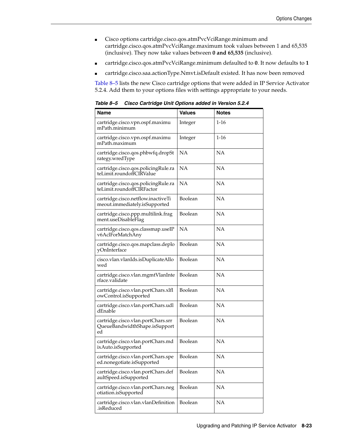- Cisco options cartridge.cisco.qos.atmPvcVciRange.minimum and cartridge.cisco.qos.atmPvcVciRange.maximum took values between 1 and 65,535 (inclusive). They now take values between **0 and 65,535** (inclusive).
- cartridge.cisco.qos.atmPvcVciRange.minimum defaulted to **0**. It now defaults to **1**
- cartridge.cisco.saa.actionType.Nmvt.isDefault existed. It has now been removed

[Table 8–5](#page-72-0) lists the new Cisco cartridge options that were added in IP Service Activator 5.2.4. Add them to your options files with settings appropriate to your needs.

<span id="page-72-0"></span>

| <b>Name</b>                                                               | <b>Values</b> | <b>Notes</b> |
|---------------------------------------------------------------------------|---------------|--------------|
| cartridge.cisco.vpn.ospf.maximu<br>mPath.minimum                          | Integer       | $1 - 16$     |
| cartridge.cisco.vpn.ospf.maximu<br>mPath.maximum                          | Integer       | 1-16         |
| cartridge.cisco.qos.phbwfq.dropSt<br>rategy.wredType                      | NΑ            | NΑ           |
| cartridge.cisco.qos.policingRule.ra<br>teLimit.roundoffCIRValue           | NΑ            | NΑ           |
| cartridge.cisco.qos.policingRule.ra<br>teLimit.roundoffCIRFactor          | NA            | NA           |
| cartridge.cisco.netflow.inactiveTi<br>meout.immediately.isSupported       | Boolean       | NΑ           |
| cartridge.cisco.ppp.multilink.frag<br>ment.useDisableFlag                 | Boolean       | NΑ           |
| cartridge.cisco.qos.classmap.useIP<br>v6AclForMatchAny                    | NΑ            | NΑ           |
| cartridge.cisco.qos.mapclass.deplo<br>yOnInterface                        | Boolean       | NΑ           |
| cisco.vlan.vlanIds.isDuplicateAllo<br>wed                                 | Boolean       | NΑ           |
| cartridge.cisco.vlan.mgmtVlanInte<br>rface.validate                       | Boolean       | NΑ           |
| cartridge.cisco.vlan.portChars.xlfl<br>owControl.isSupported              | Boolean       | NΑ           |
| cartridge.cisco.vlan.portChars.udl<br>dEnable                             | Boolean       | NΑ           |
| cartridge.cisco.vlan.portChars.srr<br>QueueBandwidthShape.isSupport<br>ed | Boolean       | NΑ           |
| cartridge.cisco.vlan.portChars.md<br>ixAuto.isSupported                   | Boolean       | NΑ           |
| cartridge.cisco.vlan.portChars.spe<br>ed.nonegotiate.isSupported          | Boolean       | NA           |
| cartridge.cisco.vlan.portChars.def<br>aultSpeed.isSupported               | Boolean       | NΑ           |
| cartridge.cisco.vlan.portChars.neg<br>otiation.isSupported                | Boolean       | NΑ           |
| cartridge.cisco.vlan.vlanDefinition<br>.isReduced                         | Boolean       | NA           |

*Table 8–5 Cisco Cartridge Unit Options added in Version 5.2.4*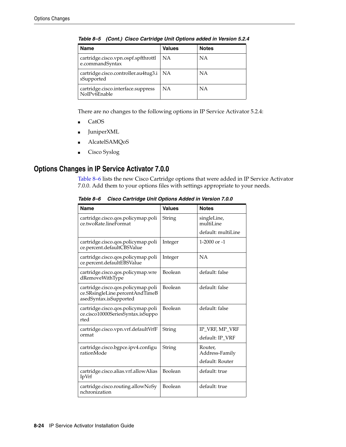| <b>Name</b>                                            | <b>Values</b> | <b>Notes</b> |
|--------------------------------------------------------|---------------|--------------|
| cartridge.cisco.vpn.ospf.spfthrottl<br>e.commandSyntax | <b>NA</b>     | NΑ           |
| cartridge.cisco.controller.au4tug3.i<br>sSupported     | NA            | ΝA           |
| cartridge.cisco.interface.suppress<br>NoIPv6Enable     | <b>NA</b>     | ΝA           |

*Table 8–5 (Cont.) Cisco Cartridge Unit Options added in Version 5.2.4*

There are no changes to the following options in IP Service Activator 5.2.4:

- CatOS
- JuniperXML
- AlcatelSAMQoS
- Cisco Syslog

### <span id="page-73-0"></span>**Options Changes in IP Service Activator 7.0.0**

[Table 8–6](#page-73-0) lists the new Cisco Cartridge options that were added in IP Service Activator 7.0.0. Add them to your options files with settings appropriate to your needs.

| <b>Name</b>                                                                                     | <b>Values</b>  | <b>Notes</b>              |
|-------------------------------------------------------------------------------------------------|----------------|---------------------------|
| cartridge.cisco.qos.policymap.poli<br>ce.twoRate.lineFormat                                     | String         | singleLine,<br>multiLine  |
|                                                                                                 |                | default: multiLine        |
| cartridge.cisco.qos.policymap.poli<br>ce.percent.defaultCBSValue                                | Integer        | $1-2000$ or $-1$          |
| cartridge.cisco.qos.policymap.poli<br>ce.percent.defaultEBSValue                                | Integer        | NA                        |
| cartridge.cisco.qos.policymap.wre<br>dRemoveWithType                                            | Boolean        | default: false            |
| cartridge.cisco.qos.policymap.poli<br>ce.SRsingleLine.percentAndTimeB<br>asedSyntax.isSupported | <b>Boolean</b> | default: false            |
| cartridge.cisco.qos.policymap.poli<br>ce.cisco10000SeriesSyntax.isSuppo<br>rted                 | Boolean        | default: false            |
| cartridge.cisco.vpn.vrf.defaultVrfF                                                             | String         | IP_VRF, MP_VRF            |
| ormat                                                                                           |                | default: IP_VRF           |
| cartridge.cisco.bgpce.ipv4.configu<br>rationMode                                                | String         | Router,<br>Address-Family |
|                                                                                                 |                | default: Router           |
| cartridge.cisco.alias.vrf.allowAlias<br>IpVrf                                                   | <b>Boolean</b> | default: true             |
| cartridge.cisco.routing.allowNoSy<br>nchronization                                              | Boolean        | default: true             |

*Table 8–6 Cisco Cartridge Unit Options Added in Version 7.0.0*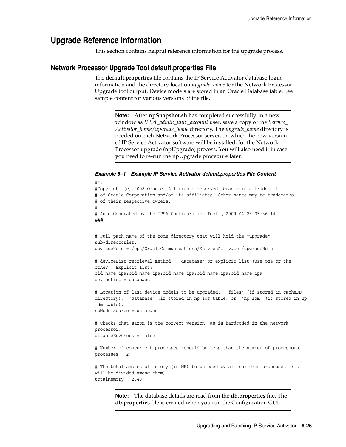## **Upgrade Reference Information**

This section contains helpful reference information for the upgrade process.

#### **Network Processor Upgrade Tool default.properties File**

The **default.properties** file contains the IP Service Activator database login information and the directory location *upgrade\_home* for the Network Processor Upgrade tool output. Device models are stored in an Oracle Database table. See sample content for various versions of the file.

> **Note:** After **npSnapshot.sh** has completed successfully, in a new window as *IPSA\_admin\_unix\_account* user, save a copy of the *Service\_ Activator\_home*/*upgrade\_home* directory. The *upgrade\_home* directory is needed on each Network Processor server, on which the new version of IP Service Activator software will be installed, for the Network Processor upgrade (npUpgrade) process. You will also need it in case you need to re-run the npUpgrade procedure later.

#### *Example 8–1 Example IP Service Activator default.properties File Content*

```
###
#Copyright (c) 2008 Oracle. All rights reserved. Oracle is a trademark
# of Oracle Corporation and/or its affiliates. Other names may be trademarks
# of their respective owners.
#
# Auto-Generated by the IPSA Configuration Tool [ 2009-04-28 05:36:14 ]
###
# Full path name of the home directory that will hold the "upgrade" 
sub-directories. 
upgradeHome = /opt/OracleCommunications/ServiceActivator/upgradeHome
# deviceList retrieval method = 'database' or explicit list (use one or the 
other). Explicit list: 
oid,name,ipa:oid,name,ipa:oid,name,ipa:oid,name,ipa:oid,name,ipa 
deviceList = database
# Location of last device models to be upgraded: 'files' (if stored in cacheDD 
directory), 'database' (if stored in np_lds table) or 'np_ldm' (if stored in np_
ldm table). 
npModelSource = database
# Checks that saxon is the correct version as is hardcoded in the network 
processor.
disableEnvCheck = false
# Number of concurrent processes (should be less than the number of processors)
processes = 2
# The total amount of memory (in MB) to be used by all children processes (it 
will be divided among them)
totalMemory = 2048
```
**Note:** The database details are read from the **db.properties** file. The **db.properties** file is created when you run the Configuration GUI.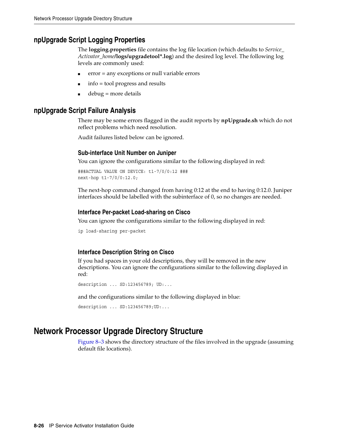#### **npUpgrade Script Logging Properties**

The **logging.properties** file contains the log file location (which defaults to *Service\_ Activator\_home***/logs/upgradetool\*.log**) and the desired log level. The following log levels are commonly used:

- $error = any exceptions or null variable errors$
- $info = tool$  progress and results
- $debug = more details$

#### **npUpgrade Script Failure Analysis**

There may be some errors flagged in the audit reports by **npUpgrade.sh** which do not reflect problems which need resolution.

Audit failures listed below can be ignored.

#### **Sub-interface Unit Number on Juniper**

You can ignore the configurations similar to the following displayed in red:

```
###ACTUAL VALUE ON DEVICE: t1-7/0/0:12 ### 
next-hop t1-7/0/0:12.0;
```
The next-hop command changed from having 0:12 at the end to having 0:12.0. Juniper interfaces should be labelled with the subinterface of 0, so no changes are needed.

#### **Interface Per-packet Load-sharing on Cisco**

You can ignore the configurations similar to the following displayed in red:

```
ip load-sharing per-packet
```
#### **Interface Description String on Cisco**

If you had spaces in your old descriptions, they will be removed in the new descriptions. You can ignore the configurations similar to the following displayed in red:

```
description ... SD:123456789; UD:...
```
and the configurations similar to the following displayed in blue:

description ... SD:123456789;UD:...

#### **Network Processor Upgrade Directory Structure**

[Figure 8–3](#page-76-0) shows the directory structure of the files involved in the upgrade (assuming default file locations).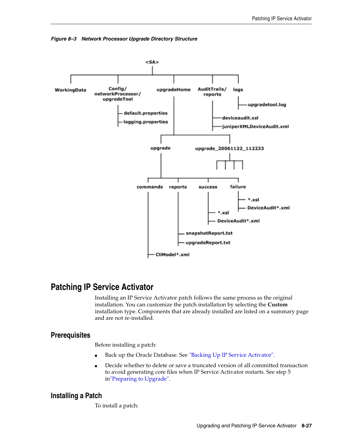<span id="page-76-0"></span>



# **Patching IP Service Activator**

Installing an IP Service Activator patch follows the same process as the original installation. You can customize the patch installation by selecting the **Custom** installation type. Components that are already installed are listed on a summary page and are not re-installed.

#### **Prerequisites**

Before installing a patch:

- Back up the Oracle Database. See ["Backing Up IP Service Activator"](#page-57-0).
- Decide whether to delete or save a truncated version of all committed transaction to avoid generating core files when IP Service Activator restarts. See step [5](#page-54-0)  in["Preparing to Upgrade".](#page-54-1)

#### **Installing a Patch**

To install a patch: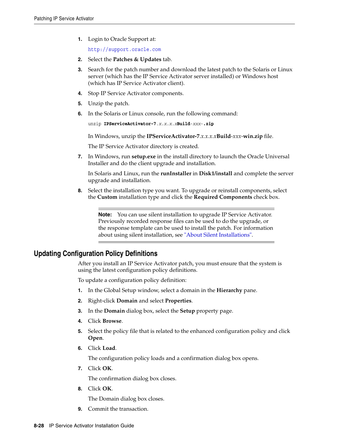**1.** Login to Oracle Support at:

http://support.oracle.com

- **2.** Select the **Patches & Updates** tab.
- **3.** Search for the patch number and download the latest patch to the Solaris or Linux server (which has the IP Service Activator server installed) or Windows host (which has IP Service Activator client).
- **4.** Stop IP Service Activator components.
- **5.** Unzip the patch.
- **6.** In the Solaris or Linux console, run the following command:

```
unzip IPServiceActivator-7.x.x.x.xBuild-xxx-.zip
```
In Windows, unzip the **IPServiceActivator-7**.*x.x.x.x***Build**-*xxx*-**win.zip** file.

The IP Service Activator directory is created.

**7.** In Windows, run **setup.exe** in the install directory to launch the Oracle Universal Installer and do the client upgrade and installation.

In Solaris and Linux, run the **runInstaller** in **Disk1/install** and complete the server upgrade and installation.

**8.** Select the installation type you want. To upgrade or reinstall components, select the **Custom** installation type and click the **Required Components** check box.

**Note:** You can use silent installation to upgrade IP Service Activator. Previously recorded response files can be used to do the upgrade, or the response template can be used to install the patch. For information about using silent installation, see ["About Silent Installations".](#page-35-0)

#### **Updating Configuration Policy Definitions**

After you install an IP Service Activator patch, you must ensure that the system is using the latest configuration policy definitions.

To update a configuration policy definition:

- **1.** In the Global Setup window, select a domain in the **Hierarchy** pane.
- **2.** Right-click **Domain** and select **Properties**.
- **3.** In the **Domain** dialog box, select the **Setup** property page.
- **4.** Click **Browse**.
- **5.** Select the policy file that is related to the enhanced configuration policy and click **Open**.
- **6.** Click **Load**.

The configuration policy loads and a confirmation dialog box opens.

**7.** Click **OK**.

The confirmation dialog box closes.

**8.** Click **OK**.

The Domain dialog box closes.

**9.** Commit the transaction.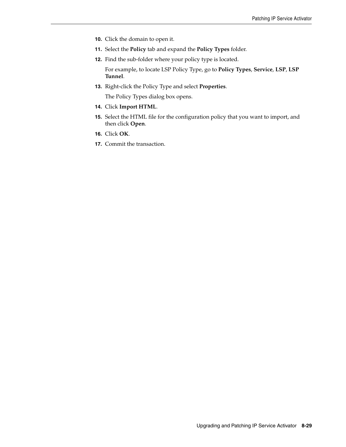- **10.** Click the domain to open it.
- **11.** Select the **Policy** tab and expand the **Policy Types** folder.
- **12.** Find the sub-folder where your policy type is located.

For example, to locate LSP Policy Type, go to **Policy Types**, **Service**, **LSP**, **LSP Tunnel**.

**13.** Right-click the Policy Type and select **Properties**.

The Policy Types dialog box opens.

- **14.** Click **Import HTML**.
- **15.** Select the HTML file for the configuration policy that you want to import, and then click **Open**.
- **16.** Click **OK**.
- **17.** Commit the transaction.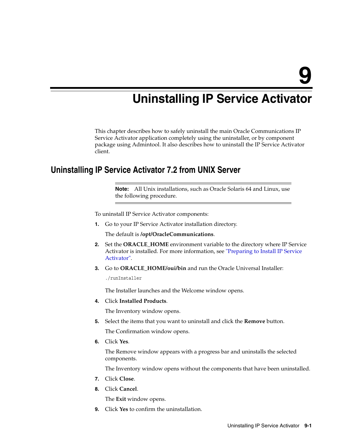# **Uninstalling IP Service Activator**

This chapter describes how to safely uninstall the main Oracle Communications IP Service Activator application completely using the uninstaller, or by component package using Admintool. It also describes how to uninstall the IP Service Activator client.

## **Uninstalling IP Service Activator 7.2 from UNIX Server**

**Note:** All Unix installations, such as Oracle Solaris 64 and Linux, use the following procedure.

To uninstall IP Service Activator components:

**1.** Go to your IP Service Activator installation directory.

The default is **/opt/OracleCommunications**.

- **2.** Set the **ORACLE\_HOME** environment variable to the directory where IP Service Activator is installed. For more information, see ["Preparing to Install IP Service](#page-32-0)  [Activator"](#page-32-0).
- **3.** Go to **ORACLE** HOME/oui/bin and run the Oracle Universal Installer:

./runInstaller

The Installer launches and the Welcome window opens.

**4.** Click **Installed Products**.

The Inventory window opens.

**5.** Select the items that you want to uninstall and click the **Remove** button.

The Confirmation window opens.

**6.** Click **Yes**.

The Remove window appears with a progress bar and uninstalls the selected components.

The Inventory window opens without the components that have been uninstalled.

- **7.** Click **Close**.
- **8.** Click **Cancel**.

The **Exit** window opens.

**9.** Click **Yes** to confirm the uninstallation.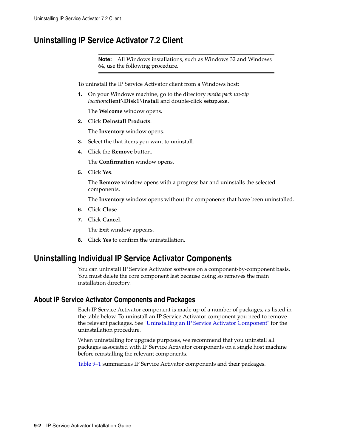## **Uninstalling IP Service Activator 7.2 Client**

**Note:** All Windows installations, such as Windows 32 and Windows 64, use the following procedure.

To uninstall the IP Service Activator client from a Windows host:

**1.** On your Windows machine, go to the directory *media pack un-zip location***client\Disk1\install** and double-click **setup.exe.**

The **Welcome** window opens.

**2.** Click **Deinstall Products**.

The **Inventory** window opens.

- **3.** Select the that items you want to uninstall.
- **4.** Click the **Remove** button.

The **Confirmation** window opens.

**5.** Click **Yes**.

The **Remove** window opens with a progress bar and uninstalls the selected components.

The **Inventory** window opens without the components that have been uninstalled.

- **6.** Click **Close**.
- **7.** Click **Cancel**.

The **Exit** window appears.

**8.** Click **Yes** to confirm the uninstallation.

### <span id="page-81-0"></span>**Uninstalling Individual IP Service Activator Components**

You can uninstall IP Service Activator software on a component-by-component basis. You must delete the core component last because doing so removes the main installation directory.

#### <span id="page-81-1"></span>**About IP Service Activator Components and Packages**

Each IP Service Activator component is made up of a number of packages, as listed in the table below. To uninstall an IP Service Activator component you need to remove the relevant packages. See ["Uninstalling an IP Service Activator Component"](#page-82-0) for the uninstallation procedure.

When uninstalling for upgrade purposes, we recommend that you uninstall all packages associated with IP Service Activator components on a single host machine before reinstalling the relevant components.

[Table 9–1](#page-82-1) summarizes IP Service Activator components and their packages.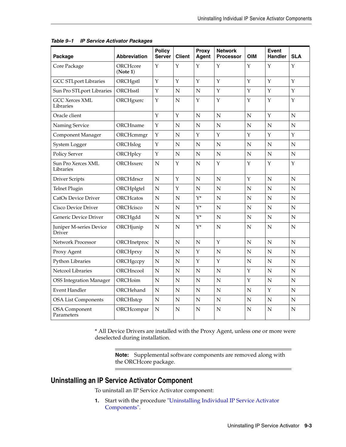| Package                            | <b>Abbreviation</b>  | <b>Policy</b><br><b>Server</b> | <b>Client</b> | Proxy<br>Agent | <b>Network</b><br><b>Processor</b> | <b>OIM</b>  | <b>Event</b><br><b>Handler</b> | <b>SLA</b>  |
|------------------------------------|----------------------|--------------------------------|---------------|----------------|------------------------------------|-------------|--------------------------------|-------------|
| Core Package                       | ORCHcore<br>(Note 1) | Y                              | Y             | Y              | Υ                                  | Y           | Y                              | Υ           |
| <b>GCC STLport Libraries</b>       | ORCHgstl             | Y                              | Y             | Y              | Y                                  | Y           | Y                              | Y           |
| Sun Pro STLport Libraries          | ORCHsstl             | Y                              | N             | N              | Y                                  | Y           | Y                              | Υ           |
| <b>GCC Xerces XML</b><br>Libraries | ORCHgxerc            | Y                              | N             | Y              | Υ                                  | Υ           | Y                              | Υ           |
| Oracle client                      |                      | Y                              | Υ             | $\mathbf N$    | ${\bf N}$                          | N           | $\mathbf Y$                    | $\mathbf N$ |
| Naming Service                     | ORCHname             | $\mathbf Y$                    | $\mathbf N$   | N              | N                                  | $\mathbf N$ | N                              | N           |
| Component Manager                  | ORCHcmmgr            | $\mathbf Y$                    | N             | Υ              | Υ                                  | Y           | Υ                              | Υ           |
| System Logger                      | ORCHslog             | Υ                              | N             | N              | N                                  | N           | N                              | N           |
| Policy Server                      | ORCHplcy             | Y                              | N             | N              | N                                  | N           | N                              | N           |
| Sun Pro Xerces XML<br>Libraries    | ORCHsxerc            | $\mathbf N$                    | Y             | $\mathbf N$    | Y                                  | Y           | Y                              | Y           |
| <b>Driver Scripts</b>              | ORCHdrscr            | $\mathbf N$                    | Y             | $\mathbf N$    | $\mathbf N$                        | Y           | $\mathbf N$                    | $\mathbf N$ |
| Telnet Plugin                      | ORCHplgtel           | N                              | Υ             | N              | N                                  | N           | N                              | N           |
| CatOs Device Driver                | <b>ORCHcatos</b>     | N                              | N             | $Y^*$          | N                                  | N           | N                              | ${\bf N}$   |
| Cisco Device Driver                | <b>ORCHcisco</b>     | N                              | N             | $Y^*$          | N                                  | N           | N                              | N           |
| Generic Device Driver              | ORCHgdd              | $\mathbf N$                    | N             | $Y^*$          | $\mathbf N$                        | $\mathbf N$ | ${\bf N}$                      | ${\bf N}$   |
| Juniper M-series Device<br>Driver  | ORCHjunip            | N                              | N             | $Y^*$          | N                                  | N           | N                              | N           |
| <b>Network Processor</b>           | ORCHnetproc          | N                              | N             | N              | Y                                  | N           | N                              | $\mathbf N$ |
| Proxy Agent                        | ORCHprxy             | $\mathbf N$                    | N             | Υ              | N                                  | N           | ${\bf N}$                      | N           |
| Python Libraries                   | ORCHgccpy            | N                              | N             | Y              | Y                                  | N           | N                              | N           |
| Netcool Libraries                  | ORCHncool            | $\mathbf N$                    | N             | N              | N                                  | Υ           | ${\bf N}$                      | N           |
| <b>OSS Integration Manager</b>     | ORCHoim              | $\mathbf N$                    | $\mathbf N$   | $\mathbf N$    | N                                  | Y           | $\mathbf N$                    | N           |
| Event Handler                      | ORCHehand            | N                              | N             | N              | N                                  | N           | Υ                              | N           |
| <b>OSA List Components</b>         | ORCHIstcp            | N                              | N             | N              | N                                  | N           | N                              | N           |
| <b>OSA</b> Component<br>Parameters | ORCHcompar           | N                              | N             | N              | N                                  | N           | N                              | N           |

<span id="page-82-1"></span>

| Table 9-1 IP Service Activator Packages |  |  |  |
|-----------------------------------------|--|--|--|
|-----------------------------------------|--|--|--|

\* All Device Drivers are installed with the Proxy Agent, unless one or more were deselected during installation.

> **Note:** Supplemental software components are removed along with the ORCHcore package.

### <span id="page-82-0"></span>**Uninstalling an IP Service Activator Component**

To uninstall an IP Service Activator component:

**1.** Start with the procedure ["Uninstalling Individual IP Service Activator](#page-81-0)  [Components"](#page-81-0).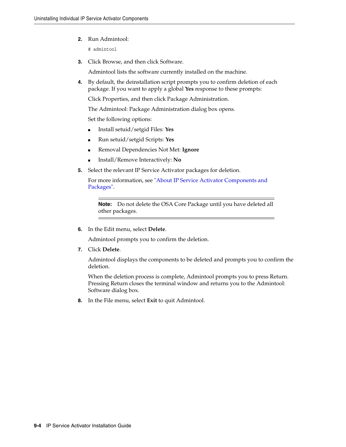**2.** Run Admintool:

# admintool

**3.** Click Browse, and then click Software.

Admintool lists the software currently installed on the machine.

**4.** By default, the deinstallation script prompts you to confirm deletion of each package. If you want to apply a global **Yes** response to these prompts:

Click Properties, and then click Package Administration.

The Admintool: Package Administration dialog box opens.

Set the following options:

- Install setuid/setgid Files: **Yes**
- Run setuid/setgid Scripts: **Yes**
- Removal Dependencies Not Met: **Ignore**
- Install/Remove Interactively: **No**
- **5.** Select the relevant IP Service Activator packages for deletion.

For more information, see ["About IP Service Activator Components and](#page-81-1)  [Packages"](#page-81-1).

**Note:** Do not delete the OSA Core Package until you have deleted all other packages.

**6.** In the Edit menu, select **Delete**.

Admintool prompts you to confirm the deletion.

**7.** Click **Delete**.

Admintool displays the components to be deleted and prompts you to confirm the deletion.

When the deletion process is complete, Admintool prompts you to press Return. Pressing Return closes the terminal window and returns you to the Admintool: Software dialog box.

**8.** In the File menu, select **Exit** to quit Admintool.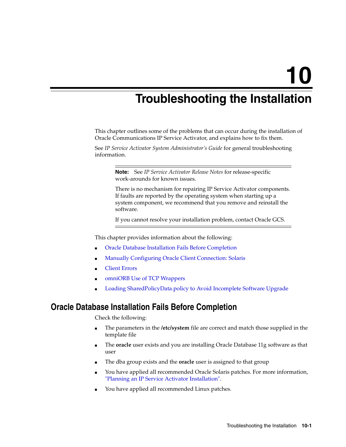# **Troubleshooting the Installation**

This chapter outlines some of the problems that can occur during the installation of Oracle Communications IP Service Activator, and explains how to fix them.

See *IP Service Activator System Administrator's Guide* for general troubleshooting information.

> **Note:** See *IP Service Activator Release Notes* for release-specific work-arounds for known issues.

There is no mechanism for repairing IP Service Activator components. If faults are reported by the operating system when starting up a system component, we recommend that you remove and reinstall the software.

If you cannot resolve your installation problem, contact Oracle GCS.

This chapter provides information about the following:

- [Oracle Database Installation Fails Before Completion](#page-84-0)
- [Manually Configuring Oracle Client Connection: Solaris](#page-85-0)
- **[Client Errors](#page-85-1)**
- [omniORB Use of TCP Wrappers](#page-85-2)
- [Loading SharedPolicyData.policy to Avoid Incomplete Software Upgrade](#page-87-0)

#### <span id="page-84-0"></span>**Oracle Database Installation Fails Before Completion**

Check the following:

- The parameters in the **/etc/system** file are correct and match those supplied in the template file
- The **oracle** user exists and you are installing Oracle Database 11g software as that user
- The dba group exists and the **oracle** user is assigned to that group
- You have applied all recommended Oracle Solaris patches. For more information, ["Planning an IP Service Activator Installation"](#page-10-0).
- You have applied all recommended Linux patches.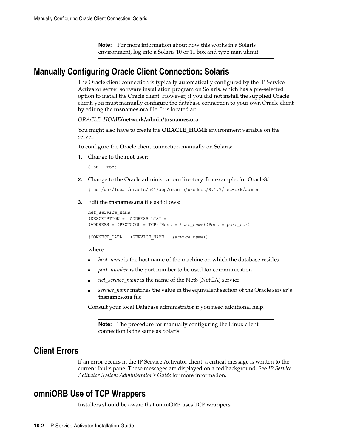**Note:** For more information about how this works in a Solaris environment, log into a Solaris 10 or 11 box and type man ulimit.

## <span id="page-85-0"></span>**Manually Configuring Oracle Client Connection: Solaris**

The Oracle client connection is typically automatically configured by the IP Service Activator server software installation program on Solaris, which has a pre-selected option to install the Oracle client. However, if you did not install the supplied Oracle client, you must manually configure the database connection to your own Oracle client by editing the **tnsnames.ora** file. It is located at:

*ORACLE\_HOME***/network/admin/tnsnames.ora**.

You might also have to create the **ORACLE\_HOME** environment variable on the server.

To configure the Oracle client connection manually on Solaris:

**1.** Change to the **root** user:

\$ su – root

**2.** Change to the Oracle administration directory. For example, for Oracle8*i*:

# cd /usr/local/oracle/u01/app/oracle/product/8.1.7/network/admin

**3.** Edit the **tnsnames.ora** file as follows:

```
net_service_name = 
(DESCRIPTION = (ADDRESS_LIST = 
(ADDRESS = (PROTOCOL = TCP)(Host = host_name)(Port = port_no))
\left( \right)(CONNECT_DATA = (SERVICE_NAME = service_name))
```
where:

- host\_name is the host name of the machine on which the database resides
- port\_number is the port number to be used for communication
- *net\_service\_name* is the name of the Net8 (NetCA) service
- service\_name matches the value in the equivalent section of the Oracle server's **tnsnames.ora** file

Consult your local Database administrator if you need additional help.

**Note:** The procedure for manually configuring the Linux client connection is the same as Solaris.

#### <span id="page-85-1"></span>**Client Errors**

If an error occurs in the IP Service Activator client, a critical message is written to the current faults pane. These messages are displayed on a red background. See *IP Service Activator System Administrator's Guide* for more information.

## <span id="page-85-2"></span>**omniORB Use of TCP Wrappers**

Installers should be aware that omniORB uses TCP wrappers.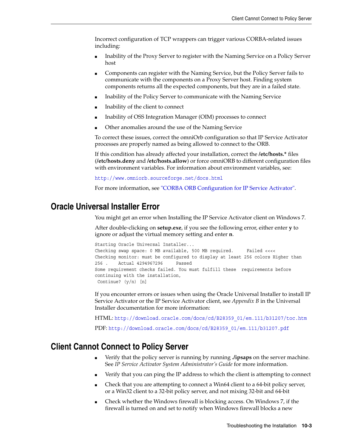Incorrect configuration of TCP wrappers can trigger various CORBA-related issues including:

- Inability of the Proxy Server to register with the Naming Service on a Policy Server host
- Components can register with the Naming Service, but the Policy Server fails to communicate with the components on a Proxy Server host. Finding system components returns all the expected components, but they are in a failed state.
- Inability of the Policy Server to communicate with the Naming Service
- Inability of the client to connect
- Inability of OSS Integration Manager (OIM) processes to connect
- Other anomalies around the use of the Naming Service

To correct these issues, correct the omniOrb configuration so that IP Service Activator processes are properly named as being allowed to connect to the ORB.

If this condition has already affected your installation, correct the **/etc/hosts.\*** files (**/etc/hosts.deny** and **/etc/hosts.allow**) or force omniORB to different configuration files with environment variables. For information about environment variables, see:

http://www.omniorb.sourceforge.net/docs.html

For more information, see ["CORBA ORB Configuration for IP Service Activator".](#page-29-0)

## **Oracle Universal Installer Error**

You might get an error when Installing the IP Service Activator client on Windows 7.

After double-clicking on **setup.exe**, if you see the following error, either enter **y** to ignore or adjust the virtual memory setting and enter **n**.

```
Starting Oracle Universal Installer...
Checking swap space: 0 MB available, 500 MB required. Failed <<<<
Checking monitor: must be configured to display at least 256 colors Higher than
256 . Actual 4294967296 Passed
Some requirement checks failed. You must fulfill these requirements before
continuing with the installation,
 Continue? (y/n) [n]
```
If you encounter errors or issues when using the Oracle Universal Installer to install IP Service Activator or the IP Service Activator client, see *Appendix B* in the Universal Installer documentation for more information:

HTML: http://download.oracle.com/docs/cd/B28359\_01/em.111/b31207/toc.htm PDF: http://download.oracle.com/docs/cd/B28359\_01/em.111/b31207.pdf

## **Client Cannot Connect to Policy Server**

- Verify that the policy server is running by running **./ipsaps** on the server machine. See *IP Service Activator System Administrator's Guide* for more information.
- Verify that you can ping the IP address to which the client is attempting to connect
- Check that you are attempting to connect a Win64 client to a 64-bit policy server, or a Win32 client to a 32-bit policy server, and not mixing 32-bit and 64-bit
- Check whether the Windows firewall is blocking access. On Windows 7, if the firewall is turned on and set to notify when Windows firewall blocks a new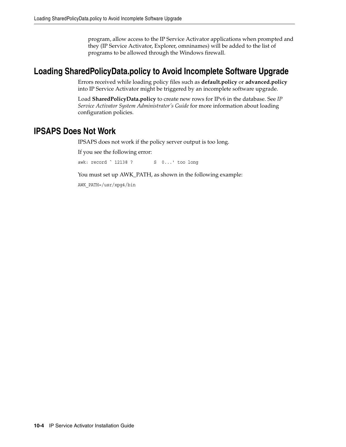program, allow access to the IP Service Activator applications when prompted and they (IP Service Activator, Explorer, omninames) will be added to the list of programs to be allowed through the Windows firewall.

# <span id="page-87-0"></span>**Loading SharedPolicyData.policy to Avoid Incomplete Software Upgrade**

Errors received while loading policy files such as **default.policy** or **advanced.policy** into IP Service Activator might be triggered by an incomplete software upgrade.

Load **SharedPolicyData.policy** to create new rows for IPv6 in the database. See *IP Service Activator System Administrator's Guide* for more information about loading configuration policies.

## **IPSAPS Does Not Work**

IPSAPS does not work if the policy server output is too long.

If you see the following error:

awk: record ` 12138 ? S 0...' too long

You must set up AWK\_PATH, as shown in the following example:

AWK\_PATH=/usr/xpg4/bin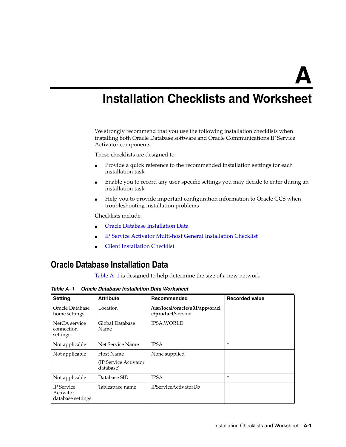# **Installation Checklists and Worksheet**

We strongly recommend that you use the following installation checklists when installing both Oracle Database software and Oracle Communications IP Service Activator components.

These checklists are designed to:

- Provide a quick reference to the recommended installation settings for each installation task
- Enable you to record any user-specific settings you may decide to enter during an installation task
- Help you to provide important configuration information to Oracle GCS when troubleshooting installation problems

Checklists include:

- **[Oracle Database Installation Data](#page-88-0)**
- [IP Service Activator Multi-host General Installation Checklist](#page-89-0)
- **[Client Installation Checklist](#page-90-0)**

# <span id="page-88-0"></span>**Oracle Database Installation Data**

[Table A–1](#page-88-1) is designed to help determine the size of a new network.

<span id="page-88-1"></span>*Table A–1 Oracle Database Installation Data Worksheet*

| <b>Setting</b>                                      | <b>Attribute</b>                   | Recommended                                          | <b>Recorded value</b> |
|-----------------------------------------------------|------------------------------------|------------------------------------------------------|-----------------------|
| Oracle Database<br>home settings                    | Location                           | /usr/local/oracle/u01/app/oracl<br>e/product/version |                       |
| NetCA service<br>connection<br>settings             | Global Database<br>Name            | <b>IPSA.WORLD</b>                                    |                       |
| Not applicable                                      | Net Service Name                   | <b>IPSA</b>                                          | $\ast$                |
| Not applicable                                      | Host Name                          | None supplied                                        |                       |
|                                                     | (IP Service Activator<br>database) |                                                      |                       |
| Not applicable                                      | Database SID                       | <b>IPSA</b>                                          | $\ast$                |
| <b>IP</b> Service<br>Activator<br>database settings | Tablespace name                    | <b>IPServiceActivatorDb</b>                          |                       |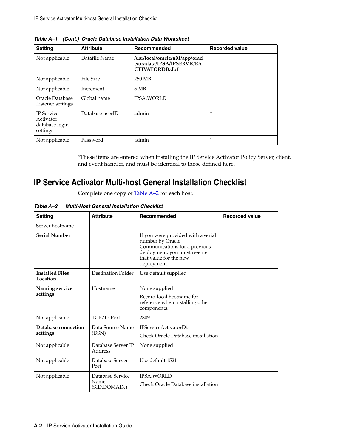| <b>Setting</b>                                               | <b>Attribute</b> | Recommended                                                                           | <b>Recorded value</b> |
|--------------------------------------------------------------|------------------|---------------------------------------------------------------------------------------|-----------------------|
| Not applicable                                               | Datafile Name    | /usr/local/oracle/u01/app/oracl<br>e/oradata/IPSA/IPSERVICEA<br><b>CTIVATORDB.dbf</b> |                       |
| Not applicable                                               | <b>File Size</b> | 250 MB                                                                                |                       |
| Not applicable                                               | Increment        | 5MB                                                                                   |                       |
| Oracle Database<br>Listener settings                         | Global name      | <b>IPSA.WORLD</b>                                                                     |                       |
| <b>IP</b> Service<br>Activator<br>database login<br>settings | Database userID  | admin                                                                                 | $\ast$                |
| Not applicable                                               | Password         | admin                                                                                 | $\ast$                |

*Table A–1 (Cont.) Oracle Database Installation Data Worksheet*

\*These items are entered when installing the IP Service Activator Policy Server, client, and event handler, and must be identical to those defined here.

# <span id="page-89-0"></span>**IP Service Activator Multi-host General Installation Checklist**

Complete one copy of [Table A–2](#page-89-1) for each host.

<span id="page-89-1"></span>*Table A–2 Multi-Host General Installation Checklist*

| <b>Setting</b>                     | <b>Attribute</b>              | Recommended                                                                                                                                                       | <b>Recorded value</b> |
|------------------------------------|-------------------------------|-------------------------------------------------------------------------------------------------------------------------------------------------------------------|-----------------------|
| Server hostname                    |                               |                                                                                                                                                                   |                       |
| <b>Serial Number</b>               |                               | If you were provided with a serial<br>number by Oracle<br>Communications for a previous<br>deployment, you must re-enter<br>that value for the new<br>deployment. |                       |
| <b>Installed Files</b><br>Location | Destination Folder            | Use default supplied                                                                                                                                              |                       |
| Naming service                     | Hostname                      | None supplied                                                                                                                                                     |                       |
| settings                           |                               | Record local hostname for<br>reference when installing other<br>components.                                                                                       |                       |
| Not applicable                     | TCP/IP Port                   | 2809                                                                                                                                                              |                       |
| Database connection                | Data Source Name              | <b>IPServiceActivatorDb</b>                                                                                                                                       |                       |
| settings                           | (DSN)                         | Check Oracle Database installation                                                                                                                                |                       |
| Not applicable                     | Database Server IP<br>Address | None supplied                                                                                                                                                     |                       |
| Not applicable                     | Database Server<br>Port       | Use default 1521                                                                                                                                                  |                       |
| Not applicable                     | Database Service              | <b>IPSA.WORLD</b>                                                                                                                                                 |                       |
|                                    | Name<br>(SID.DOMAIN)          | Check Oracle Database installation                                                                                                                                |                       |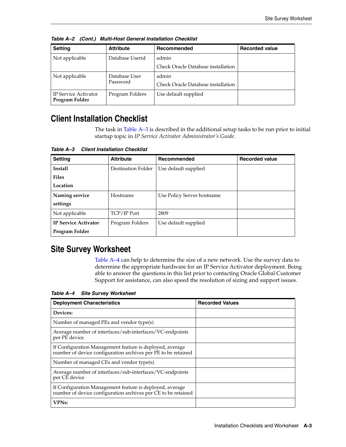| <b>Setting</b>                         | <b>Attribute</b> | Recommended                        | <b>Recorded value</b> |
|----------------------------------------|------------------|------------------------------------|-----------------------|
| Not applicable                         | Database Userid  | admin                              |                       |
|                                        |                  | Check Oracle Database installation |                       |
| Not applicable                         | Database User    | admin                              |                       |
|                                        | Password         | Check Oracle Database installation |                       |
| IP Service Activator<br>Program Folder | Program Folders  | Use default supplied               |                       |

*Table A–2 (Cont.) Multi-Host General Installation Checklist*

# <span id="page-90-0"></span>**Client Installation Checklist**

The task in [Table A–3](#page-90-1) is described in the additional setup tasks to be run prior to initial startup topic in *IP Service Activator Administrator's Guide*.

| <b>Setting</b>              | <b>Attribute</b>   | Recommended                | <b>Recorded value</b> |
|-----------------------------|--------------------|----------------------------|-----------------------|
| <b>Install</b>              | Destination Folder | Use default supplied       |                       |
| <b>Files</b>                |                    |                            |                       |
| Location                    |                    |                            |                       |
| Naming service              | Hostname           | Use Policy Server hostname |                       |
| settings                    |                    |                            |                       |
| Not applicable              | TCP/IP Port        | 2809                       |                       |
| <b>IP Service Activator</b> | Program Folders    | Use default supplied       |                       |
| Program Folder              |                    |                            |                       |

<span id="page-90-1"></span>*Table A–3 Client Installation Checklist*

# **Site Survey Worksheet**

[Table A–4](#page-90-2) can help to determine the size of a new network. Use the survey data to determine the appropriate hardware for an IP Service Activator deployment. Being able to answer the questions in this list prior to contacting Oracle Global Customer Support for assistance, can also speed the resolution of sizing and support issues.

<span id="page-90-2"></span>*Table A–4 Site Survey Worksheet*

| <b>Deployment Characteristics</b>                                                                                         | <b>Recorded Values</b> |
|---------------------------------------------------------------------------------------------------------------------------|------------------------|
| Devices:                                                                                                                  |                        |
| Number of managed PEs and vendor type(s)                                                                                  |                        |
| Average number of interfaces/sub-interfaces/VC-endpoints<br>per PE device                                                 |                        |
| If Configuration Management feature is deployed, average<br>number of device configuration archives per PE to be retained |                        |
| Number of managed CEs and vendor type(s)                                                                                  |                        |
| Average number of interfaces/sub-interfaces/VC-endpoints<br>per CE device                                                 |                        |
| If Configuration Management feature is deployed, average<br>number of device configuration archives per CE to be retained |                        |
| <b>VPNs:</b>                                                                                                              |                        |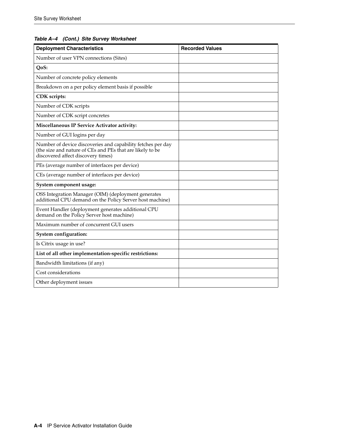#### *Table A–4 (Cont.) Site Survey Worksheet*

| <b>Deployment Characteristics</b>                                                                                                                              | <b>Recorded Values</b> |
|----------------------------------------------------------------------------------------------------------------------------------------------------------------|------------------------|
| Number of user VPN connections (Sites)                                                                                                                         |                        |
| QoS:                                                                                                                                                           |                        |
| Number of concrete policy elements                                                                                                                             |                        |
| Breakdown on a per policy element basis if possible                                                                                                            |                        |
| CDK scripts:                                                                                                                                                   |                        |
| Number of CDK scripts                                                                                                                                          |                        |
| Number of CDK script concretes                                                                                                                                 |                        |
| Miscellaneous IP Service Activator activity:                                                                                                                   |                        |
| Number of GUI logins per day                                                                                                                                   |                        |
| Number of device discoveries and capability fetches per day<br>(the size and nature of CEs and PEs that are likely to be<br>discovered affect discovery times) |                        |
| PEs (average number of interfaces per device)                                                                                                                  |                        |
| CEs (average number of interfaces per device)                                                                                                                  |                        |
| System component usage:                                                                                                                                        |                        |
| OSS Integration Manager (OIM) (deployment generates<br>additional CPU demand on the Policy Server host machine)                                                |                        |
| Event Handler (deployment generates additional CPU<br>demand on the Policy Server host machine)                                                                |                        |
| Maximum number of concurrent GUI users                                                                                                                         |                        |
| System configuration:                                                                                                                                          |                        |
| Is Citrix usage in use?                                                                                                                                        |                        |
| List of all other implementation-specific restrictions:                                                                                                        |                        |
| Bandwidth limitations (if any)                                                                                                                                 |                        |
| Cost considerations                                                                                                                                            |                        |
| Other deployment issues                                                                                                                                        |                        |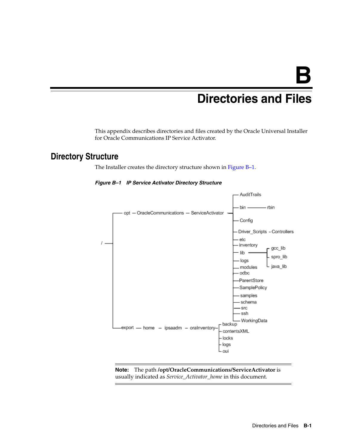# <sup>B</sup>**Directories and Files**

This appendix describes directories and files created by the Oracle Universal Installer for Oracle Communications IP Service Activator.

# <span id="page-92-0"></span>**Directory Structure**

The Installer creates the directory structure shown in [Figure B–1.](#page-92-0)



*Figure B–1 IP Service Activator Directory Structure*

**Note:** The path **/opt/OracleCommunications/ServiceActivator** is usually indicated as *Service\_Activator\_home* in this document.